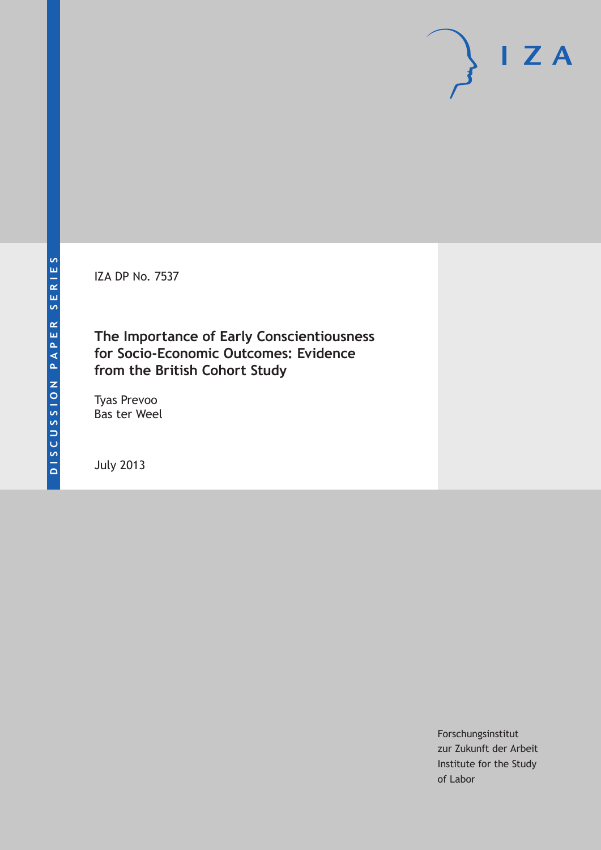IZA DP No. 7537

**The Importance of Early Conscientiousness for Socio-Economic Outcomes: Evidence from the British Cohort Study**

Tyas Prevoo Bas ter Weel

July 2013

Forschungsinstitut zur Zukunft der Arbeit Institute for the Study of Labor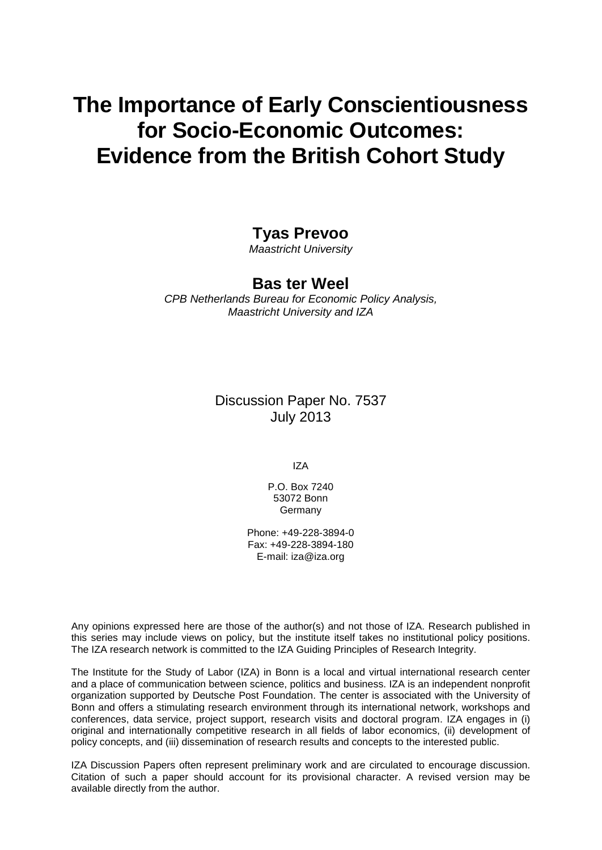# **The Importance of Early Conscientiousness for Socio-Economic Outcomes: Evidence from the British Cohort Study**

## **Tyas Prevoo**

*Maastricht University*

### **Bas ter Weel**

*CPB Netherlands Bureau for Economic Policy Analysis, Maastricht University and IZA*

## Discussion Paper No. 7537 July 2013

IZA

P.O. Box 7240 53072 Bonn Germany

Phone: +49-228-3894-0 Fax: +49-228-3894-180 E-mail: [iza@iza.org](mailto:iza@iza.org)

Any opinions expressed here are those of the author(s) and not those of IZA. Research published in this series may include views on policy, but the institute itself takes no institutional policy positions. The IZA research network is committed to the IZA Guiding Principles of Research Integrity.

The Institute for the Study of Labor (IZA) in Bonn is a local and virtual international research center and a place of communication between science, politics and business. IZA is an independent nonprofit organization supported by Deutsche Post Foundation. The center is associated with the University of Bonn and offers a stimulating research environment through its international network, workshops and conferences, data service, project support, research visits and doctoral program. IZA engages in (i) original and internationally competitive research in all fields of labor economics, (ii) development of policy concepts, and (iii) dissemination of research results and concepts to the interested public.

<span id="page-1-0"></span>IZA Discussion Papers often represent preliminary work and are circulated to encourage discussion. Citation of such a paper should account for its provisional character. A revised version may be available directly from the author.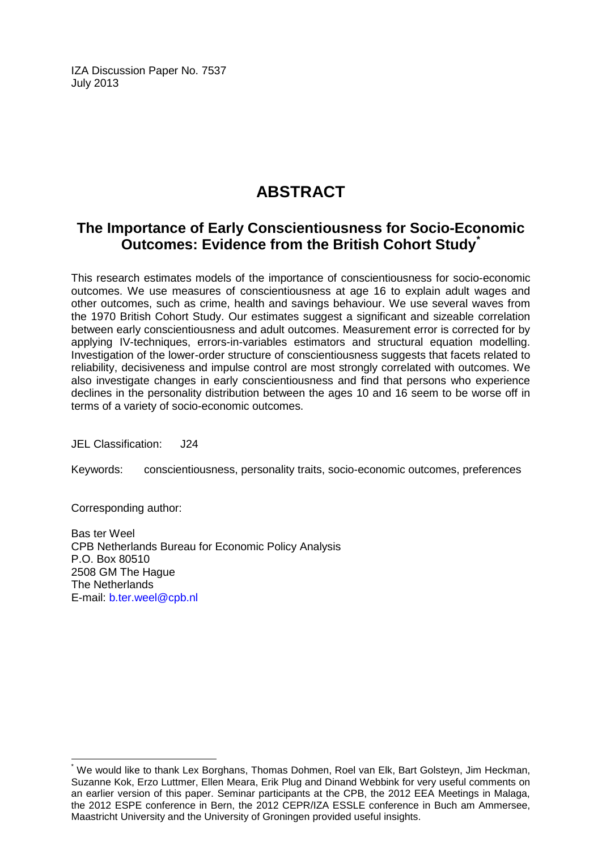IZA Discussion Paper No. 7537 July 2013

## **ABSTRACT**

## **The Importance of Early Conscientiousness for Socio-Economic Outcomes: Evidence from the British Cohort Study[\\*](#page-1-0)**

This research estimates models of the importance of conscientiousness for socio-economic outcomes. We use measures of conscientiousness at age 16 to explain adult wages and other outcomes, such as crime, health and savings behaviour. We use several waves from the 1970 British Cohort Study. Our estimates suggest a significant and sizeable correlation between early conscientiousness and adult outcomes. Measurement error is corrected for by applying IV-techniques, errors-in-variables estimators and structural equation modelling. Investigation of the lower-order structure of conscientiousness suggests that facets related to reliability, decisiveness and impulse control are most strongly correlated with outcomes. We also investigate changes in early conscientiousness and find that persons who experience declines in the personality distribution between the ages 10 and 16 seem to be worse off in terms of a variety of socio-economic outcomes.

JEL Classification: J24

Keywords: conscientiousness, personality traits, socio-economic outcomes, preferences

Corresponding author:

Bas ter Weel CPB Netherlands Bureau for Economic Policy Analysis P.O. Box 80510 2508 GM The Hague The Netherlands E-mail: [b.ter.weel@cpb.nl](mailto:b.ter.weel@cpb.nl)

\* We would like to thank Lex Borghans, Thomas Dohmen, Roel van Elk, Bart Golsteyn, Jim Heckman, Suzanne Kok, Erzo Luttmer, Ellen Meara, Erik Plug and Dinand Webbink for very useful comments on an earlier version of this paper. Seminar participants at the CPB, the 2012 EEA Meetings in Malaga, the 2012 ESPE conference in Bern, the 2012 CEPR/IZA ESSLE conference in Buch am Ammersee, Maastricht University and the University of Groningen provided useful insights.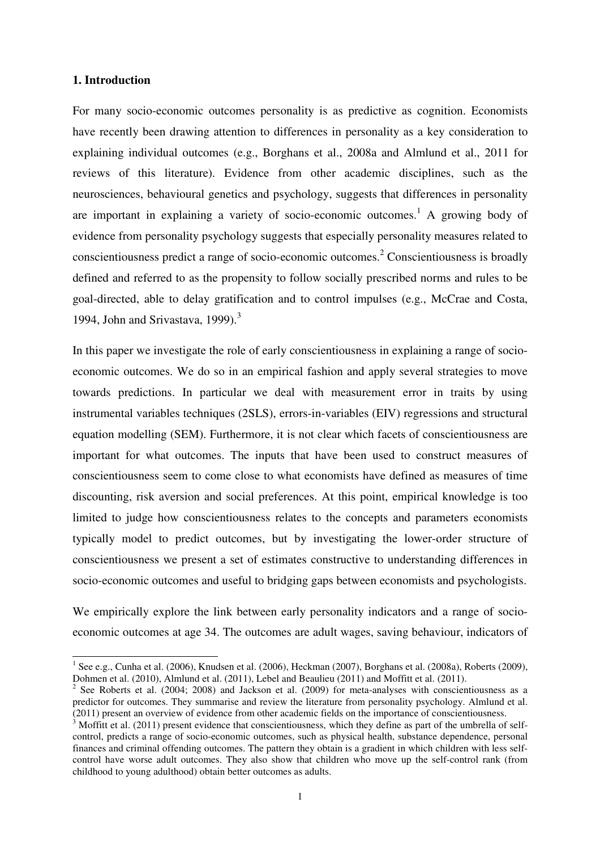#### **1. Introduction**

 $\overline{a}$ 

For many socio-economic outcomes personality is as predictive as cognition. Economists have recently been drawing attention to differences in personality as a key consideration to explaining individual outcomes (e.g., Borghans et al., 2008a and Almlund et al., 2011 for reviews of this literature). Evidence from other academic disciplines, such as the neurosciences, behavioural genetics and psychology, suggests that differences in personality are important in explaining a variety of socio-economic outcomes.<sup>1</sup> A growing body of evidence from personality psychology suggests that especially personality measures related to conscientiousness predict a range of socio-economic outcomes.<sup>2</sup> Conscientiousness is broadly defined and referred to as the propensity to follow socially prescribed norms and rules to be goal-directed, able to delay gratification and to control impulses (e.g., McCrae and Costa, 1994, John and Srivastava, 1999). $3$ 

In this paper we investigate the role of early conscientiousness in explaining a range of socioeconomic outcomes. We do so in an empirical fashion and apply several strategies to move towards predictions. In particular we deal with measurement error in traits by using instrumental variables techniques (2SLS), errors-in-variables (EIV) regressions and structural equation modelling (SEM). Furthermore, it is not clear which facets of conscientiousness are important for what outcomes. The inputs that have been used to construct measures of conscientiousness seem to come close to what economists have defined as measures of time discounting, risk aversion and social preferences. At this point, empirical knowledge is too limited to judge how conscientiousness relates to the concepts and parameters economists typically model to predict outcomes, but by investigating the lower-order structure of conscientiousness we present a set of estimates constructive to understanding differences in socio-economic outcomes and useful to bridging gaps between economists and psychologists.

We empirically explore the link between early personality indicators and a range of socioeconomic outcomes at age 34. The outcomes are adult wages, saving behaviour, indicators of

<sup>&</sup>lt;sup>1</sup> See e.g., Cunha et al. (2006), Knudsen et al. (2006), Heckman (2007), Borghans et al. (2008a), Roberts (2009), Dohmen et al. (2010), Almlund et al. (2011), Lebel and Beaulieu (2011) and Moffitt et al. (2011).

 $2^2$  See Roberts et al. (2004; 2008) and Jackson et al. (2009) for meta-analyses with conscientiousness as a predictor for outcomes. They summarise and review the literature from personality psychology. Almlund et al. (2011) present an overview of evidence from other academic fields on the importance of conscientiousness.

<sup>3</sup> Moffitt et al. (2011) present evidence that conscientiousness, which they define as part of the umbrella of selfcontrol, predicts a range of socio-economic outcomes, such as physical health, substance dependence, personal finances and criminal offending outcomes. The pattern they obtain is a gradient in which children with less selfcontrol have worse adult outcomes. They also show that children who move up the self-control rank (from childhood to young adulthood) obtain better outcomes as adults.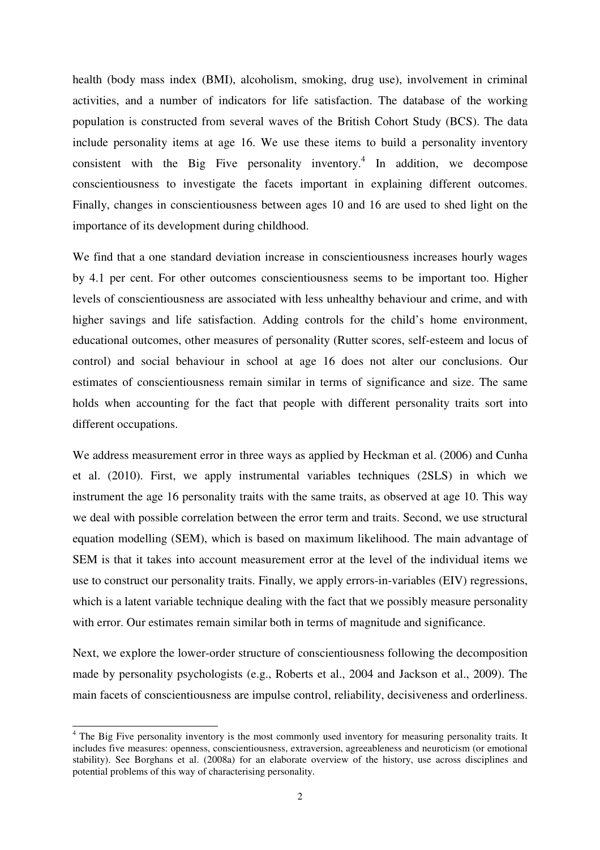health (body mass index (BMI), alcoholism, smoking, drug use), involvement in criminal activities, and a number of indicators for life satisfaction. The database of the working population is constructed from several waves of the British Cohort Study (BCS). The data include personality items at age 16. We use these items to build a personality inventory consistent with the Big Five personality inventory.<sup>4</sup> In addition, we decompose conscientiousness to investigate the facets important in explaining different outcomes. Finally, changes in conscientiousness between ages 10 and 16 are used to shed light on the importance of its development during childhood.

We find that a one standard deviation increase in conscientiousness increases hourly wages by 4.1 per cent. For other outcomes conscientiousness seems to be important too. Higher levels of conscientiousness are associated with less unhealthy behaviour and crime, and with higher savings and life satisfaction. Adding controls for the child's home environment, educational outcomes, other measures of personality (Rutter scores, self-esteem and locus of control) and social behaviour in school at age 16 does not alter our conclusions. Our estimates of conscientiousness remain similar in terms of significance and size. The same holds when accounting for the fact that people with different personality traits sort into different occupations.

We address measurement error in three ways as applied by Heckman et al. (2006) and Cunha et al. (2010). First, we apply instrumental variables techniques (2SLS) in which we instrument the age 16 personality traits with the same traits, as observed at age 10. This way we deal with possible correlation between the error term and traits. Second, we use structural equation modelling (SEM), which is based on maximum likelihood. The main advantage of SEM is that it takes into account measurement error at the level of the individual items we use to construct our personality traits. Finally, we apply errors-in-variables (EIV) regressions, which is a latent variable technique dealing with the fact that we possibly measure personality with error. Our estimates remain similar both in terms of magnitude and significance.

Next, we explore the lower-order structure of conscientiousness following the decomposition made by personality psychologists (e.g., Roberts et al., 2004 and Jackson et al., 2009). The main facets of conscientiousness are impulse control, reliability, decisiveness and orderliness.

<sup>&</sup>lt;sup>4</sup> The Big Five personality inventory is the most commonly used inventory for measuring personality traits. It includes five measures: openness, conscientiousness, extraversion, agreeableness and neuroticism (or emotional stability). See Borghans et al. (2008a) for an elaborate overview of the history, use across disciplines and potential problems of this way of characterising personality.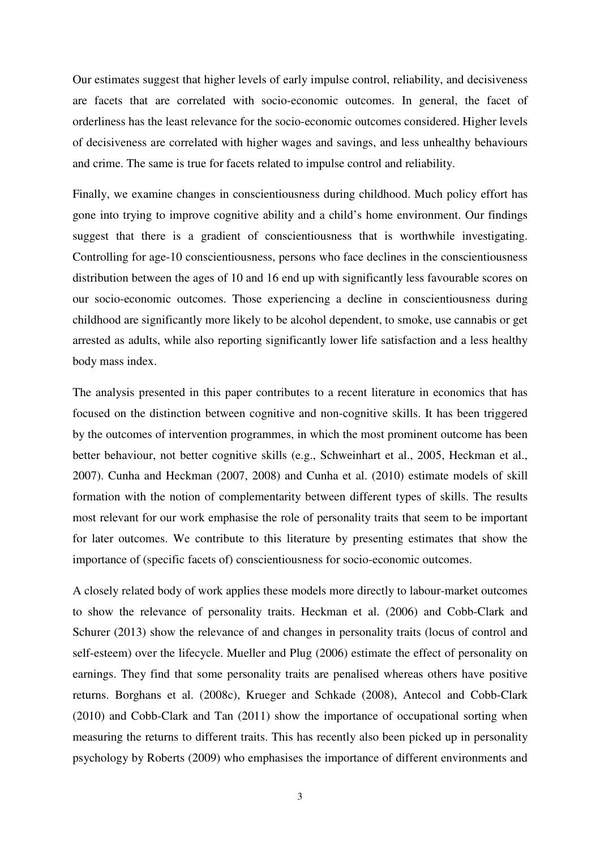Our estimates suggest that higher levels of early impulse control, reliability, and decisiveness are facets that are correlated with socio-economic outcomes. In general, the facet of orderliness has the least relevance for the socio-economic outcomes considered. Higher levels of decisiveness are correlated with higher wages and savings, and less unhealthy behaviours and crime. The same is true for facets related to impulse control and reliability.

Finally, we examine changes in conscientiousness during childhood. Much policy effort has gone into trying to improve cognitive ability and a child's home environment. Our findings suggest that there is a gradient of conscientiousness that is worthwhile investigating. Controlling for age-10 conscientiousness, persons who face declines in the conscientiousness distribution between the ages of 10 and 16 end up with significantly less favourable scores on our socio-economic outcomes. Those experiencing a decline in conscientiousness during childhood are significantly more likely to be alcohol dependent, to smoke, use cannabis or get arrested as adults, while also reporting significantly lower life satisfaction and a less healthy body mass index.

The analysis presented in this paper contributes to a recent literature in economics that has focused on the distinction between cognitive and non-cognitive skills. It has been triggered by the outcomes of intervention programmes, in which the most prominent outcome has been better behaviour, not better cognitive skills (e.g., Schweinhart et al., 2005, Heckman et al., 2007). Cunha and Heckman (2007, 2008) and Cunha et al. (2010) estimate models of skill formation with the notion of complementarity between different types of skills. The results most relevant for our work emphasise the role of personality traits that seem to be important for later outcomes. We contribute to this literature by presenting estimates that show the importance of (specific facets of) conscientiousness for socio-economic outcomes.

A closely related body of work applies these models more directly to labour-market outcomes to show the relevance of personality traits. Heckman et al. (2006) and Cobb-Clark and Schurer (2013) show the relevance of and changes in personality traits (locus of control and self-esteem) over the lifecycle. Mueller and Plug (2006) estimate the effect of personality on earnings. They find that some personality traits are penalised whereas others have positive returns. Borghans et al. (2008c), Krueger and Schkade (2008), Antecol and Cobb-Clark (2010) and Cobb-Clark and Tan (2011) show the importance of occupational sorting when measuring the returns to different traits. This has recently also been picked up in personality psychology by Roberts (2009) who emphasises the importance of different environments and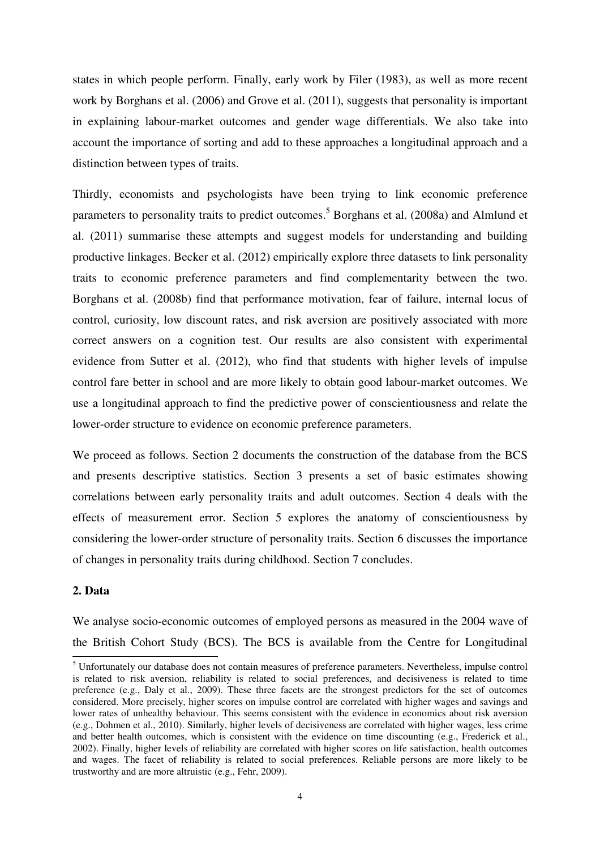states in which people perform. Finally, early work by Filer (1983), as well as more recent work by Borghans et al. (2006) and Grove et al. (2011), suggests that personality is important in explaining labour-market outcomes and gender wage differentials. We also take into account the importance of sorting and add to these approaches a longitudinal approach and a distinction between types of traits.

Thirdly, economists and psychologists have been trying to link economic preference parameters to personality traits to predict outcomes.<sup>5</sup> Borghans et al. (2008a) and Almlund et al. (2011) summarise these attempts and suggest models for understanding and building productive linkages. Becker et al. (2012) empirically explore three datasets to link personality traits to economic preference parameters and find complementarity between the two. Borghans et al. (2008b) find that performance motivation, fear of failure, internal locus of control, curiosity, low discount rates, and risk aversion are positively associated with more correct answers on a cognition test. Our results are also consistent with experimental evidence from Sutter et al. (2012), who find that students with higher levels of impulse control fare better in school and are more likely to obtain good labour-market outcomes. We use a longitudinal approach to find the predictive power of conscientiousness and relate the lower-order structure to evidence on economic preference parameters.

We proceed as follows. Section 2 documents the construction of the database from the BCS and presents descriptive statistics. Section 3 presents a set of basic estimates showing correlations between early personality traits and adult outcomes. Section 4 deals with the effects of measurement error. Section 5 explores the anatomy of conscientiousness by considering the lower-order structure of personality traits. Section 6 discusses the importance of changes in personality traits during childhood. Section 7 concludes.

#### **2. Data**

We analyse socio-economic outcomes of employed persons as measured in the 2004 wave of the British Cohort Study (BCS). The BCS is available from the Centre for Longitudinal

<sup>&</sup>lt;sup>5</sup> Unfortunately our database does not contain measures of preference parameters. Nevertheless, impulse control is related to risk aversion, reliability is related to social preferences, and decisiveness is related to time preference (e.g., Daly et al., 2009). These three facets are the strongest predictors for the set of outcomes considered. More precisely, higher scores on impulse control are correlated with higher wages and savings and lower rates of unhealthy behaviour. This seems consistent with the evidence in economics about risk aversion (e.g., Dohmen et al., 2010). Similarly, higher levels of decisiveness are correlated with higher wages, less crime and better health outcomes, which is consistent with the evidence on time discounting (e.g., Frederick et al., 2002). Finally, higher levels of reliability are correlated with higher scores on life satisfaction, health outcomes and wages. The facet of reliability is related to social preferences. Reliable persons are more likely to be trustworthy and are more altruistic (e.g., Fehr, 2009).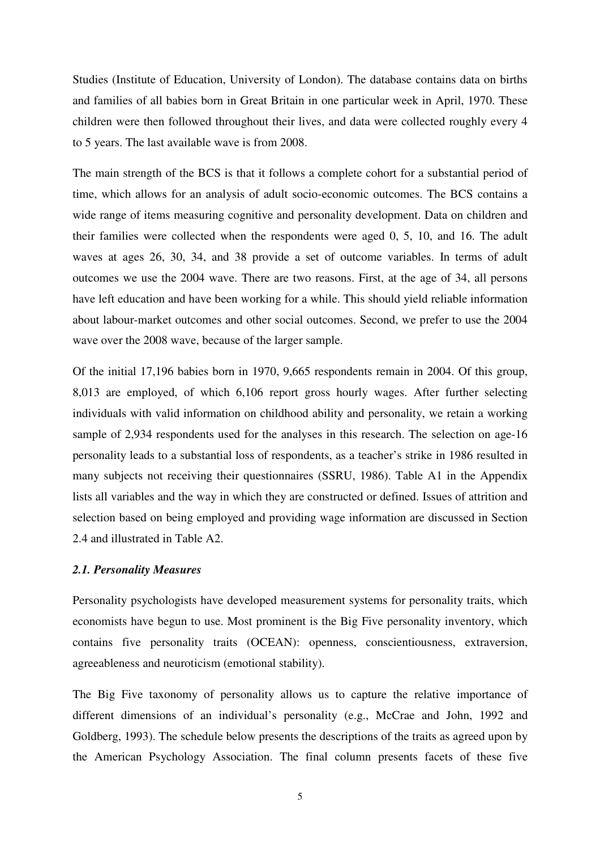Studies (Institute of Education, University of London). The database contains data on births and families of all babies born in Great Britain in one particular week in April, 1970. These children were then followed throughout their lives, and data were collected roughly every 4 to 5 years. The last available wave is from 2008.

The main strength of the BCS is that it follows a complete cohort for a substantial period of time, which allows for an analysis of adult socio-economic outcomes. The BCS contains a wide range of items measuring cognitive and personality development. Data on children and their families were collected when the respondents were aged 0, 5, 10, and 16. The adult waves at ages 26, 30, 34, and 38 provide a set of outcome variables. In terms of adult outcomes we use the 2004 wave. There are two reasons. First, at the age of 34, all persons have left education and have been working for a while. This should yield reliable information about labour-market outcomes and other social outcomes. Second, we prefer to use the 2004 wave over the 2008 wave, because of the larger sample.

Of the initial 17,196 babies born in 1970, 9,665 respondents remain in 2004. Of this group, 8,013 are employed, of which 6,106 report gross hourly wages. After further selecting individuals with valid information on childhood ability and personality, we retain a working sample of 2,934 respondents used for the analyses in this research. The selection on age-16 personality leads to a substantial loss of respondents, as a teacher's strike in 1986 resulted in many subjects not receiving their questionnaires (SSRU, 1986). Table A1 in the Appendix lists all variables and the way in which they are constructed or defined. Issues of attrition and selection based on being employed and providing wage information are discussed in Section 2.4 and illustrated in Table A2.

#### *2.1. Personality Measures*

Personality psychologists have developed measurement systems for personality traits, which economists have begun to use. Most prominent is the Big Five personality inventory, which contains five personality traits (OCEAN): openness, conscientiousness, extraversion, agreeableness and neuroticism (emotional stability).

The Big Five taxonomy of personality allows us to capture the relative importance of different dimensions of an individual's personality (e.g., McCrae and John, 1992 and Goldberg, 1993). The schedule below presents the descriptions of the traits as agreed upon by the American Psychology Association. The final column presents facets of these five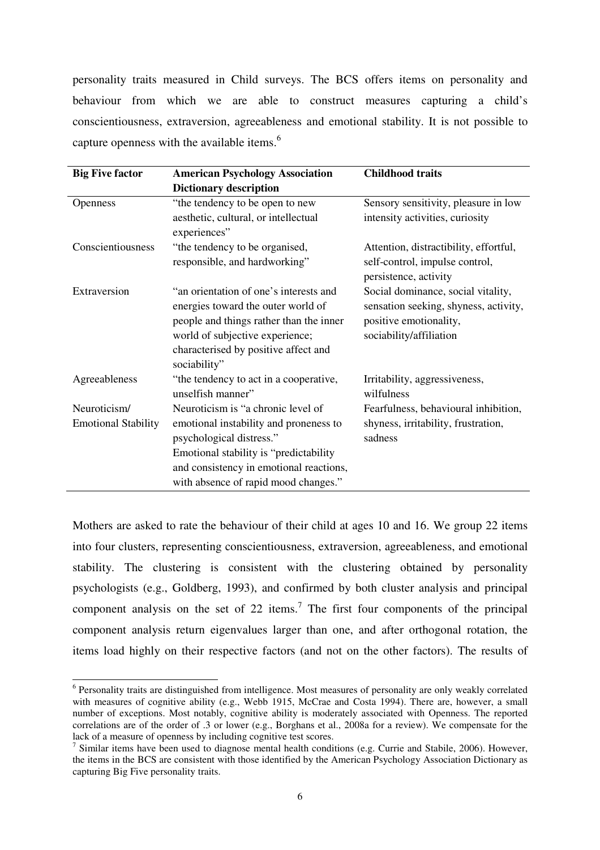personality traits measured in Child surveys. The BCS offers items on personality and behaviour from which we are able to construct measures capturing a child's conscientiousness, extraversion, agreeableness and emotional stability. It is not possible to capture openness with the available items.<sup>6</sup>

| <b>Big Five factor</b>     | <b>American Psychology Association</b>                      | <b>Childhood traits</b>                                 |
|----------------------------|-------------------------------------------------------------|---------------------------------------------------------|
|                            | <b>Dictionary description</b>                               |                                                         |
| <b>Openness</b>            | "the tendency to be open to new                             | Sensory sensitivity, pleasure in low                    |
|                            | aesthetic, cultural, or intellectual<br>experiences"        | intensity activities, curiosity                         |
| Conscientiousness          | "the tendency to be organised,                              | Attention, distractibility, effortful,                  |
|                            | responsible, and hardworking"                               | self-control, impulse control,<br>persistence, activity |
| Extraversion               | "an orientation of one's interests and                      | Social dominance, social vitality,                      |
|                            | energies toward the outer world of                          | sensation seeking, shyness, activity,                   |
|                            | people and things rather than the inner                     | positive emotionality,                                  |
|                            | world of subjective experience;                             | sociability/affiliation                                 |
|                            | characterised by positive affect and<br>sociability"        |                                                         |
| Agreeableness              | "the tendency to act in a cooperative,<br>unselfish manner" | Irritability, aggressiveness,<br>wilfulness             |
| Neuroticism/               | Neuroticism is "a chronic level of                          | Fearfulness, behavioural inhibition,                    |
| <b>Emotional Stability</b> | emotional instability and proneness to                      | shyness, irritability, frustration,                     |
|                            | psychological distress."                                    | sadness                                                 |
|                            | Emotional stability is "predictability                      |                                                         |
|                            | and consistency in emotional reactions,                     |                                                         |
|                            | with absence of rapid mood changes."                        |                                                         |

Mothers are asked to rate the behaviour of their child at ages 10 and 16. We group 22 items into four clusters, representing conscientiousness, extraversion, agreeableness, and emotional stability. The clustering is consistent with the clustering obtained by personality psychologists (e.g., Goldberg, 1993), and confirmed by both cluster analysis and principal component analysis on the set of 22 items.<sup>7</sup> The first four components of the principal component analysis return eigenvalues larger than one, and after orthogonal rotation, the items load highly on their respective factors (and not on the other factors). The results of

 $\overline{a}$ 

<sup>&</sup>lt;sup>6</sup> Personality traits are distinguished from intelligence. Most measures of personality are only weakly correlated with measures of cognitive ability (e.g., Webb 1915, McCrae and Costa 1994). There are, however, a small number of exceptions. Most notably, cognitive ability is moderately associated with Openness. The reported correlations are of the order of .3 or lower (e.g., Borghans et al., 2008a for a review). We compensate for the lack of a measure of openness by including cognitive test scores.

 $^7$  Similar items have been used to diagnose mental health conditions (e.g. Currie and Stabile, 2006). However, the items in the BCS are consistent with those identified by the American Psychology Association Dictionary as capturing Big Five personality traits.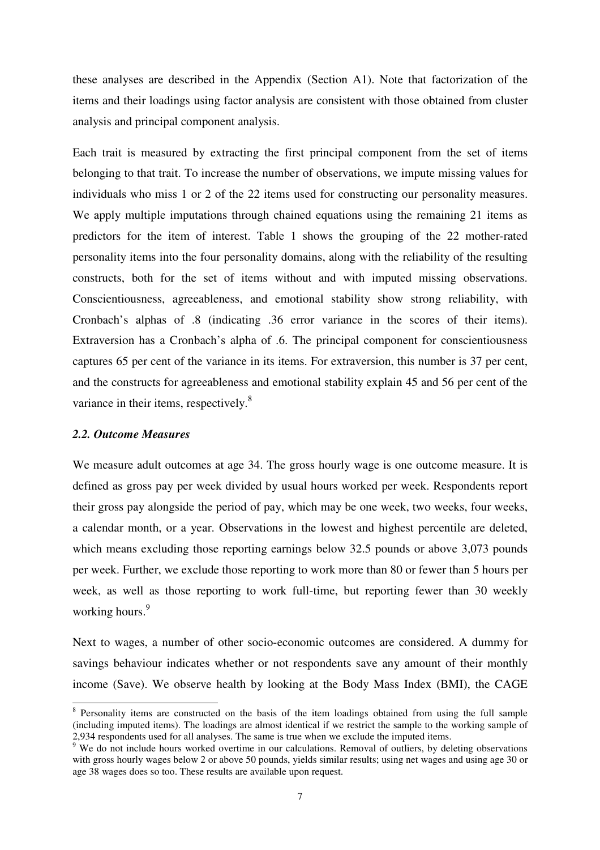these analyses are described in the Appendix (Section A1). Note that factorization of the items and their loadings using factor analysis are consistent with those obtained from cluster analysis and principal component analysis.

Each trait is measured by extracting the first principal component from the set of items belonging to that trait. To increase the number of observations, we impute missing values for individuals who miss 1 or 2 of the 22 items used for constructing our personality measures. We apply multiple imputations through chained equations using the remaining 21 items as predictors for the item of interest. Table 1 shows the grouping of the 22 mother-rated personality items into the four personality domains, along with the reliability of the resulting constructs, both for the set of items without and with imputed missing observations. Conscientiousness, agreeableness, and emotional stability show strong reliability, with Cronbach's alphas of .8 (indicating .36 error variance in the scores of their items). Extraversion has a Cronbach's alpha of .6. The principal component for conscientiousness captures 65 per cent of the variance in its items. For extraversion, this number is 37 per cent, and the constructs for agreeableness and emotional stability explain 45 and 56 per cent of the variance in their items, respectively.<sup>8</sup>

#### *2.2. Outcome Measures*

 $\overline{a}$ 

We measure adult outcomes at age 34. The gross hourly wage is one outcome measure. It is defined as gross pay per week divided by usual hours worked per week. Respondents report their gross pay alongside the period of pay, which may be one week, two weeks, four weeks, a calendar month, or a year. Observations in the lowest and highest percentile are deleted, which means excluding those reporting earnings below 32.5 pounds or above 3,073 pounds per week. Further, we exclude those reporting to work more than 80 or fewer than 5 hours per week, as well as those reporting to work full-time, but reporting fewer than 30 weekly working hours.<sup>9</sup>

Next to wages, a number of other socio-economic outcomes are considered. A dummy for savings behaviour indicates whether or not respondents save any amount of their monthly income (Save). We observe health by looking at the Body Mass Index (BMI), the CAGE

<sup>&</sup>lt;sup>8</sup> Personality items are constructed on the basis of the item loadings obtained from using the full sample (including imputed items). The loadings are almost identical if we restrict the sample to the working sample of 2,934 respondents used for all analyses. The same is true when we exclude the imputed items.

<sup>&</sup>lt;sup>9</sup> We do not include hours worked overtime in our calculations. Removal of outliers, by deleting observations with gross hourly wages below 2 or above 50 pounds, yields similar results; using net wages and using age 30 or age 38 wages does so too. These results are available upon request.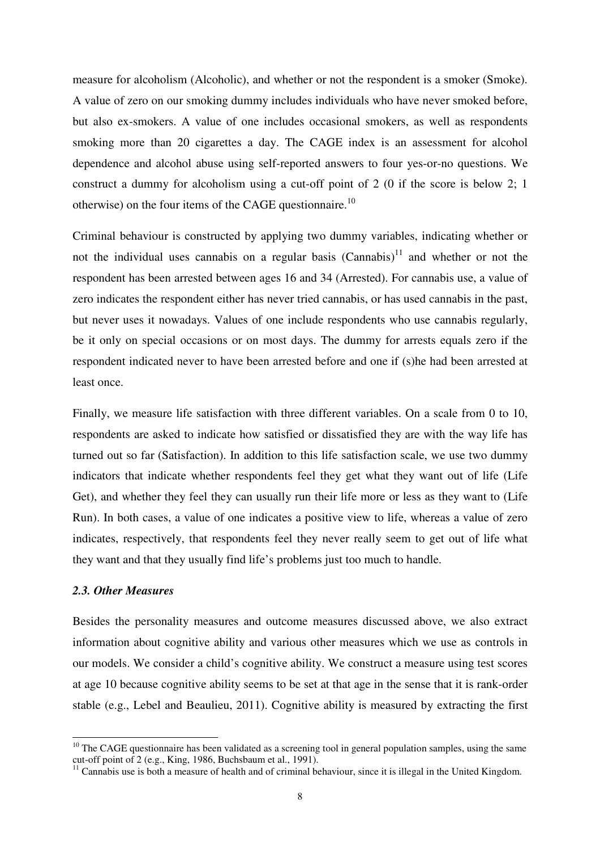measure for alcoholism (Alcoholic), and whether or not the respondent is a smoker (Smoke). A value of zero on our smoking dummy includes individuals who have never smoked before, but also ex-smokers. A value of one includes occasional smokers, as well as respondents smoking more than 20 cigarettes a day. The CAGE index is an assessment for alcohol dependence and alcohol abuse using self-reported answers to four yes-or-no questions. We construct a dummy for alcoholism using a cut-off point of 2 (0 if the score is below 2; 1 otherwise) on the four items of the CAGE questionnaire.<sup>10</sup>

Criminal behaviour is constructed by applying two dummy variables, indicating whether or not the individual uses cannabis on a regular basis  $(Camabis)<sup>11</sup>$  and whether or not the respondent has been arrested between ages 16 and 34 (Arrested). For cannabis use, a value of zero indicates the respondent either has never tried cannabis, or has used cannabis in the past, but never uses it nowadays. Values of one include respondents who use cannabis regularly, be it only on special occasions or on most days. The dummy for arrests equals zero if the respondent indicated never to have been arrested before and one if (s)he had been arrested at least once.

Finally, we measure life satisfaction with three different variables. On a scale from 0 to 10, respondents are asked to indicate how satisfied or dissatisfied they are with the way life has turned out so far (Satisfaction). In addition to this life satisfaction scale, we use two dummy indicators that indicate whether respondents feel they get what they want out of life (Life Get), and whether they feel they can usually run their life more or less as they want to (Life Run). In both cases, a value of one indicates a positive view to life, whereas a value of zero indicates, respectively, that respondents feel they never really seem to get out of life what they want and that they usually find life's problems just too much to handle.

#### *2.3. Other Measures*

 $\overline{a}$ 

Besides the personality measures and outcome measures discussed above, we also extract information about cognitive ability and various other measures which we use as controls in our models. We consider a child's cognitive ability. We construct a measure using test scores at age 10 because cognitive ability seems to be set at that age in the sense that it is rank-order stable (e.g., Lebel and Beaulieu, 2011). Cognitive ability is measured by extracting the first

<sup>&</sup>lt;sup>10</sup> The CAGE questionnaire has been validated as a screening tool in general population samples, using the same cut-off point of 2 (e.g., King, 1986, Buchsbaum et al., 1991).

 $11$  Cannabis use is both a measure of health and of criminal behaviour, since it is illegal in the United Kingdom.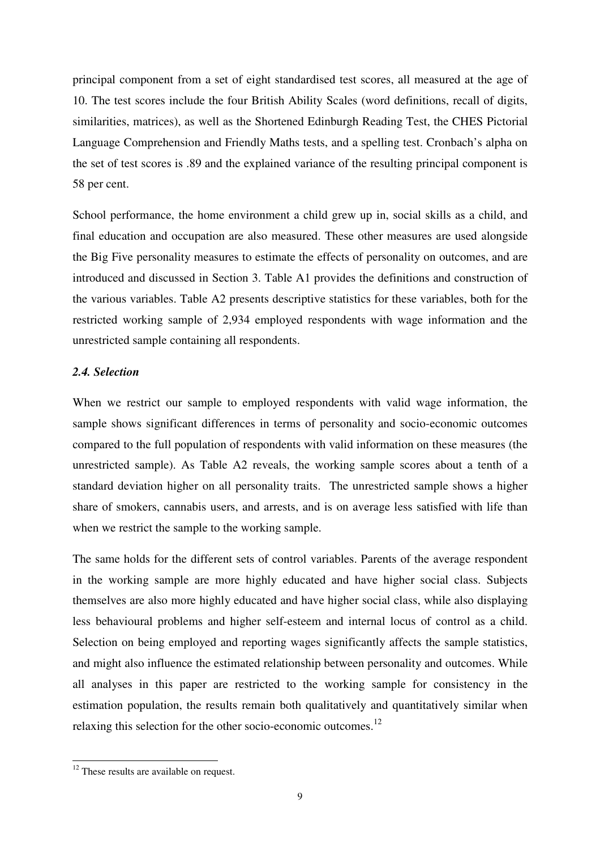principal component from a set of eight standardised test scores, all measured at the age of 10. The test scores include the four British Ability Scales (word definitions, recall of digits, similarities, matrices), as well as the Shortened Edinburgh Reading Test, the CHES Pictorial Language Comprehension and Friendly Maths tests, and a spelling test. Cronbach's alpha on the set of test scores is .89 and the explained variance of the resulting principal component is 58 per cent.

School performance, the home environment a child grew up in, social skills as a child, and final education and occupation are also measured. These other measures are used alongside the Big Five personality measures to estimate the effects of personality on outcomes, and are introduced and discussed in Section 3. Table A1 provides the definitions and construction of the various variables. Table A2 presents descriptive statistics for these variables, both for the restricted working sample of 2,934 employed respondents with wage information and the unrestricted sample containing all respondents.

#### *2.4. Selection*

When we restrict our sample to employed respondents with valid wage information, the sample shows significant differences in terms of personality and socio-economic outcomes compared to the full population of respondents with valid information on these measures (the unrestricted sample). As Table A2 reveals, the working sample scores about a tenth of a standard deviation higher on all personality traits. The unrestricted sample shows a higher share of smokers, cannabis users, and arrests, and is on average less satisfied with life than when we restrict the sample to the working sample.

The same holds for the different sets of control variables. Parents of the average respondent in the working sample are more highly educated and have higher social class. Subjects themselves are also more highly educated and have higher social class, while also displaying less behavioural problems and higher self-esteem and internal locus of control as a child. Selection on being employed and reporting wages significantly affects the sample statistics, and might also influence the estimated relationship between personality and outcomes. While all analyses in this paper are restricted to the working sample for consistency in the estimation population, the results remain both qualitatively and quantitatively similar when relaxing this selection for the other socio-economic outcomes.<sup>12</sup>

 $\overline{a}$ 

 $12$  These results are available on request.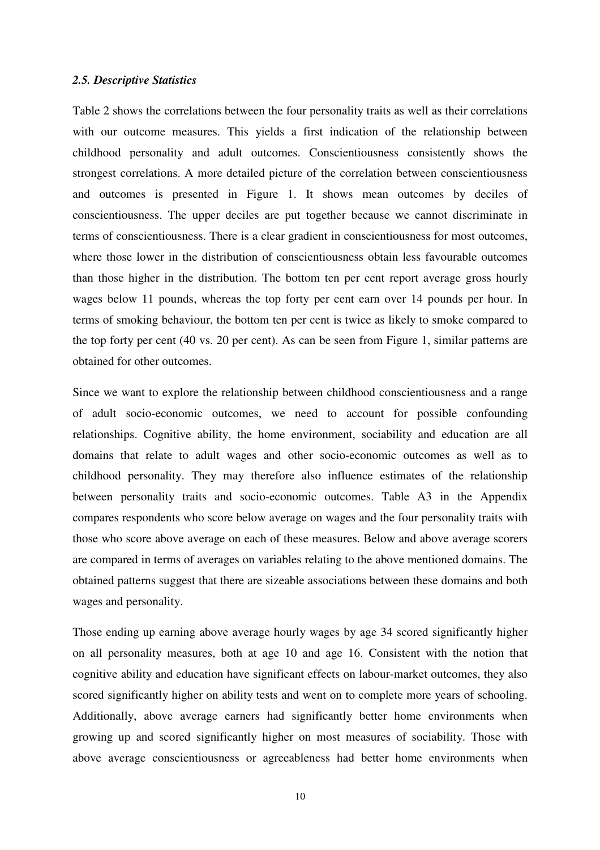#### *2.5. Descriptive Statistics*

Table 2 shows the correlations between the four personality traits as well as their correlations with our outcome measures. This yields a first indication of the relationship between childhood personality and adult outcomes. Conscientiousness consistently shows the strongest correlations. A more detailed picture of the correlation between conscientiousness and outcomes is presented in Figure 1. It shows mean outcomes by deciles of conscientiousness. The upper deciles are put together because we cannot discriminate in terms of conscientiousness. There is a clear gradient in conscientiousness for most outcomes, where those lower in the distribution of conscientiousness obtain less favourable outcomes than those higher in the distribution. The bottom ten per cent report average gross hourly wages below 11 pounds, whereas the top forty per cent earn over 14 pounds per hour. In terms of smoking behaviour, the bottom ten per cent is twice as likely to smoke compared to the top forty per cent (40 vs. 20 per cent). As can be seen from Figure 1, similar patterns are obtained for other outcomes.

Since we want to explore the relationship between childhood conscientiousness and a range of adult socio-economic outcomes, we need to account for possible confounding relationships. Cognitive ability, the home environment, sociability and education are all domains that relate to adult wages and other socio-economic outcomes as well as to childhood personality. They may therefore also influence estimates of the relationship between personality traits and socio-economic outcomes. Table A3 in the Appendix compares respondents who score below average on wages and the four personality traits with those who score above average on each of these measures. Below and above average scorers are compared in terms of averages on variables relating to the above mentioned domains. The obtained patterns suggest that there are sizeable associations between these domains and both wages and personality.

Those ending up earning above average hourly wages by age 34 scored significantly higher on all personality measures, both at age 10 and age 16. Consistent with the notion that cognitive ability and education have significant effects on labour-market outcomes, they also scored significantly higher on ability tests and went on to complete more years of schooling. Additionally, above average earners had significantly better home environments when growing up and scored significantly higher on most measures of sociability. Those with above average conscientiousness or agreeableness had better home environments when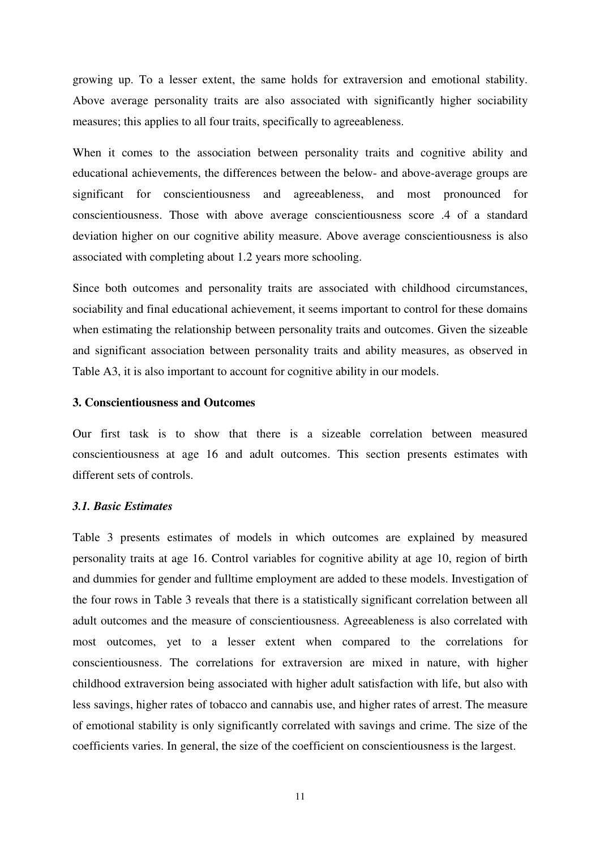growing up. To a lesser extent, the same holds for extraversion and emotional stability. Above average personality traits are also associated with significantly higher sociability measures; this applies to all four traits, specifically to agreeableness.

When it comes to the association between personality traits and cognitive ability and educational achievements, the differences between the below- and above-average groups are significant for conscientiousness and agreeableness, and most pronounced for conscientiousness. Those with above average conscientiousness score .4 of a standard deviation higher on our cognitive ability measure. Above average conscientiousness is also associated with completing about 1.2 years more schooling.

Since both outcomes and personality traits are associated with childhood circumstances, sociability and final educational achievement, it seems important to control for these domains when estimating the relationship between personality traits and outcomes. Given the sizeable and significant association between personality traits and ability measures, as observed in Table A3, it is also important to account for cognitive ability in our models.

#### **3. Conscientiousness and Outcomes**

Our first task is to show that there is a sizeable correlation between measured conscientiousness at age 16 and adult outcomes. This section presents estimates with different sets of controls.

#### *3.1. Basic Estimates*

Table 3 presents estimates of models in which outcomes are explained by measured personality traits at age 16. Control variables for cognitive ability at age 10, region of birth and dummies for gender and fulltime employment are added to these models. Investigation of the four rows in Table 3 reveals that there is a statistically significant correlation between all adult outcomes and the measure of conscientiousness. Agreeableness is also correlated with most outcomes, yet to a lesser extent when compared to the correlations for conscientiousness. The correlations for extraversion are mixed in nature, with higher childhood extraversion being associated with higher adult satisfaction with life, but also with less savings, higher rates of tobacco and cannabis use, and higher rates of arrest. The measure of emotional stability is only significantly correlated with savings and crime. The size of the coefficients varies. In general, the size of the coefficient on conscientiousness is the largest.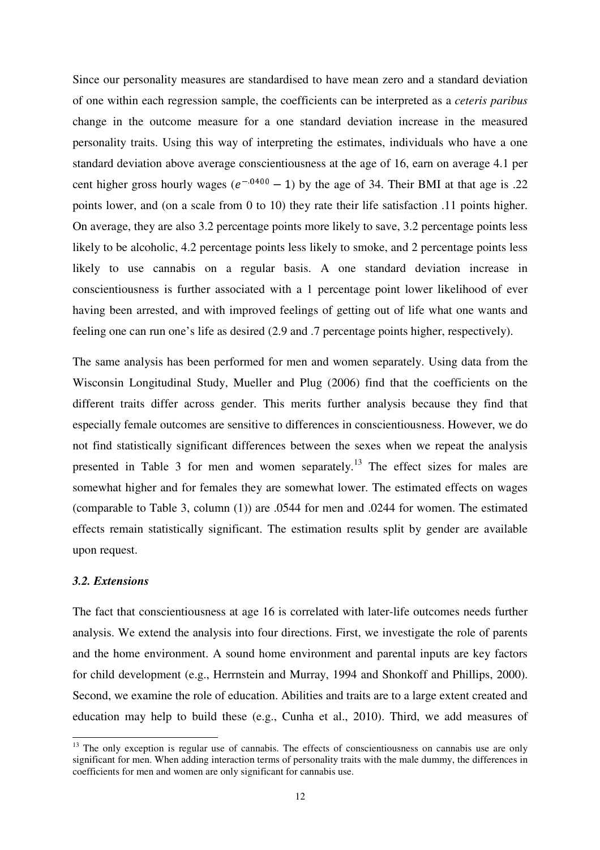Since our personality measures are standardised to have mean zero and a standard deviation of one within each regression sample, the coefficients can be interpreted as a *ceteris paribus*  change in the outcome measure for a one standard deviation increase in the measured personality traits. Using this way of interpreting the estimates, individuals who have a one standard deviation above average conscientiousness at the age of 16, earn on average 4.1 per cent higher gross hourly wages  $(e^{-0.0400} - 1)$  by the age of 34. Their BMI at that age is .22 points lower, and (on a scale from 0 to 10) they rate their life satisfaction .11 points higher. On average, they are also 3.2 percentage points more likely to save, 3.2 percentage points less likely to be alcoholic, 4.2 percentage points less likely to smoke, and 2 percentage points less likely to use cannabis on a regular basis. A one standard deviation increase in conscientiousness is further associated with a 1 percentage point lower likelihood of ever having been arrested, and with improved feelings of getting out of life what one wants and feeling one can run one's life as desired (2.9 and .7 percentage points higher, respectively).

The same analysis has been performed for men and women separately. Using data from the Wisconsin Longitudinal Study, Mueller and Plug (2006) find that the coefficients on the different traits differ across gender. This merits further analysis because they find that especially female outcomes are sensitive to differences in conscientiousness. However, we do not find statistically significant differences between the sexes when we repeat the analysis presented in Table 3 for men and women separately.<sup>13</sup> The effect sizes for males are somewhat higher and for females they are somewhat lower. The estimated effects on wages (comparable to Table 3, column (1)) are .0544 for men and .0244 for women. The estimated effects remain statistically significant. The estimation results split by gender are available upon request.

#### *3.2. Extensions*

 $\overline{a}$ 

The fact that conscientiousness at age 16 is correlated with later-life outcomes needs further analysis. We extend the analysis into four directions. First, we investigate the role of parents and the home environment. A sound home environment and parental inputs are key factors for child development (e.g., Herrnstein and Murray, 1994 and Shonkoff and Phillips, 2000). Second, we examine the role of education. Abilities and traits are to a large extent created and education may help to build these (e.g., Cunha et al., 2010). Third, we add measures of

<sup>&</sup>lt;sup>13</sup> The only exception is regular use of cannabis. The effects of conscientiousness on cannabis use are only significant for men. When adding interaction terms of personality traits with the male dummy, the differences in coefficients for men and women are only significant for cannabis use.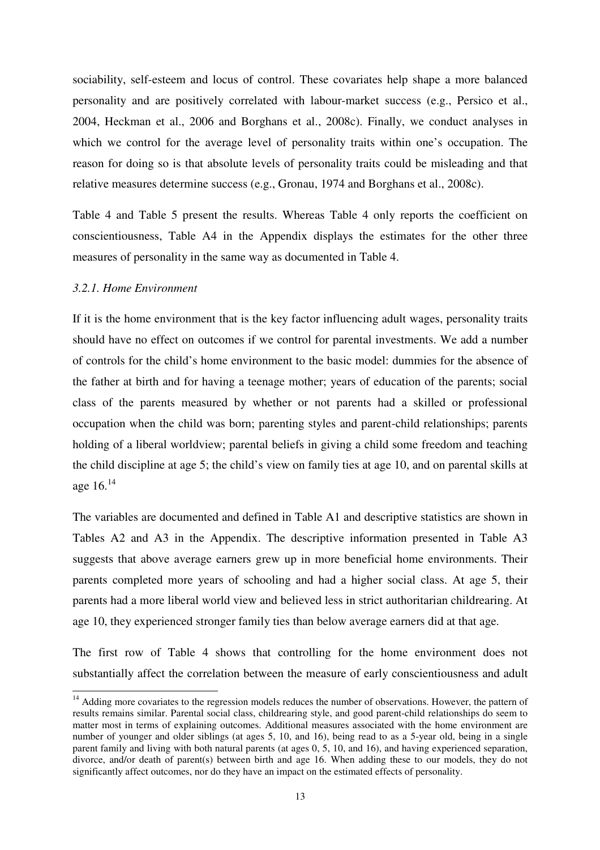sociability, self-esteem and locus of control. These covariates help shape a more balanced personality and are positively correlated with labour-market success (e.g., Persico et al., 2004, Heckman et al., 2006 and Borghans et al., 2008c). Finally, we conduct analyses in which we control for the average level of personality traits within one's occupation. The reason for doing so is that absolute levels of personality traits could be misleading and that relative measures determine success (e.g., Gronau, 1974 and Borghans et al., 2008c).

Table 4 and Table 5 present the results. Whereas Table 4 only reports the coefficient on conscientiousness, Table A4 in the Appendix displays the estimates for the other three measures of personality in the same way as documented in Table 4.

#### *3.2.1. Home Environment*

 $\overline{a}$ 

If it is the home environment that is the key factor influencing adult wages, personality traits should have no effect on outcomes if we control for parental investments. We add a number of controls for the child's home environment to the basic model: dummies for the absence of the father at birth and for having a teenage mother; years of education of the parents; social class of the parents measured by whether or not parents had a skilled or professional occupation when the child was born; parenting styles and parent-child relationships; parents holding of a liberal worldview; parental beliefs in giving a child some freedom and teaching the child discipline at age 5; the child's view on family ties at age 10, and on parental skills at age 16.<sup>14</sup>

The variables are documented and defined in Table A1 and descriptive statistics are shown in Tables A2 and A3 in the Appendix. The descriptive information presented in Table A3 suggests that above average earners grew up in more beneficial home environments. Their parents completed more years of schooling and had a higher social class. At age 5, their parents had a more liberal world view and believed less in strict authoritarian childrearing. At age 10, they experienced stronger family ties than below average earners did at that age.

The first row of Table 4 shows that controlling for the home environment does not substantially affect the correlation between the measure of early conscientiousness and adult

<sup>&</sup>lt;sup>14</sup> Adding more covariates to the regression models reduces the number of observations. However, the pattern of results remains similar. Parental social class, childrearing style, and good parent-child relationships do seem to matter most in terms of explaining outcomes. Additional measures associated with the home environment are number of younger and older siblings (at ages 5, 10, and 16), being read to as a 5-year old, being in a single parent family and living with both natural parents (at ages 0, 5, 10, and 16), and having experienced separation, divorce, and/or death of parent(s) between birth and age 16. When adding these to our models, they do not significantly affect outcomes, nor do they have an impact on the estimated effects of personality.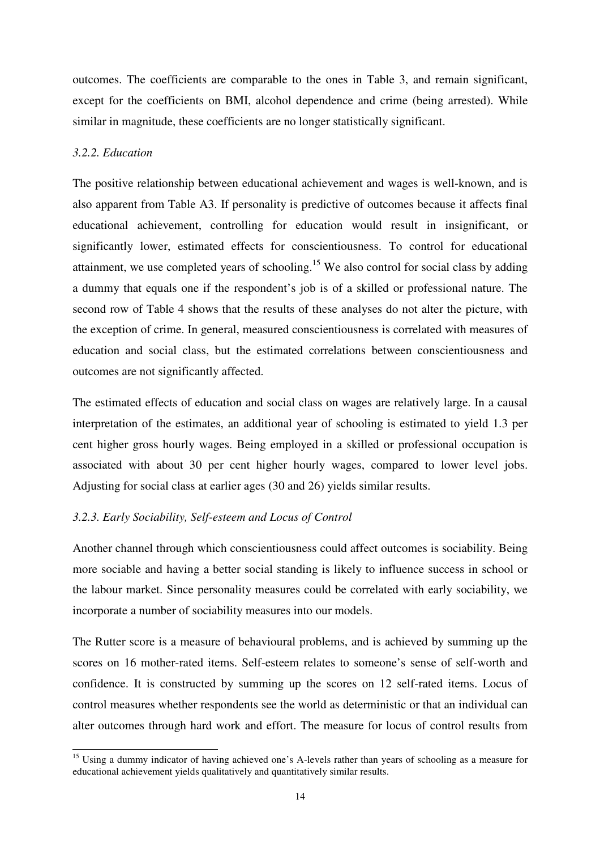outcomes. The coefficients are comparable to the ones in Table 3, and remain significant, except for the coefficients on BMI, alcohol dependence and crime (being arrested). While similar in magnitude, these coefficients are no longer statistically significant.

#### *3.2.2. Education*

 $\overline{a}$ 

The positive relationship between educational achievement and wages is well-known, and is also apparent from Table A3. If personality is predictive of outcomes because it affects final educational achievement, controlling for education would result in insignificant, or significantly lower, estimated effects for conscientiousness. To control for educational attainment, we use completed years of schooling.<sup>15</sup> We also control for social class by adding a dummy that equals one if the respondent's job is of a skilled or professional nature. The second row of Table 4 shows that the results of these analyses do not alter the picture, with the exception of crime. In general, measured conscientiousness is correlated with measures of education and social class, but the estimated correlations between conscientiousness and outcomes are not significantly affected.

The estimated effects of education and social class on wages are relatively large. In a causal interpretation of the estimates, an additional year of schooling is estimated to yield 1.3 per cent higher gross hourly wages. Being employed in a skilled or professional occupation is associated with about 30 per cent higher hourly wages, compared to lower level jobs. Adjusting for social class at earlier ages (30 and 26) yields similar results.

#### *3.2.3. Early Sociability, Self-esteem and Locus of Control*

Another channel through which conscientiousness could affect outcomes is sociability. Being more sociable and having a better social standing is likely to influence success in school or the labour market. Since personality measures could be correlated with early sociability, we incorporate a number of sociability measures into our models.

The Rutter score is a measure of behavioural problems, and is achieved by summing up the scores on 16 mother-rated items. Self-esteem relates to someone's sense of self-worth and confidence. It is constructed by summing up the scores on 12 self-rated items. Locus of control measures whether respondents see the world as deterministic or that an individual can alter outcomes through hard work and effort. The measure for locus of control results from

<sup>&</sup>lt;sup>15</sup> Using a dummy indicator of having achieved one's A-levels rather than years of schooling as a measure for educational achievement yields qualitatively and quantitatively similar results.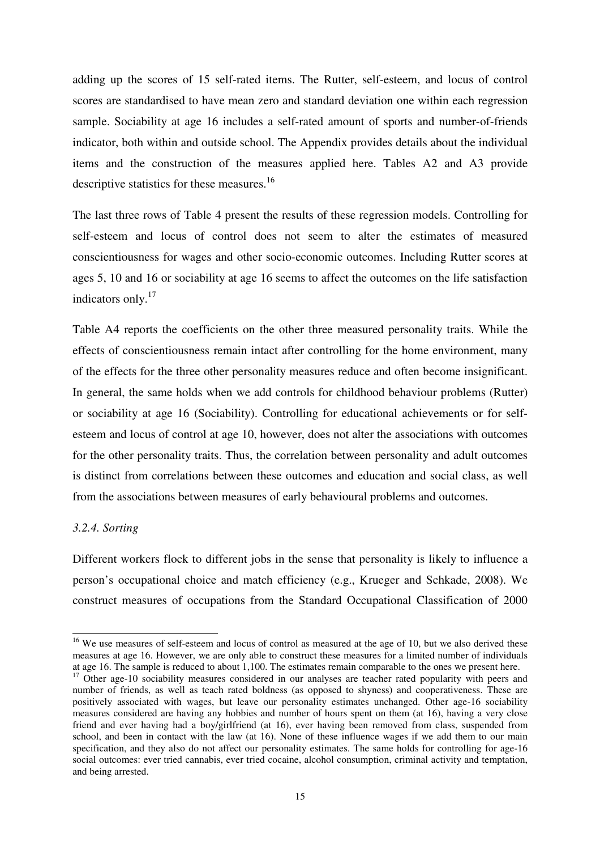adding up the scores of 15 self-rated items. The Rutter, self-esteem, and locus of control scores are standardised to have mean zero and standard deviation one within each regression sample. Sociability at age 16 includes a self-rated amount of sports and number-of-friends indicator, both within and outside school. The Appendix provides details about the individual items and the construction of the measures applied here. Tables A2 and A3 provide descriptive statistics for these measures.<sup>16</sup>

The last three rows of Table 4 present the results of these regression models. Controlling for self-esteem and locus of control does not seem to alter the estimates of measured conscientiousness for wages and other socio-economic outcomes. Including Rutter scores at ages 5, 10 and 16 or sociability at age 16 seems to affect the outcomes on the life satisfaction indicators only.<sup>17</sup>

Table A4 reports the coefficients on the other three measured personality traits. While the effects of conscientiousness remain intact after controlling for the home environment, many of the effects for the three other personality measures reduce and often become insignificant. In general, the same holds when we add controls for childhood behaviour problems (Rutter) or sociability at age 16 (Sociability). Controlling for educational achievements or for selfesteem and locus of control at age 10, however, does not alter the associations with outcomes for the other personality traits. Thus, the correlation between personality and adult outcomes is distinct from correlations between these outcomes and education and social class, as well from the associations between measures of early behavioural problems and outcomes.

#### *3.2.4. Sorting*

 $\overline{a}$ 

Different workers flock to different jobs in the sense that personality is likely to influence a person's occupational choice and match efficiency (e.g., Krueger and Schkade, 2008). We construct measures of occupations from the Standard Occupational Classification of 2000

<sup>&</sup>lt;sup>16</sup> We use measures of self-esteem and locus of control as measured at the age of 10, but we also derived these measures at age 16. However, we are only able to construct these measures for a limited number of individuals at age 16. The sample is reduced to about 1,100. The estimates remain comparable to the ones we present here.

<sup>&</sup>lt;sup>17</sup> Other age-10 sociability measures considered in our analyses are teacher rated popularity with peers and number of friends, as well as teach rated boldness (as opposed to shyness) and cooperativeness. These are positively associated with wages, but leave our personality estimates unchanged. Other age-16 sociability measures considered are having any hobbies and number of hours spent on them (at 16), having a very close friend and ever having had a boy/girlfriend (at 16), ever having been removed from class, suspended from school, and been in contact with the law (at 16). None of these influence wages if we add them to our main specification, and they also do not affect our personality estimates. The same holds for controlling for age-16 social outcomes: ever tried cannabis, ever tried cocaine, alcohol consumption, criminal activity and temptation, and being arrested.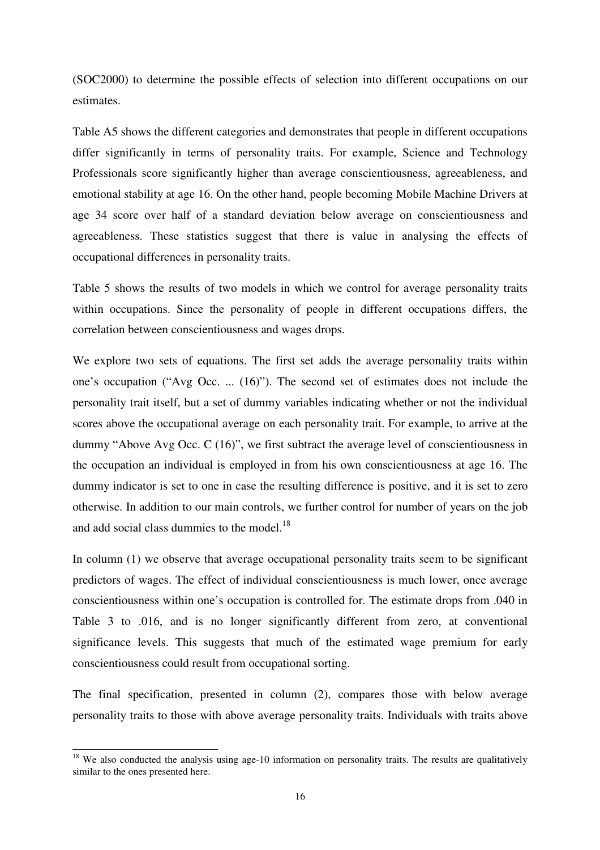(SOC2000) to determine the possible effects of selection into different occupations on our estimates.

Table A5 shows the different categories and demonstrates that people in different occupations differ significantly in terms of personality traits. For example, Science and Technology Professionals score significantly higher than average conscientiousness, agreeableness, and emotional stability at age 16. On the other hand, people becoming Mobile Machine Drivers at age 34 score over half of a standard deviation below average on conscientiousness and agreeableness. These statistics suggest that there is value in analysing the effects of occupational differences in personality traits.

Table 5 shows the results of two models in which we control for average personality traits within occupations. Since the personality of people in different occupations differs, the correlation between conscientiousness and wages drops.

We explore two sets of equations. The first set adds the average personality traits within one's occupation ("Avg Occ. ... (16)"). The second set of estimates does not include the personality trait itself, but a set of dummy variables indicating whether or not the individual scores above the occupational average on each personality trait. For example, to arrive at the dummy "Above Avg Occ. C (16)", we first subtract the average level of conscientiousness in the occupation an individual is employed in from his own conscientiousness at age 16. The dummy indicator is set to one in case the resulting difference is positive, and it is set to zero otherwise. In addition to our main controls, we further control for number of years on the job and add social class dummies to the model.<sup>18</sup>

In column (1) we observe that average occupational personality traits seem to be significant predictors of wages. The effect of individual conscientiousness is much lower, once average conscientiousness within one's occupation is controlled for. The estimate drops from .040 in Table 3 to .016, and is no longer significantly different from zero, at conventional significance levels. This suggests that much of the estimated wage premium for early conscientiousness could result from occupational sorting.

The final specification, presented in column (2), compares those with below average personality traits to those with above average personality traits. Individuals with traits above

 $\overline{a}$ 

 $18$  We also conducted the analysis using age-10 information on personality traits. The results are qualitatively similar to the ones presented here.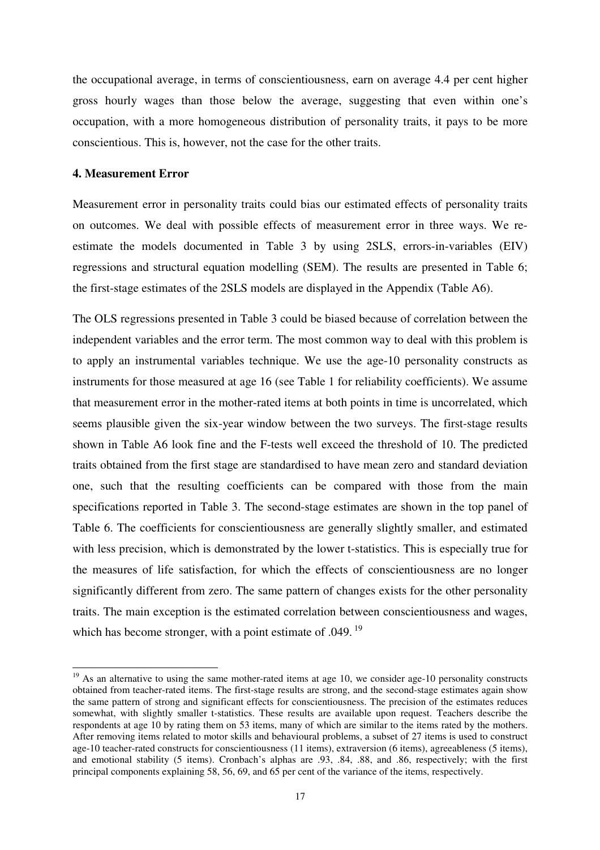the occupational average, in terms of conscientiousness, earn on average 4.4 per cent higher gross hourly wages than those below the average, suggesting that even within one's occupation, with a more homogeneous distribution of personality traits, it pays to be more conscientious. This is, however, not the case for the other traits.

#### **4. Measurement Error**

 $\overline{a}$ 

Measurement error in personality traits could bias our estimated effects of personality traits on outcomes. We deal with possible effects of measurement error in three ways. We reestimate the models documented in Table 3 by using 2SLS, errors-in-variables (EIV) regressions and structural equation modelling (SEM). The results are presented in Table 6; the first-stage estimates of the 2SLS models are displayed in the Appendix (Table A6).

The OLS regressions presented in Table 3 could be biased because of correlation between the independent variables and the error term. The most common way to deal with this problem is to apply an instrumental variables technique. We use the age-10 personality constructs as instruments for those measured at age 16 (see Table 1 for reliability coefficients). We assume that measurement error in the mother-rated items at both points in time is uncorrelated, which seems plausible given the six-year window between the two surveys. The first-stage results shown in Table A6 look fine and the F-tests well exceed the threshold of 10. The predicted traits obtained from the first stage are standardised to have mean zero and standard deviation one, such that the resulting coefficients can be compared with those from the main specifications reported in Table 3. The second-stage estimates are shown in the top panel of Table 6. The coefficients for conscientiousness are generally slightly smaller, and estimated with less precision, which is demonstrated by the lower t-statistics. This is especially true for the measures of life satisfaction, for which the effects of conscientiousness are no longer significantly different from zero. The same pattern of changes exists for the other personality traits. The main exception is the estimated correlation between conscientiousness and wages, which has become stronger, with a point estimate of .049.<sup>19</sup>

 $19$  As an alternative to using the same mother-rated items at age 10, we consider age-10 personality constructs obtained from teacher-rated items. The first-stage results are strong, and the second-stage estimates again show the same pattern of strong and significant effects for conscientiousness. The precision of the estimates reduces somewhat, with slightly smaller t-statistics. These results are available upon request. Teachers describe the respondents at age 10 by rating them on 53 items, many of which are similar to the items rated by the mothers. After removing items related to motor skills and behavioural problems, a subset of 27 items is used to construct age-10 teacher-rated constructs for conscientiousness (11 items), extraversion (6 items), agreeableness (5 items), and emotional stability (5 items). Cronbach's alphas are .93, .84, .88, and .86, respectively; with the first principal components explaining 58, 56, 69, and 65 per cent of the variance of the items, respectively.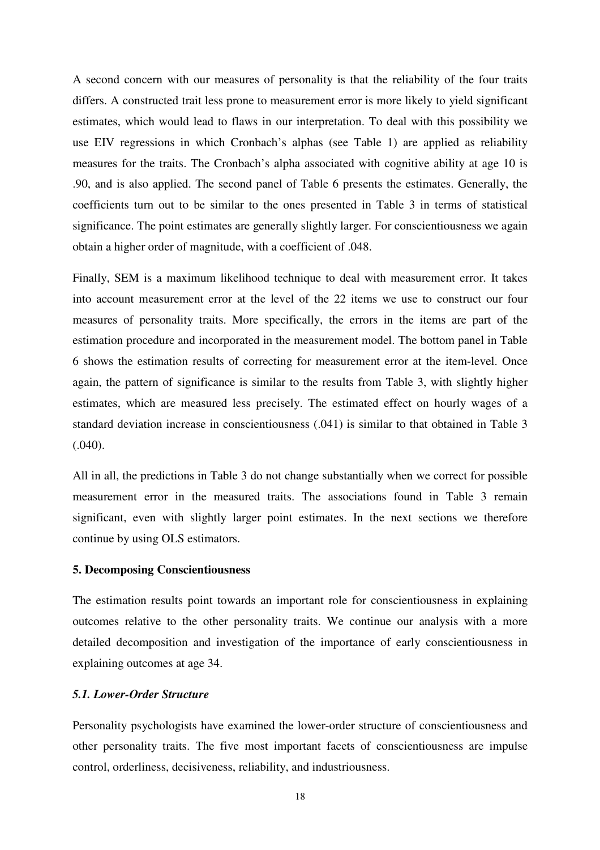A second concern with our measures of personality is that the reliability of the four traits differs. A constructed trait less prone to measurement error is more likely to yield significant estimates, which would lead to flaws in our interpretation. To deal with this possibility we use EIV regressions in which Cronbach's alphas (see Table 1) are applied as reliability measures for the traits. The Cronbach's alpha associated with cognitive ability at age 10 is .90, and is also applied. The second panel of Table 6 presents the estimates. Generally, the coefficients turn out to be similar to the ones presented in Table 3 in terms of statistical significance. The point estimates are generally slightly larger. For conscientiousness we again obtain a higher order of magnitude, with a coefficient of .048.

Finally, SEM is a maximum likelihood technique to deal with measurement error. It takes into account measurement error at the level of the 22 items we use to construct our four measures of personality traits. More specifically, the errors in the items are part of the estimation procedure and incorporated in the measurement model. The bottom panel in Table 6 shows the estimation results of correcting for measurement error at the item-level. Once again, the pattern of significance is similar to the results from Table 3, with slightly higher estimates, which are measured less precisely. The estimated effect on hourly wages of a standard deviation increase in conscientiousness (.041) is similar to that obtained in Table 3 (.040).

All in all, the predictions in Table 3 do not change substantially when we correct for possible measurement error in the measured traits. The associations found in Table 3 remain significant, even with slightly larger point estimates. In the next sections we therefore continue by using OLS estimators.

#### **5. Decomposing Conscientiousness**

The estimation results point towards an important role for conscientiousness in explaining outcomes relative to the other personality traits. We continue our analysis with a more detailed decomposition and investigation of the importance of early conscientiousness in explaining outcomes at age 34.

#### *5.1. Lower-Order Structure*

Personality psychologists have examined the lower-order structure of conscientiousness and other personality traits. The five most important facets of conscientiousness are impulse control, orderliness, decisiveness, reliability, and industriousness.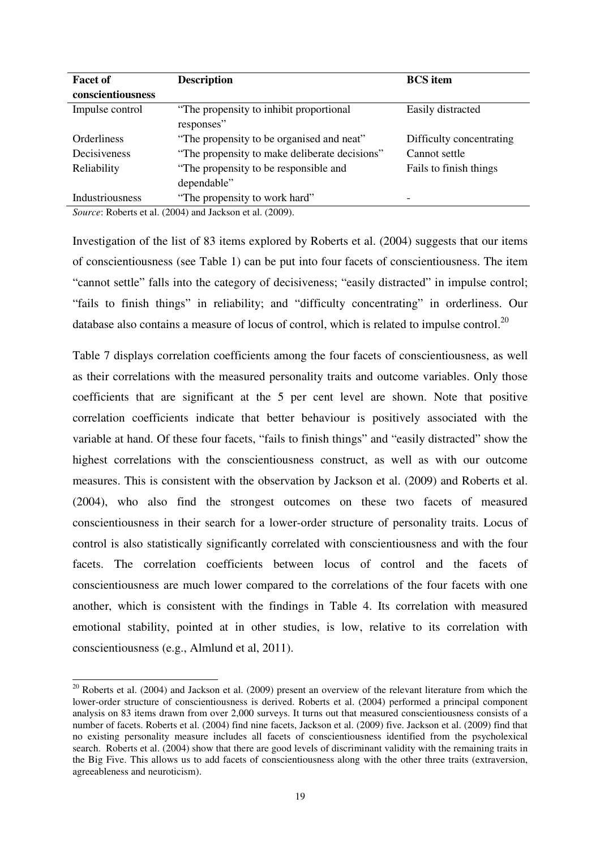| <b>Facet of</b>   | <b>Description</b>                                                                                                                                                                                                                                                                                                                                                                                                                                                                                                 | <b>BCS</b> item          |
|-------------------|--------------------------------------------------------------------------------------------------------------------------------------------------------------------------------------------------------------------------------------------------------------------------------------------------------------------------------------------------------------------------------------------------------------------------------------------------------------------------------------------------------------------|--------------------------|
| conscientiousness |                                                                                                                                                                                                                                                                                                                                                                                                                                                                                                                    |                          |
| Impulse control   | "The propensity to inhibit proportional"<br>responses"                                                                                                                                                                                                                                                                                                                                                                                                                                                             | Easily distracted        |
| Orderliness       | "The propensity to be organised and neat"                                                                                                                                                                                                                                                                                                                                                                                                                                                                          | Difficulty concentrating |
| Decisiveness      | "The propensity to make deliberate decisions"                                                                                                                                                                                                                                                                                                                                                                                                                                                                      | Cannot settle            |
| Reliability       | "The propensity to be responsible and<br>dependable"                                                                                                                                                                                                                                                                                                                                                                                                                                                               | Fails to finish things   |
| Industriousness   | "The propensity to work hard"<br>$A = \mathbf{D} \cdot \mathbf{1} + \mathbf{1} \cdot \mathbf{A} \cdot \mathbf{A} \cdot \mathbf{A} + \mathbf{1} \cdot \mathbf{1} \cdot \mathbf{A} \cdot \mathbf{A} \cdot \mathbf{A} \cdot \mathbf{A} \cdot \mathbf{A} \cdot \mathbf{A} \cdot \mathbf{A} \cdot \mathbf{A} \cdot \mathbf{A} \cdot \mathbf{A} \cdot \mathbf{A} \cdot \mathbf{A} \cdot \mathbf{A} \cdot \mathbf{A} \cdot \mathbf{A} \cdot \mathbf{A} \cdot \mathbf{A} \cdot \mathbf{A} \cdot \mathbf{A} \cdot \mathbf{$ | -                        |

*Source*: Roberts et al. (2004) and Jackson et al. (2009).

Investigation of the list of 83 items explored by Roberts et al. (2004) suggests that our items of conscientiousness (see Table 1) can be put into four facets of conscientiousness. The item "cannot settle" falls into the category of decisiveness; "easily distracted" in impulse control; "fails to finish things" in reliability; and "difficulty concentrating" in orderliness. Our database also contains a measure of locus of control, which is related to impulse control.<sup>20</sup>

Table 7 displays correlation coefficients among the four facets of conscientiousness, as well as their correlations with the measured personality traits and outcome variables. Only those coefficients that are significant at the 5 per cent level are shown. Note that positive correlation coefficients indicate that better behaviour is positively associated with the variable at hand. Of these four facets, "fails to finish things" and "easily distracted" show the highest correlations with the conscientiousness construct, as well as with our outcome measures. This is consistent with the observation by Jackson et al. (2009) and Roberts et al. (2004), who also find the strongest outcomes on these two facets of measured conscientiousness in their search for a lower-order structure of personality traits. Locus of control is also statistically significantly correlated with conscientiousness and with the four facets. The correlation coefficients between locus of control and the facets of conscientiousness are much lower compared to the correlations of the four facets with one another, which is consistent with the findings in Table 4. Its correlation with measured emotional stability, pointed at in other studies, is low, relative to its correlation with conscientiousness (e.g., Almlund et al, 2011).

 $\overline{a}$  $20$  Roberts et al. (2004) and Jackson et al. (2009) present an overview of the relevant literature from which the lower-order structure of conscientiousness is derived. Roberts et al. (2004) performed a principal component analysis on 83 items drawn from over 2,000 surveys. It turns out that measured conscientiousness consists of a number of facets. Roberts et al. (2004) find nine facets, Jackson et al. (2009) five. Jackson et al. (2009) find that no existing personality measure includes all facets of conscientiousness identified from the psycholexical search. Roberts et al. (2004) show that there are good levels of discriminant validity with the remaining traits in the Big Five. This allows us to add facets of conscientiousness along with the other three traits (extraversion, agreeableness and neuroticism).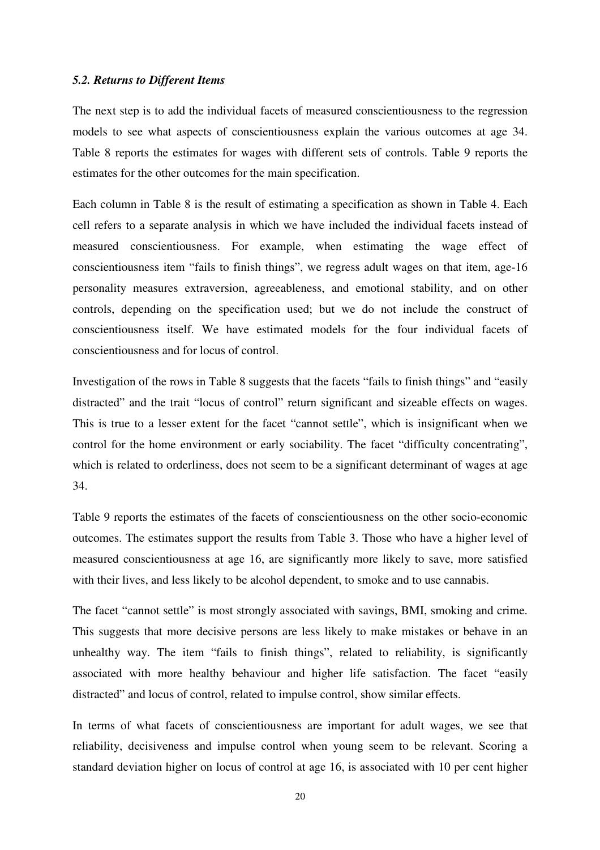#### *5.2. Returns to Different Items*

The next step is to add the individual facets of measured conscientiousness to the regression models to see what aspects of conscientiousness explain the various outcomes at age 34. Table 8 reports the estimates for wages with different sets of controls. Table 9 reports the estimates for the other outcomes for the main specification.

Each column in Table 8 is the result of estimating a specification as shown in Table 4. Each cell refers to a separate analysis in which we have included the individual facets instead of measured conscientiousness. For example, when estimating the wage effect of conscientiousness item "fails to finish things", we regress adult wages on that item, age-16 personality measures extraversion, agreeableness, and emotional stability, and on other controls, depending on the specification used; but we do not include the construct of conscientiousness itself. We have estimated models for the four individual facets of conscientiousness and for locus of control.

Investigation of the rows in Table 8 suggests that the facets "fails to finish things" and "easily distracted" and the trait "locus of control" return significant and sizeable effects on wages. This is true to a lesser extent for the facet "cannot settle", which is insignificant when we control for the home environment or early sociability. The facet "difficulty concentrating", which is related to orderliness, does not seem to be a significant determinant of wages at age 34.

Table 9 reports the estimates of the facets of conscientiousness on the other socio-economic outcomes. The estimates support the results from Table 3. Those who have a higher level of measured conscientiousness at age 16, are significantly more likely to save, more satisfied with their lives, and less likely to be alcohol dependent, to smoke and to use cannabis.

The facet "cannot settle" is most strongly associated with savings, BMI, smoking and crime. This suggests that more decisive persons are less likely to make mistakes or behave in an unhealthy way. The item "fails to finish things", related to reliability, is significantly associated with more healthy behaviour and higher life satisfaction. The facet "easily distracted" and locus of control, related to impulse control, show similar effects.

In terms of what facets of conscientiousness are important for adult wages, we see that reliability, decisiveness and impulse control when young seem to be relevant. Scoring a standard deviation higher on locus of control at age 16, is associated with 10 per cent higher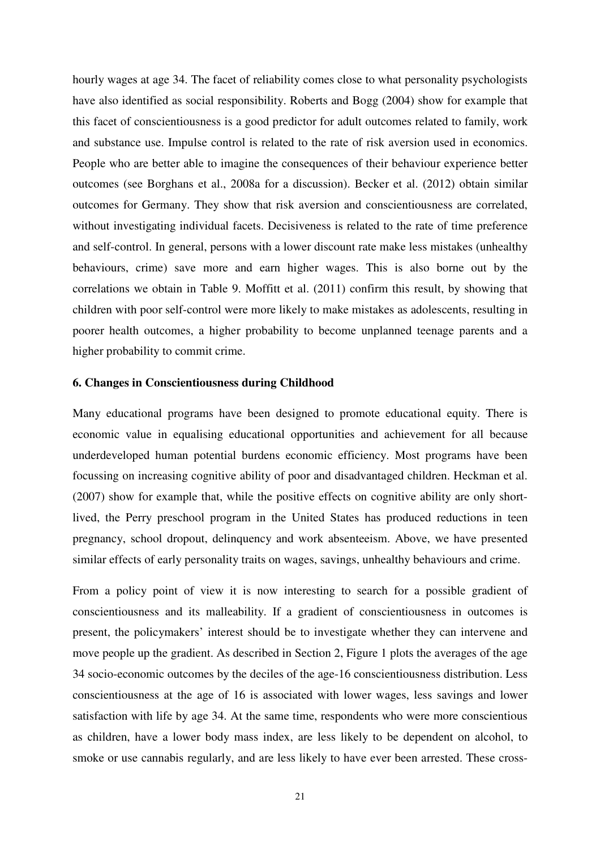hourly wages at age 34. The facet of reliability comes close to what personality psychologists have also identified as social responsibility. Roberts and Bogg (2004) show for example that this facet of conscientiousness is a good predictor for adult outcomes related to family, work and substance use. Impulse control is related to the rate of risk aversion used in economics. People who are better able to imagine the consequences of their behaviour experience better outcomes (see Borghans et al., 2008a for a discussion). Becker et al. (2012) obtain similar outcomes for Germany. They show that risk aversion and conscientiousness are correlated, without investigating individual facets. Decisiveness is related to the rate of time preference and self-control. In general, persons with a lower discount rate make less mistakes (unhealthy behaviours, crime) save more and earn higher wages. This is also borne out by the correlations we obtain in Table 9. Moffitt et al. (2011) confirm this result, by showing that children with poor self-control were more likely to make mistakes as adolescents, resulting in poorer health outcomes, a higher probability to become unplanned teenage parents and a higher probability to commit crime.

#### **6. Changes in Conscientiousness during Childhood**

Many educational programs have been designed to promote educational equity. There is economic value in equalising educational opportunities and achievement for all because underdeveloped human potential burdens economic efficiency. Most programs have been focussing on increasing cognitive ability of poor and disadvantaged children. Heckman et al. (2007) show for example that, while the positive effects on cognitive ability are only shortlived, the Perry preschool program in the United States has produced reductions in teen pregnancy, school dropout, delinquency and work absenteeism. Above, we have presented similar effects of early personality traits on wages, savings, unhealthy behaviours and crime.

From a policy point of view it is now interesting to search for a possible gradient of conscientiousness and its malleability. If a gradient of conscientiousness in outcomes is present, the policymakers' interest should be to investigate whether they can intervene and move people up the gradient. As described in Section 2, Figure 1 plots the averages of the age 34 socio-economic outcomes by the deciles of the age-16 conscientiousness distribution. Less conscientiousness at the age of 16 is associated with lower wages, less savings and lower satisfaction with life by age 34. At the same time, respondents who were more conscientious as children, have a lower body mass index, are less likely to be dependent on alcohol, to smoke or use cannabis regularly, and are less likely to have ever been arrested. These cross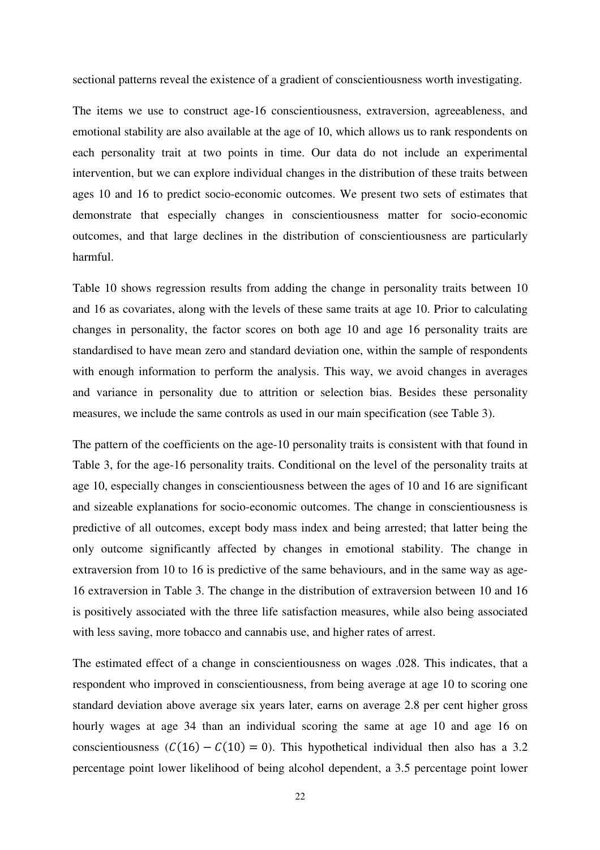sectional patterns reveal the existence of a gradient of conscientiousness worth investigating.

The items we use to construct age-16 conscientiousness, extraversion, agreeableness, and emotional stability are also available at the age of 10, which allows us to rank respondents on each personality trait at two points in time. Our data do not include an experimental intervention, but we can explore individual changes in the distribution of these traits between ages 10 and 16 to predict socio-economic outcomes. We present two sets of estimates that demonstrate that especially changes in conscientiousness matter for socio-economic outcomes, and that large declines in the distribution of conscientiousness are particularly harmful.

Table 10 shows regression results from adding the change in personality traits between 10 and 16 as covariates, along with the levels of these same traits at age 10. Prior to calculating changes in personality, the factor scores on both age 10 and age 16 personality traits are standardised to have mean zero and standard deviation one, within the sample of respondents with enough information to perform the analysis. This way, we avoid changes in averages and variance in personality due to attrition or selection bias. Besides these personality measures, we include the same controls as used in our main specification (see Table 3).

The pattern of the coefficients on the age-10 personality traits is consistent with that found in Table 3, for the age-16 personality traits. Conditional on the level of the personality traits at age 10, especially changes in conscientiousness between the ages of 10 and 16 are significant and sizeable explanations for socio-economic outcomes. The change in conscientiousness is predictive of all outcomes, except body mass index and being arrested; that latter being the only outcome significantly affected by changes in emotional stability. The change in extraversion from 10 to 16 is predictive of the same behaviours, and in the same way as age-16 extraversion in Table 3. The change in the distribution of extraversion between 10 and 16 is positively associated with the three life satisfaction measures, while also being associated with less saving, more tobacco and cannabis use, and higher rates of arrest.

The estimated effect of a change in conscientiousness on wages .028. This indicates, that a respondent who improved in conscientiousness, from being average at age 10 to scoring one standard deviation above average six years later, earns on average 2.8 per cent higher gross hourly wages at age 34 than an individual scoring the same at age 10 and age 16 on conscientiousness  $(C(16) - C(10) = 0)$ . This hypothetical individual then also has a 3.2 percentage point lower likelihood of being alcohol dependent, a 3.5 percentage point lower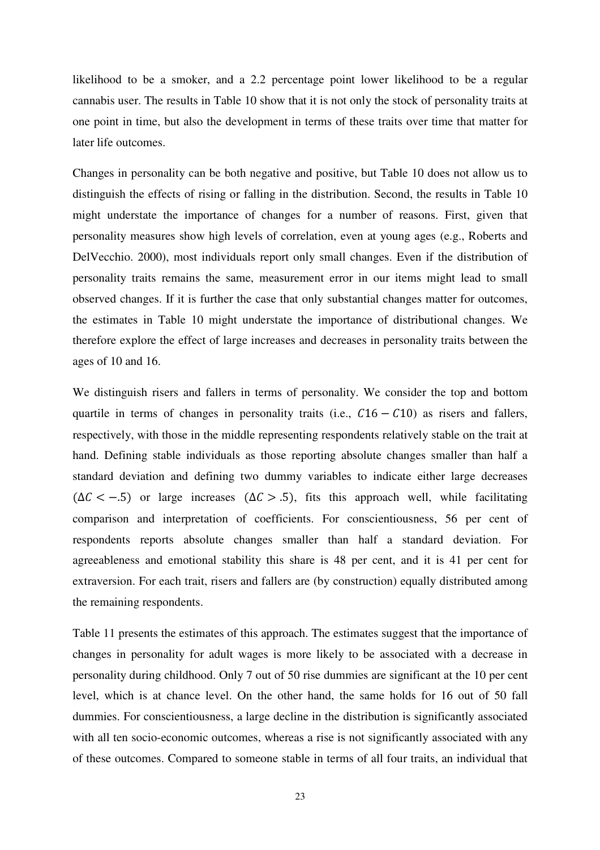likelihood to be a smoker, and a 2.2 percentage point lower likelihood to be a regular cannabis user. The results in Table 10 show that it is not only the stock of personality traits at one point in time, but also the development in terms of these traits over time that matter for later life outcomes.

Changes in personality can be both negative and positive, but Table 10 does not allow us to distinguish the effects of rising or falling in the distribution. Second, the results in Table 10 might understate the importance of changes for a number of reasons. First, given that personality measures show high levels of correlation, even at young ages (e.g., Roberts and DelVecchio. 2000), most individuals report only small changes. Even if the distribution of personality traits remains the same, measurement error in our items might lead to small observed changes. If it is further the case that only substantial changes matter for outcomes, the estimates in Table 10 might understate the importance of distributional changes. We therefore explore the effect of large increases and decreases in personality traits between the ages of 10 and 16.

We distinguish risers and fallers in terms of personality. We consider the top and bottom quartile in terms of changes in personality traits (i.e.,  $C16 - C10$ ) as risers and fallers, respectively, with those in the middle representing respondents relatively stable on the trait at hand. Defining stable individuals as those reporting absolute changes smaller than half a standard deviation and defining two dummy variables to indicate either large decreases  $(\Delta C < -0.5)$  or large increases  $(\Delta C > 0.5)$ , fits this approach well, while facilitating comparison and interpretation of coefficients. For conscientiousness, 56 per cent of respondents reports absolute changes smaller than half a standard deviation. For agreeableness and emotional stability this share is 48 per cent, and it is 41 per cent for extraversion. For each trait, risers and fallers are (by construction) equally distributed among the remaining respondents.

Table 11 presents the estimates of this approach. The estimates suggest that the importance of changes in personality for adult wages is more likely to be associated with a decrease in personality during childhood. Only 7 out of 50 rise dummies are significant at the 10 per cent level, which is at chance level. On the other hand, the same holds for 16 out of 50 fall dummies. For conscientiousness, a large decline in the distribution is significantly associated with all ten socio-economic outcomes, whereas a rise is not significantly associated with any of these outcomes. Compared to someone stable in terms of all four traits, an individual that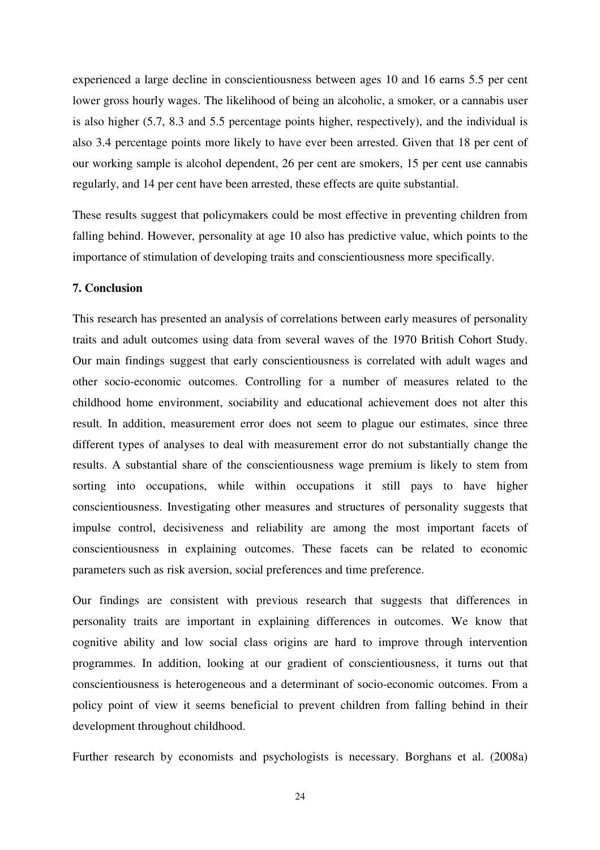experienced a large decline in conscientiousness between ages 10 and 16 earns 5.5 per cent lower gross hourly wages. The likelihood of being an alcoholic, a smoker, or a cannabis user is also higher (5.7, 8.3 and 5.5 percentage points higher, respectively), and the individual is also 3.4 percentage points more likely to have ever been arrested. Given that 18 per cent of our working sample is alcohol dependent, 26 per cent are smokers, 15 per cent use cannabis regularly, and 14 per cent have been arrested, these effects are quite substantial.

These results suggest that policymakers could be most effective in preventing children from falling behind. However, personality at age 10 also has predictive value, which points to the importance of stimulation of developing traits and conscientiousness more specifically.

#### **7. Conclusion**

This research has presented an analysis of correlations between early measures of personality traits and adult outcomes using data from several waves of the 1970 British Cohort Study. Our main findings suggest that early conscientiousness is correlated with adult wages and other socio-economic outcomes. Controlling for a number of measures related to the childhood home environment, sociability and educational achievement does not alter this result. In addition, measurement error does not seem to plague our estimates, since three different types of analyses to deal with measurement error do not substantially change the results. A substantial share of the conscientiousness wage premium is likely to stem from sorting into occupations, while within occupations it still pays to have higher conscientiousness. Investigating other measures and structures of personality suggests that impulse control, decisiveness and reliability are among the most important facets of conscientiousness in explaining outcomes. These facets can be related to economic parameters such as risk aversion, social preferences and time preference.

Our findings are consistent with previous research that suggests that differences in personality traits are important in explaining differences in outcomes. We know that cognitive ability and low social class origins are hard to improve through intervention programmes. In addition, looking at our gradient of conscientiousness, it turns out that conscientiousness is heterogeneous and a determinant of socio-economic outcomes. From a policy point of view it seems beneficial to prevent children from falling behind in their development throughout childhood.

Further research by economists and psychologists is necessary. Borghans et al. (2008a)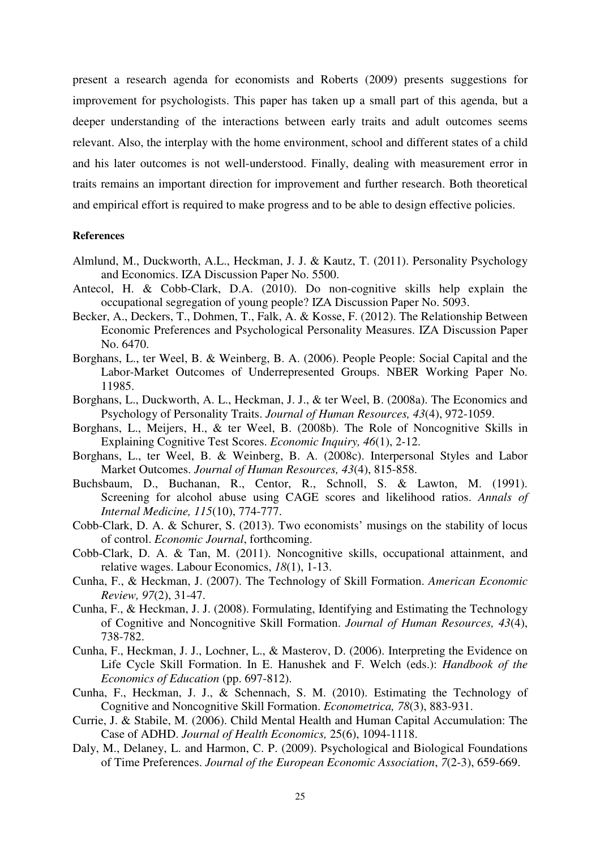present a research agenda for economists and Roberts (2009) presents suggestions for improvement for psychologists. This paper has taken up a small part of this agenda, but a deeper understanding of the interactions between early traits and adult outcomes seems relevant. Also, the interplay with the home environment, school and different states of a child and his later outcomes is not well-understood. Finally, dealing with measurement error in traits remains an important direction for improvement and further research. Both theoretical and empirical effort is required to make progress and to be able to design effective policies.

#### **References**

- Almlund, M., Duckworth, A.L., Heckman, J. J. & Kautz, T. (2011). Personality Psychology and Economics. IZA Discussion Paper No. 5500.
- Antecol, H. & Cobb-Clark, D.A. (2010). Do non-cognitive skills help explain the occupational segregation of young people? IZA Discussion Paper No. 5093.
- Becker, A., Deckers, T., Dohmen, T., Falk, A. & Kosse, F. (2012). The Relationship Between Economic Preferences and Psychological Personality Measures. IZA Discussion Paper No. 6470.
- Borghans, L., ter Weel, B. & Weinberg, B. A. (2006). People People: Social Capital and the Labor-Market Outcomes of Underrepresented Groups. NBER Working Paper No. 11985.
- Borghans, L., Duckworth, A. L., Heckman, J. J., & ter Weel, B. (2008a). The Economics and Psychology of Personality Traits. *Journal of Human Resources, 43*(4), 972-1059.
- Borghans, L., Meijers, H., & ter Weel, B. (2008b). The Role of Noncognitive Skills in Explaining Cognitive Test Scores. *Economic Inquiry, 46*(1), 2-12.
- Borghans, L., ter Weel, B. & Weinberg, B. A. (2008c). Interpersonal Styles and Labor Market Outcomes. *Journal of Human Resources, 43*(4), 815-858.
- Buchsbaum, D., Buchanan, R., Centor, R., Schnoll, S. & Lawton, M. (1991). Screening for alcohol abuse using CAGE scores and likelihood ratios. *Annals of Internal Medicine, 115*(10), 774-777.
- Cobb-Clark, D. A. & Schurer, S. (2013). Two economists' musings on the stability of locus of control. *Economic Journal*, forthcoming.
- Cobb-Clark, D. A. & Tan, M. (2011). Noncognitive skills, occupational attainment, and relative wages. Labour Economics, *18*(1), 1-13.
- Cunha, F., & Heckman, J. (2007). The Technology of Skill Formation. *American Economic Review, 97*(2), 31-47.
- Cunha, F., & Heckman, J. J. (2008). Formulating, Identifying and Estimating the Technology of Cognitive and Noncognitive Skill Formation. *Journal of Human Resources, 43*(4), 738-782.
- Cunha, F., Heckman, J. J., Lochner, L., & Masterov, D. (2006). Interpreting the Evidence on Life Cycle Skill Formation. In E. Hanushek and F. Welch (eds.): *Handbook of the Economics of Education* (pp. 697-812).
- Cunha, F., Heckman, J. J., & Schennach, S. M. (2010). Estimating the Technology of Cognitive and Noncognitive Skill Formation. *Econometrica, 78*(3), 883-931.
- Currie, J. & Stabile, M. (2006). Child Mental Health and Human Capital Accumulation: The Case of ADHD. *Journal of Health Economics,* 25(6), 1094-1118.
- Daly, M., Delaney, L. and Harmon, C. P. (2009). Psychological and Biological Foundations of Time Preferences. *Journal of the European Economic Association*, *7*(2-3), 659-669.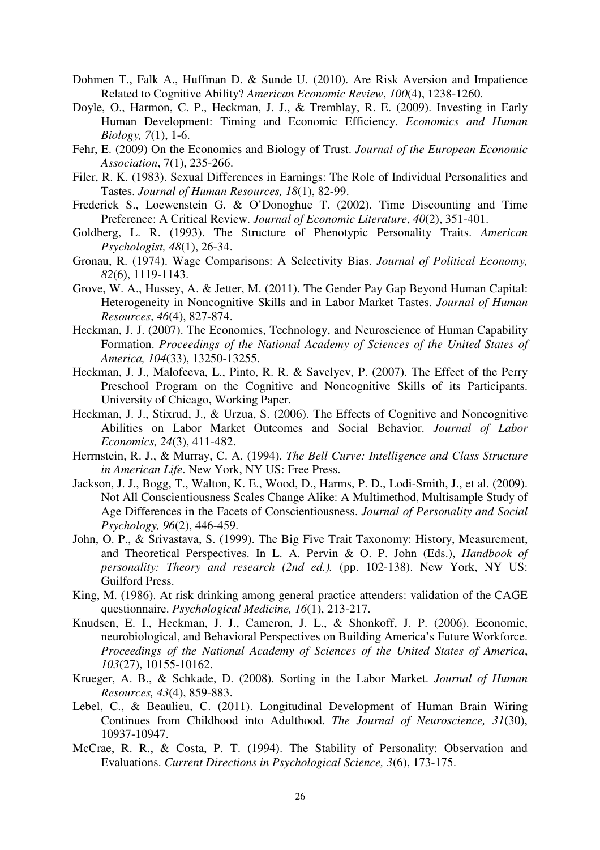- Dohmen T., Falk A., Huffman D. & Sunde U. (2010). Are Risk Aversion and Impatience Related to Cognitive Ability? *American Economic Review*, *100*(4), 1238-1260.
- Doyle, O., Harmon, C. P., Heckman, J. J., & Tremblay, R. E. (2009). Investing in Early Human Development: Timing and Economic Efficiency. *Economics and Human Biology, 7*(1), 1-6.
- Fehr, E. (2009) On the Economics and Biology of Trust. *Journal of the European Economic Association*, 7(1), 235-266.
- Filer, R. K. (1983). Sexual Differences in Earnings: The Role of Individual Personalities and Tastes. *Journal of Human Resources, 18*(1), 82-99.
- Frederick S., Loewenstein G. & O'Donoghue T. (2002). Time Discounting and Time Preference: A Critical Review. *Journal of Economic Literature*, *40*(2), 351-401.
- Goldberg, L. R. (1993). The Structure of Phenotypic Personality Traits. *American Psychologist, 48*(1), 26-34.
- Gronau, R. (1974). Wage Comparisons: A Selectivity Bias. *Journal of Political Economy, 82*(6), 1119-1143.
- Grove, W. A., Hussey, A. & Jetter, M. (2011). The Gender Pay Gap Beyond Human Capital: Heterogeneity in Noncognitive Skills and in Labor Market Tastes. *Journal of Human Resources*, *46*(4), 827-874.
- Heckman, J. J. (2007). The Economics, Technology, and Neuroscience of Human Capability Formation. *Proceedings of the National Academy of Sciences of the United States of America, 104*(33), 13250-13255.
- Heckman, J. J., Malofeeva, L., Pinto, R. R. & Savelyev, P. (2007). The Effect of the Perry Preschool Program on the Cognitive and Noncognitive Skills of its Participants. University of Chicago, Working Paper.
- Heckman, J. J., Stixrud, J., & Urzua, S. (2006). The Effects of Cognitive and Noncognitive Abilities on Labor Market Outcomes and Social Behavior. *Journal of Labor Economics, 24*(3), 411-482.
- Herrnstein, R. J., & Murray, C. A. (1994). *The Bell Curve: Intelligence and Class Structure in American Life*. New York, NY US: Free Press.
- Jackson, J. J., Bogg, T., Walton, K. E., Wood, D., Harms, P. D., Lodi-Smith, J., et al. (2009). Not All Conscientiousness Scales Change Alike: A Multimethod, Multisample Study of Age Differences in the Facets of Conscientiousness. *Journal of Personality and Social Psychology, 96*(2), 446-459.
- John, O. P., & Srivastava, S. (1999). The Big Five Trait Taxonomy: History, Measurement, and Theoretical Perspectives. In L. A. Pervin & O. P. John (Eds.), *Handbook of personality: Theory and research (2nd ed.).* (pp. 102-138). New York, NY US: Guilford Press.
- King, M. (1986). At risk drinking among general practice attenders: validation of the CAGE questionnaire. *Psychological Medicine, 16*(1), 213-217.
- Knudsen, E. I., Heckman, J. J., Cameron, J. L., & Shonkoff, J. P. (2006). Economic, neurobiological, and Behavioral Perspectives on Building America's Future Workforce. *Proceedings of the National Academy of Sciences of the United States of America*, *103*(27), 10155-10162.
- Krueger, A. B., & Schkade, D. (2008). Sorting in the Labor Market. *Journal of Human Resources, 43*(4), 859-883.
- Lebel, C., & Beaulieu, C. (2011). Longitudinal Development of Human Brain Wiring Continues from Childhood into Adulthood. *The Journal of Neuroscience, 31*(30), 10937-10947.
- McCrae, R. R., & Costa, P. T. (1994). The Stability of Personality: Observation and Evaluations. *Current Directions in Psychological Science, 3*(6), 173-175.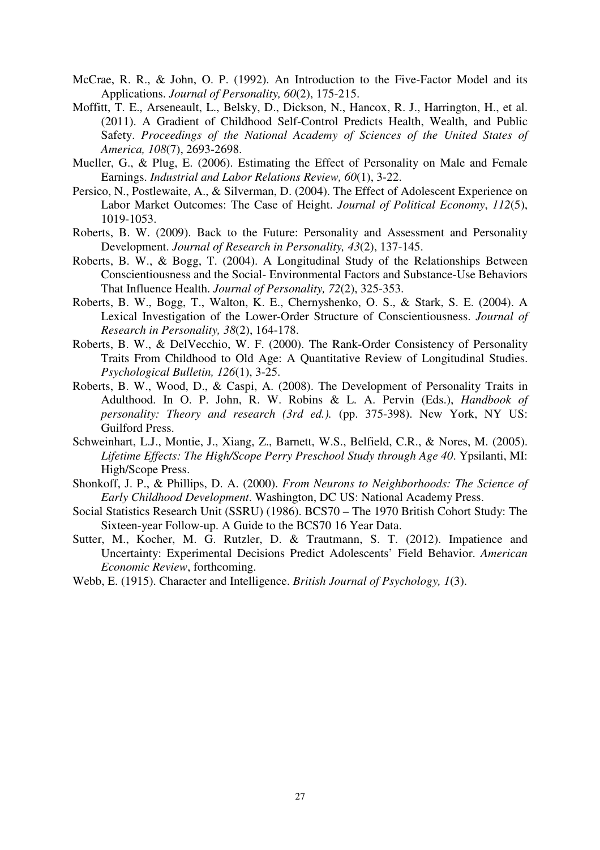- McCrae, R. R., & John, O. P. (1992). An Introduction to the Five-Factor Model and its Applications. *Journal of Personality, 60*(2), 175-215.
- Moffitt, T. E., Arseneault, L., Belsky, D., Dickson, N., Hancox, R. J., Harrington, H., et al. (2011). A Gradient of Childhood Self-Control Predicts Health, Wealth, and Public Safety. *Proceedings of the National Academy of Sciences of the United States of America, 108*(7), 2693-2698.
- Mueller, G., & Plug, E. (2006). Estimating the Effect of Personality on Male and Female Earnings. *Industrial and Labor Relations Review, 60*(1), 3-22.
- Persico, N., Postlewaite, A., & Silverman, D. (2004). The Effect of Adolescent Experience on Labor Market Outcomes: The Case of Height. *Journal of Political Economy*, *112*(5), 1019-1053.
- Roberts, B. W. (2009). Back to the Future: Personality and Assessment and Personality Development. *Journal of Research in Personality, 43*(2), 137-145.
- Roberts, B. W., & Bogg, T. (2004). A Longitudinal Study of the Relationships Between Conscientiousness and the Social- Environmental Factors and Substance-Use Behaviors That Influence Health. *Journal of Personality, 72*(2), 325-353.
- Roberts, B. W., Bogg, T., Walton, K. E., Chernyshenko, O. S., & Stark, S. E. (2004). A Lexical Investigation of the Lower-Order Structure of Conscientiousness. *Journal of Research in Personality, 38*(2), 164-178.
- Roberts, B. W., & DelVecchio, W. F. (2000). The Rank-Order Consistency of Personality Traits From Childhood to Old Age: A Quantitative Review of Longitudinal Studies. *Psychological Bulletin, 126*(1), 3-25.
- Roberts, B. W., Wood, D., & Caspi, A. (2008). The Development of Personality Traits in Adulthood. In O. P. John, R. W. Robins & L. A. Pervin (Eds.), *Handbook of personality: Theory and research (3rd ed.).* (pp. 375-398). New York, NY US: Guilford Press.
- Schweinhart, L.J., Montie, J., Xiang, Z., Barnett, W.S., Belfield, C.R., & Nores, M. (2005). *Lifetime Effects: The High/Scope Perry Preschool Study through Age 40*. Ypsilanti, MI: High/Scope Press.
- Shonkoff, J. P., & Phillips, D. A. (2000). *From Neurons to Neighborhoods: The Science of Early Childhood Development*. Washington, DC US: National Academy Press.
- Social Statistics Research Unit (SSRU) (1986). BCS70 The 1970 British Cohort Study: The Sixteen-year Follow-up. A Guide to the BCS70 16 Year Data.
- Sutter, M., Kocher, M. G. Rutzler, D. & Trautmann, S. T. (2012). Impatience and Uncertainty: Experimental Decisions Predict Adolescents' Field Behavior. *American Economic Review*, forthcoming.
- Webb, E. (1915). Character and Intelligence. *British Journal of Psychology, 1*(3).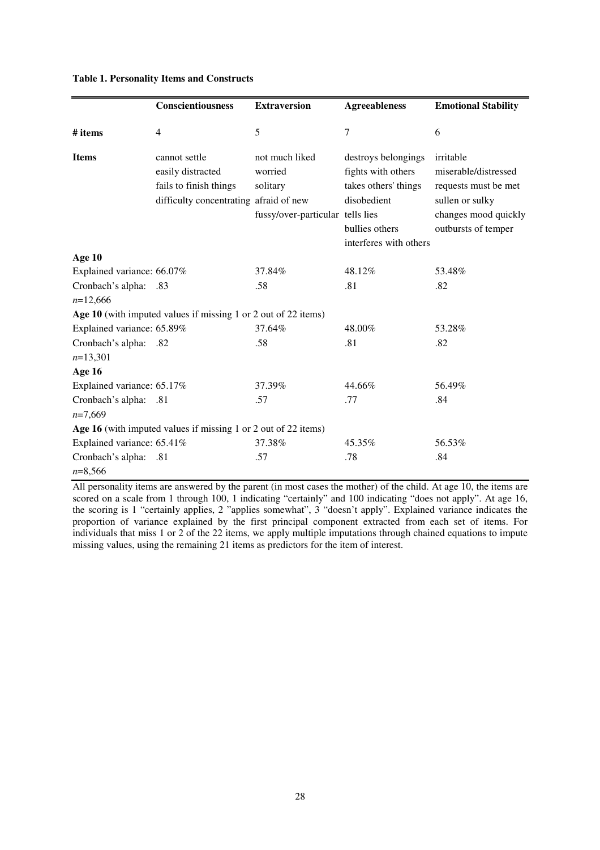|                                     | Conscientiousness                                                                                      | <b>Extraversion</b>                                                       | <b>Agreeableness</b>                                                                                                         | <b>Emotional Stability</b>                                                                                                  |
|-------------------------------------|--------------------------------------------------------------------------------------------------------|---------------------------------------------------------------------------|------------------------------------------------------------------------------------------------------------------------------|-----------------------------------------------------------------------------------------------------------------------------|
| # items                             | $\overline{4}$                                                                                         | 5                                                                         | $\overline{7}$                                                                                                               | 6                                                                                                                           |
| <b>Items</b>                        | cannot settle<br>easily distracted<br>fails to finish things<br>difficulty concentrating afraid of new | not much liked<br>worried<br>solitary<br>fussy/over-particular tells lies | destroys belongings<br>fights with others<br>takes others' things<br>disobedient<br>bullies others<br>interferes with others | irritable<br>miserable/distressed<br>requests must be met<br>sullen or sulky<br>changes mood quickly<br>outbursts of temper |
| Age 10                              |                                                                                                        |                                                                           |                                                                                                                              |                                                                                                                             |
| Explained variance: 66.07%          |                                                                                                        | 37.84%                                                                    | 48.12%                                                                                                                       | 53.48%                                                                                                                      |
| Cronbach's alpha: .83<br>$n=12,666$ |                                                                                                        | .58                                                                       | .81                                                                                                                          | .82                                                                                                                         |
|                                     | Age 10 (with imputed values if missing 1 or 2 out of 22 items)                                         |                                                                           |                                                                                                                              |                                                                                                                             |
| Explained variance: 65.89%          |                                                                                                        | 37.64%                                                                    | 48.00%                                                                                                                       | 53.28%                                                                                                                      |
| Cronbach's alpha:<br>$n=13,301$     | .82                                                                                                    | .58                                                                       | .81                                                                                                                          | .82                                                                                                                         |
| Age 16                              |                                                                                                        |                                                                           |                                                                                                                              |                                                                                                                             |
| Explained variance: 65.17%          |                                                                                                        | 37.39%                                                                    | 44.66%                                                                                                                       | 56.49%                                                                                                                      |
| Cronbach's alpha: .81<br>$n=7,669$  |                                                                                                        | .57                                                                       | .77                                                                                                                          | .84                                                                                                                         |
|                                     | Age 16 (with imputed values if missing 1 or 2 out of 22 items)                                         |                                                                           |                                                                                                                              |                                                                                                                             |
| Explained variance: 65.41%          |                                                                                                        | 37.38%                                                                    | 45.35%                                                                                                                       | 56.53%                                                                                                                      |
| Cronbach's alpha:<br>$n=8,566$      | .81                                                                                                    | .57                                                                       | .78                                                                                                                          | .84                                                                                                                         |

#### **Table 1. Personality Items and Constructs**

All personality items are answered by the parent (in most cases the mother) of the child. At age 10, the items are scored on a scale from 1 through 100, 1 indicating "certainly" and 100 indicating "does not apply". At age 16, the scoring is 1 "certainly applies, 2 "applies somewhat", 3 "doesn't apply". Explained variance indicates the proportion of variance explained by the first principal component extracted from each set of items. For individuals that miss 1 or 2 of the 22 items, we apply multiple imputations through chained equations to impute missing values, using the remaining 21 items as predictors for the item of interest.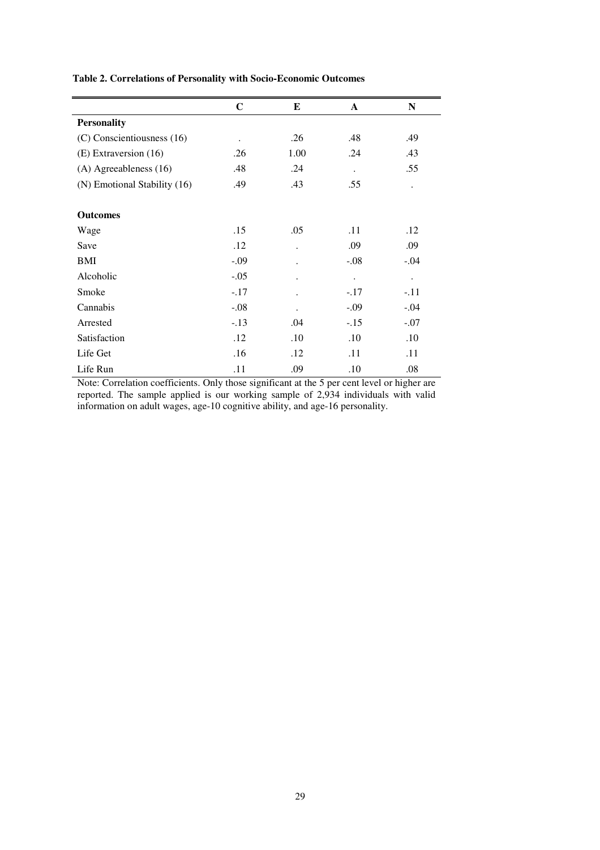|                              | $\mathbf C$          | E                    | $\mathbf{A}$ | N                    |
|------------------------------|----------------------|----------------------|--------------|----------------------|
| <b>Personality</b>           |                      |                      |              |                      |
| (C) Conscientiousness (16)   | $\ddot{\phantom{0}}$ | .26                  | .48          | .49                  |
| (E) Extraversion (16)        | .26                  | 1.00                 | .24          | .43                  |
| (A) Agreeableness (16)       | .48                  | .24                  | $\bullet$    | .55                  |
| (N) Emotional Stability (16) | .49                  | .43                  | .55          | $\ddot{\phantom{0}}$ |
|                              |                      |                      |              |                      |
| <b>Outcomes</b>              |                      |                      |              |                      |
| Wage                         | .15                  | .05                  | .11          | .12                  |
| Save                         | .12                  | $\ddot{\phantom{0}}$ | .09          | .09                  |
| BMI                          | $-.09$               | $\ddot{\phantom{0}}$ | $-.08$       | $-.04$               |
| Alcoholic                    | $-.05$               | $\ddot{\phantom{a}}$ | $\bullet$    | $\ddot{\phantom{0}}$ |
| Smoke                        | $-.17$               |                      | $-.17$       | $-.11$               |
| Cannabis                     | $-.08$               |                      | $-.09$       | $-.04$               |
| Arrested                     | $-.13$               | .04                  | $-.15$       | $-.07$               |
| Satisfaction                 | .12                  | .10                  | .10          | .10                  |
| Life Get                     | .16                  | .12                  | .11          | .11                  |
| Life Run                     | .11                  | .09                  | .10          | .08                  |

**Table 2. Correlations of Personality with Socio-Economic Outcomes** 

Note: Correlation coefficients. Only those significant at the 5 per cent level or higher are reported. The sample applied is our working sample of 2,934 individuals with valid information on adult wages, age-10 cognitive ability, and age-16 personality.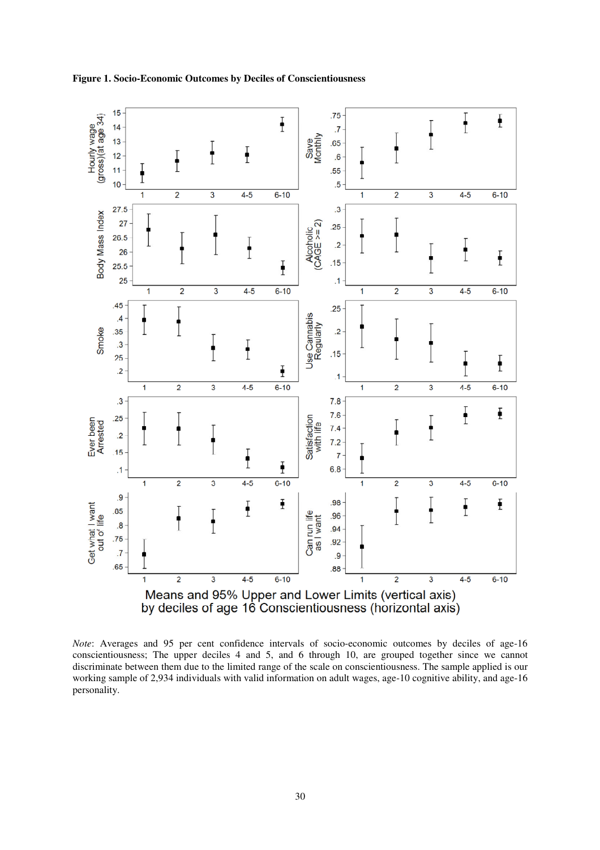



*Note*: Averages and 95 per cent confidence intervals of socio-economic outcomes by deciles of age-16 conscientiousness; The upper deciles 4 and 5, and 6 through 10, are grouped together since we cannot discriminate between them due to the limited range of the scale on conscientiousness. The sample applied is our working sample of 2,934 individuals with valid information on adult wages, age-10 cognitive ability, and age-16 personality.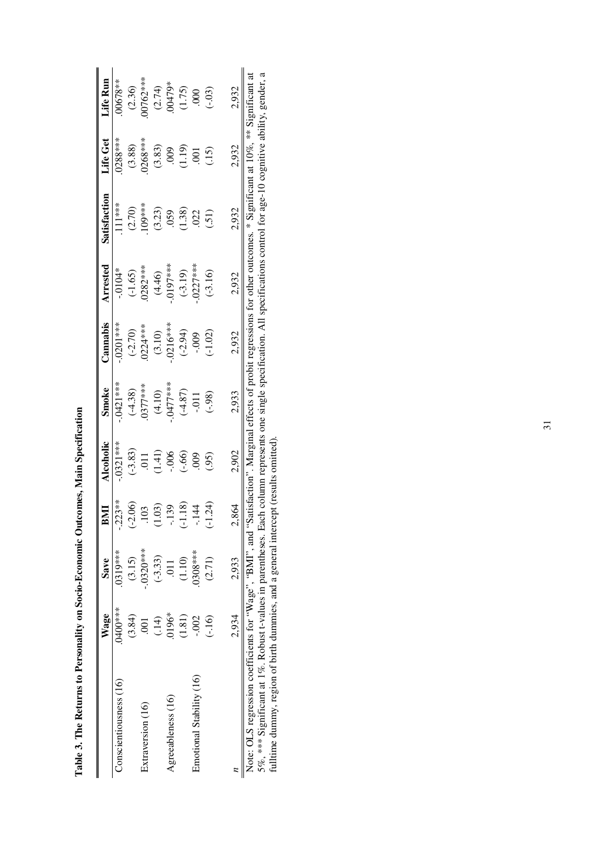|                                                                | Wage           | Save           | BMI                      | <b>Alcoholic</b> | <b>Smoke</b>                             | Cannabis   | Arrested    | Satisfaction                                                                             | Life Get            | Life Run              |
|----------------------------------------------------------------|----------------|----------------|--------------------------|------------------|------------------------------------------|------------|-------------|------------------------------------------------------------------------------------------|---------------------|-----------------------|
| Conscientiousness (16)                                         | 0400***        | 0319***        | $-223**$                 | $0321***$        | $.0421***$                               | $-0201***$ | $-0104*$    | $.111***$                                                                                | $.0288***$          | $00678***$            |
|                                                                | (3.84)         | (3.15)         | $(-2.06)$                | $(-3.83)$        | $(-4.38)$                                | $(-2.70)$  | $(-1.65)$   | (2.70)                                                                                   |                     | $(2.36)$<br>00762***  |
| Extraversion (16)                                              | $\overline{0}$ | $-.0320***$    | 103                      | 011              | $0377***$                                | $0224***$  | $0282***$   | $109***$                                                                                 | $(3.88)$<br>0268*** |                       |
|                                                                | (14)           | $(-3.33)$      | $\widetilde{\mathrm{S}}$ | (1.41)           | (4.10)                                   | (3.10)     | (4.46)      | (3.23)                                                                                   |                     | $(2.74)$<br>$.00479*$ |
| Agreeableness (16)                                             | $0196*$        | $\overline{0}$ | $-139$                   | $-0.006$         | $-0477***$                               | $.0216***$ | $-.0197***$ | .059                                                                                     | $(3.83)$<br>$.009$  |                       |
|                                                                | (1.81)         | (1.10)         | (81)<br>군                | (.66)            | $(-4.87)$                                | $(-2.94)$  | $(-3.19)$   | (1.38)                                                                                   | (1.19)              | (1.75)                |
| Emotional Stability (16)                                       | $-002$         | 1308****       | $-144$                   | 600              | $-0.011$                                 | $-0.009$   | $0227***$   | .022                                                                                     | $\overline{5}$      |                       |
|                                                                | $(-.16)$       | (2.71)         | (34)<br>군                | (95)             | (.98)                                    | $(-1.02)$  | $(-3.16)$   | (51)                                                                                     | (15)                | (6.03)                |
|                                                                | 2,934          | 2,933          | 2,864                    | 2,902            | 2,933                                    | 2,932      | 2,932       | 2,932                                                                                    | 2,932               | 2,932                 |
| Note: OLS recression coefficients for "Wage" "RMI" and "S<br>I |                |                |                          |                  | atistaction". Marginal effects of probit |            |             | regressions for other outcomes $*$ Significant at 10% $*$ * $\frac{1}{2}$ s onificant at |                     |                       |

Table 3. The Returns to Personality on Socio-Economic Outcomes, Main Specification **Table 3. The Returns to Personality on Socio-Economic Outcomes, Main Specification** 

Note: ULS regression coefficients for "Wage", "BMI", and "Satisfaction". Marginal effects of probit regressions for other outcomes. \* Significant at 10%, \*\* Significant at<br>5%, \*\*\* Significant at 1%. Robust t-values in pare Note: OLS regression coefficients for "Wage", "BMI", and "Satisfaction". Marginal effects of probit regressions for other outcomes. \* Significant at 10%, \*\* Significant at 5%, \*\*\* Significant at 1%. Robust t-values in parentheses. Each column represents one single specification. All specifications control for age-10 cognitive ability, gender, a fulltime dummy, region of birth dummies, and a general intercept (results omitted).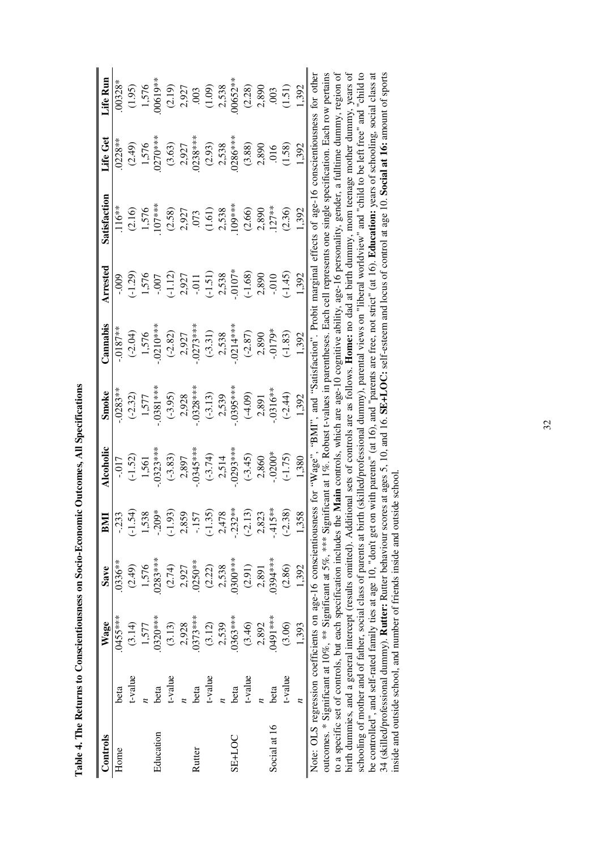| i<br>d<br>i                        |
|------------------------------------|
| í<br>I                             |
| $\vdots$<br>l<br>ו<br>ו            |
| ic of the control<br>l             |
| I                                  |
| l<br>İ<br>i                        |
| ּ<br>ו<br>$\overline{\Gamma}$<br>١ |

| Controls           |         | <b>Wage</b>                                                             | Save       | BMI       | Alcoholic       | Smoke         | Cannabis                   | Arrested  | Satisfaction                                                                                                                                                     | Life Get  | Life Run |
|--------------------|---------|-------------------------------------------------------------------------|------------|-----------|-----------------|---------------|----------------------------|-----------|------------------------------------------------------------------------------------------------------------------------------------------------------------------|-----------|----------|
| Home               | beta    | 0455***                                                                 | $0336***$  | $-233$    | $-0.017$        | $.0283**$     | $.0187***$                 | $-000 -$  | $116***$                                                                                                                                                         | $0228**$  | 00328*   |
|                    | t-value | (3.14)                                                                  | (2.49)     | $(-1.54)$ | $(-1.52)$       | $(-2.32)$     | $(-2.04)$                  | $(-1.29)$ | (2.16)                                                                                                                                                           | (2.49)    | (1.95)   |
|                    |         | 1,577                                                                   | 1,576      | 1,538     | 1,561           | 1,577         | 1,576                      | 1,576     | 1,576                                                                                                                                                            | 1,576     | 1,576    |
| Education          | beta    | $.0320***$                                                              | $.0283***$ | $-209*$   | $.0323***$      | $-0.0381$ *** | $-0.0210**$                | $-0.007$  | 107***                                                                                                                                                           | $0270***$ | 00619**  |
|                    | t-value | (3.13)                                                                  | (2.74)     | $(-1.93)$ | $(-3.83)$       | $(-3.95)$     | $(-2.82)$                  | $(-1.12)$ | (2.58)                                                                                                                                                           | (3.63)    | (2.19)   |
|                    |         | 2,928                                                                   | 2,927      | 2,859     | 2,897           | 2,928         | 2,927                      | 2,927     | 2,927                                                                                                                                                            | 2,927     | 2,927    |
| Rutter             | beta    | $.0373***$                                                              | $.0250**$  | $-157$    | $0.345***$      | $.0328***$    | $.0273***$                 | $-0.011$  | .073                                                                                                                                                             | $0238***$ | .003     |
|                    | t-value | (3.12)                                                                  | (2.22)     | $(-1.35)$ | $(-3.74)$       | $(-3.13)$     | $(-3.31)$                  | $(-1.51)$ | (1.61)                                                                                                                                                           | (2.93)    | (1.09)   |
|                    |         | 2,539                                                                   | 2,538      | 2,478     | 2,514           | 2,539         | 2,538                      | 2,538     | 2,538                                                                                                                                                            | 2,538     | 2,538    |
| SE <sub>+LOC</sub> | beta    | $.0363***$                                                              | 0300***    | $-232**$  | $.0293***$      | $0.395***$    | $.0214***$                 | $.0107*$  | 109****                                                                                                                                                          | $0286***$ | 00652**  |
|                    | t-value | (3.46)                                                                  | (2.91)     | $(-2.13)$ | $(-3.45)$       | $(-4.09)$     | $(-2.87)$                  | $(-1.68)$ | (2.66)                                                                                                                                                           | (3.88)    | (2.28)   |
|                    |         | 2,892                                                                   | 2,891      | 2,823     | 2,860           | 2,891         | 2,890                      | 2,890     | 2,890                                                                                                                                                            | 2,890     | 2,890    |
| Social at 16       | beta    | ****1949.                                                               | $0394***$  | $-415**$  | $-0200*$        | $-.0316**$    | $-0179*$                   | $-0.010$  | $127**$                                                                                                                                                          | 016       | .003     |
|                    | t-value | (3.06)                                                                  | (2.86)     | $(-2.38)$ | $(-1.75)$       | $(-2.44)$     | $(-1.83)$                  | $(-1.45)$ | (2.36)                                                                                                                                                           | (1.58)    | (1.51)   |
|                    | z       | 1,393                                                                   | 1,392      | 1,358     | 1,380           | 1,392         | 1.392                      | 1,392     | 1,392                                                                                                                                                            | 1,392     | 1.392    |
|                    |         | Note: OLS regression coefficients on age-16 conscientiousness for       |            |           | $W$ age". "BMI" |               | and "Satisfaction". Probi- |           | t marginal effects of age-16 conscientiousness for other                                                                                                         |           |          |
|                    |         | outcomes. * Significant at $10\%$ , ** Significant at $5\%$ , *** Signi |            |           |                 |               |                            |           | ificant at $1\%$ . Robust t-values in parentheses. Each cell represents one single specification. Each row pertains                                              |           |          |
|                    |         | to a specific set of controls, but each specification includes the      |            |           |                 |               |                            |           | Main controls, which are age-10 cognitive ability, age-16 personality, gender, a fulltime dummy, region of                                                       |           |          |
|                    |         |                                                                         |            |           |                 |               |                            |           | birth dummies and a general intercent (results omitted) Additional sets of controls are as follows. Home no dad at birth dummy mom teenage mother dummy vears of |           |          |

birth dummies, and a general intercept (results omitted). Additional sets of controls are as follows. **Home:** no dad at birth dummy, mom teenage mother dummy, years of<br>schooling of mother and of father, social class of par birth dummies, and a general intercept (results omitted). Additional sets of controls are as follows. **Home:** no dad at birth dummy, mom teenage mother dummy, years of schooling of mother and of father, social class of parents at birth (skilled/professional dummy), parental views on "liberal worldview" and "child to be left free" and "child to be controlled", and self-rated family ties at age 10, "don't get on with parents" (at 16), and "parents are free, not strict" (at 16). **Education:** years of schooling, social class at 34 (skilled/professional dummy). **Rutter:** Rutter behaviour scores at ages 5, 10, and 16. **SE+LOC:** self-esteem and locus of control at age 10. **Social at 16:** amount of sports inside and outside school, and number of friends inside and outside school.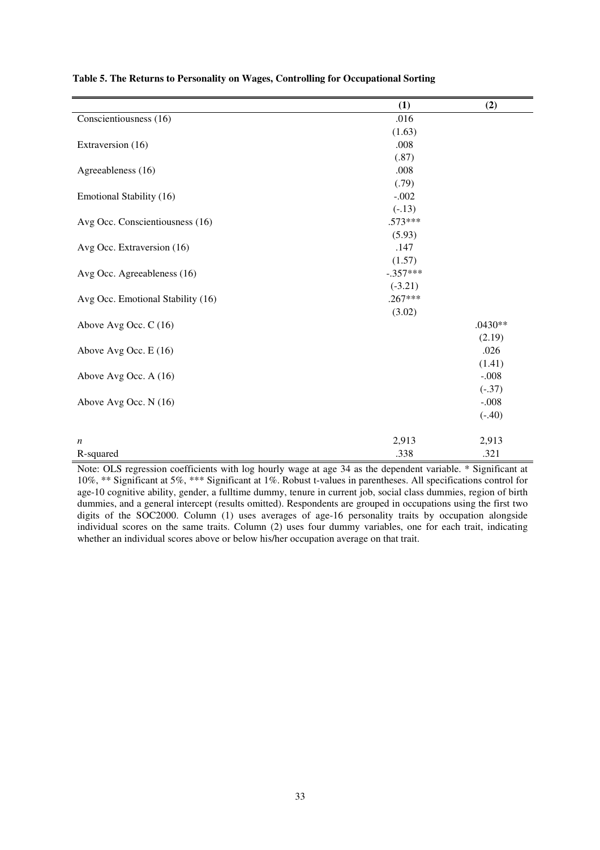|                                   | (1)        | (2)       |
|-----------------------------------|------------|-----------|
| Conscientiousness (16)            | .016       |           |
|                                   | (1.63)     |           |
| Extraversion (16)                 | .008       |           |
|                                   | (.87)      |           |
| Agreeableness (16)                | .008       |           |
|                                   | (.79)      |           |
| Emotional Stability (16)          | $-.002$    |           |
|                                   | $(-.13)$   |           |
| Avg Occ. Conscientiousness (16)   | $.573***$  |           |
|                                   | (5.93)     |           |
| Avg Occ. Extraversion (16)        | .147       |           |
|                                   | (1.57)     |           |
| Avg Occ. Agreeableness (16)       | $-.357***$ |           |
|                                   | $(-3.21)$  |           |
| Avg Occ. Emotional Stability (16) | $.267***$  |           |
|                                   | (3.02)     |           |
| Above Avg Occ. C (16)             |            | $.0430**$ |
|                                   |            | (2.19)    |
| Above Avg Occ. E (16)             |            | .026      |
|                                   |            | (1.41)    |
| Above Avg Occ. A (16)             |            | $-.008$   |
|                                   |            | $(-.37)$  |
| Above Avg Occ. N (16)             |            | $-.008$   |
|                                   |            | $(-.40)$  |
|                                   |            |           |
| n                                 | 2,913      | 2,913     |
| R-squared                         | .338       | .321      |

**Table 5. The Returns to Personality on Wages, Controlling for Occupational Sorting** 

Note: OLS regression coefficients with log hourly wage at age 34 as the dependent variable. \* Significant at 10%, \*\* Significant at 5%, \*\*\* Significant at 1%. Robust t-values in parentheses. All specifications control for age-10 cognitive ability, gender, a fulltime dummy, tenure in current job, social class dummies, region of birth dummies, and a general intercept (results omitted). Respondents are grouped in occupations using the first two digits of the SOC2000. Column (1) uses averages of age-16 personality traits by occupation alongside individual scores on the same traits. Column (2) uses four dummy variables, one for each trait, indicating whether an individual scores above or below his/her occupation average on that trait.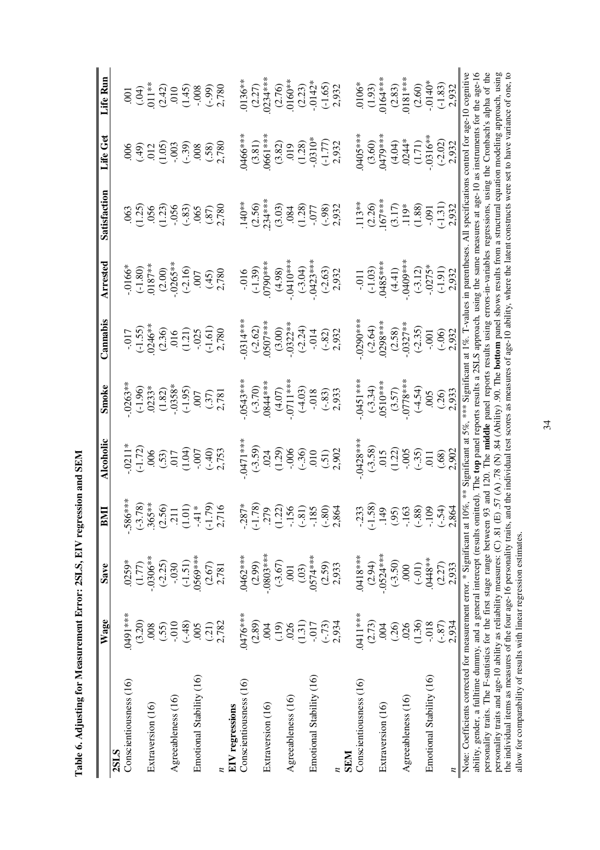| $\frac{1}{2}$<br>֘֒               |
|-----------------------------------|
|                                   |
| )<br>ׇ֠                           |
| i                                 |
| $\overline{C}$ and $\overline{C}$ |
| $\vdots$<br>ļ                     |
|                                   |
|                                   |
| J<br>l                            |
|                                   |
| ו<br>ה                            |

|                                                                                                                                                                                                  | Wage      | Save           | BMI                                                 | Alcoholic                                  | Smoke                       | Cannabis                                                                             | Arrested                | Satisfaction                                                                                                                                                                                                                                             | Life Get                                                | Life Run                                                  |
|--------------------------------------------------------------------------------------------------------------------------------------------------------------------------------------------------|-----------|----------------|-----------------------------------------------------|--------------------------------------------|-----------------------------|--------------------------------------------------------------------------------------|-------------------------|----------------------------------------------------------------------------------------------------------------------------------------------------------------------------------------------------------------------------------------------------------|---------------------------------------------------------|-----------------------------------------------------------|
| 2SLS                                                                                                                                                                                             |           |                |                                                     |                                            |                             |                                                                                      |                         |                                                                                                                                                                                                                                                          |                                                         |                                                           |
| Conscientiousness (16)                                                                                                                                                                           | ***16t0   | .0259*         | $-586***$                                           | 0211                                       | $.0263**$                   |                                                                                      | $.0166*$                |                                                                                                                                                                                                                                                          |                                                         | .001                                                      |
|                                                                                                                                                                                                  | (3.20)    | (1.77)         |                                                     |                                            | (1.96)                      |                                                                                      | $(-1.80)$               | (1.25)                                                                                                                                                                                                                                                   | (65.)                                                   | (34)                                                      |
| Extraversion (16)                                                                                                                                                                                | .008      | $-.0306**$     | $(-3.78)$<br>$.365**$<br>$(2.56)$<br>$.211$         | $(-1.72)$<br>$-0.53$<br>$-0.17$<br>$-1.04$ | $.0233*$                    | $-017$<br>$(-1.55)$<br>0246**                                                        | $0187***$               | $056$<br>$(1.23)$<br>$(-.83)$                                                                                                                                                                                                                            |                                                         | $011*$                                                    |
|                                                                                                                                                                                                  | (.55)     | $(-2.25)$      |                                                     |                                            | (1.82)                      |                                                                                      |                         |                                                                                                                                                                                                                                                          | $\frac{2}{1.05}$                                        |                                                           |
| Agreeableness (16)                                                                                                                                                                               | $-0.010$  | $-0.030$       |                                                     |                                            | $-0.0358*$                  |                                                                                      | $(2.00)$<br>$.0265***$  |                                                                                                                                                                                                                                                          |                                                         |                                                           |
|                                                                                                                                                                                                  | $(-.48)$  | $(-1.51)$      | $(1.01)$                                            |                                            | $(-1.95)$                   |                                                                                      | $(-2.16)$               |                                                                                                                                                                                                                                                          | $(-39)$                                                 |                                                           |
| Emotional Stability (16)                                                                                                                                                                         | 005       | $0569***$      |                                                     | $-0.007$                                   |                             |                                                                                      |                         |                                                                                                                                                                                                                                                          |                                                         |                                                           |
|                                                                                                                                                                                                  | (21)      | (2.67)         | $-41*$<br>$(-1.79)$<br>$2,716$                      | $(-40)$<br>2,753                           | $(37)$<br>$(37)$<br>$2,781$ | $\begin{array}{c} (2.36) \\ 016 \\ (1.21) \\ -0.025 \\ (-1.61) \\ 2.780 \end{array}$ | $007$<br>(.45)<br>2,780 | $\frac{(0.65)}{(0.87)}$                                                                                                                                                                                                                                  | $\begin{array}{c} 0.008 \\ (0.58) \\ 2.780 \end{array}$ | $(2.42)$<br>$(1.45)$<br>$(-.99)$<br>$(-.99)$<br>$(2.780)$ |
|                                                                                                                                                                                                  | 2,782     | 2,781          |                                                     |                                            |                             |                                                                                      |                         |                                                                                                                                                                                                                                                          |                                                         |                                                           |
| <b>EIV</b> regressions                                                                                                                                                                           |           |                |                                                     |                                            |                             |                                                                                      |                         |                                                                                                                                                                                                                                                          |                                                         |                                                           |
| Conscientiousness (16)                                                                                                                                                                           | 0476***   | 0462***        |                                                     | 0471***                                    | $0543***$                   | $0314***$                                                                            | $-0.016$                | 140**                                                                                                                                                                                                                                                    | 1466***                                                 | $0136**$                                                  |
|                                                                                                                                                                                                  | (2.89)    | (2.99)         |                                                     | $(-3.59)$                                  | $(-3.70)$                   | $(-2.62)$                                                                            | $(-1.39)$               | (2.56)                                                                                                                                                                                                                                                   | (3.81)                                                  | (2.27)                                                    |
| Extraversion (16)                                                                                                                                                                                | 004       | $-0803***$     | $-287*$<br>$(-1.78)$<br>$279$<br>$(1.22)$<br>$-156$ | .024                                       | 0844***                     | $.0507***$                                                                           | 0790***                 | $234***$                                                                                                                                                                                                                                                 | <b>1661**</b>                                           | $0234***$                                                 |
|                                                                                                                                                                                                  | (19)      | $(-3.67)$      |                                                     | (1.29)                                     |                             | (3.00)                                                                               | (4.98)                  | (3.03)                                                                                                                                                                                                                                                   | (3.82)                                                  | (2.76)                                                    |
| Agreeableness (16)                                                                                                                                                                               | .026      | $\overline{0}$ |                                                     |                                            | $(4.07)$<br>0711***         | $-0322**$                                                                            | $.0410***$              |                                                                                                                                                                                                                                                          | 019                                                     | $.0160**$                                                 |
|                                                                                                                                                                                                  | (1.31)    | (03)           | $(-.81)$                                            | $-0.06$<br>$(-36)$                         | (4.03)                      | $(-2.24)$                                                                            | $(-3.04)$               | $.084$<br>(1.28)                                                                                                                                                                                                                                         | (1.28)                                                  | (2.23)                                                    |
| Emotional Stability (16)                                                                                                                                                                         | $-017$    | $.0574***$     | $-185$                                              | 010                                        | $-0.018$                    | $-014$<br>$(-.82)$<br>$2.932$                                                        | 0423***                 | $-077$<br>$(-98)$<br>$2,932$                                                                                                                                                                                                                             | $-0.0310*$                                              | $-0142$ <sup>*</sup><br>$(-1.65)$<br>2,932                |
|                                                                                                                                                                                                  | $(-.73)$  | (2.59)         | $(-80)$<br>2,864                                    | $(51)$<br>2,902                            |                             |                                                                                      | $(-2.63)$               |                                                                                                                                                                                                                                                          | $\frac{(-1.77)}{2.932}$                                 |                                                           |
|                                                                                                                                                                                                  | 2,934     | 2,933          |                                                     |                                            | $(-.83)$<br>2,933           |                                                                                      | 2,932                   |                                                                                                                                                                                                                                                          |                                                         |                                                           |
| <b>NRK</b>                                                                                                                                                                                       |           |                |                                                     |                                            |                             |                                                                                      |                         |                                                                                                                                                                                                                                                          |                                                         |                                                           |
| Conscientiousness (16)                                                                                                                                                                           | .0411 *** | 0418***        |                                                     | 0428**                                     | $.0451***$                  | 0290**                                                                               | $-0.11$                 | $113**$                                                                                                                                                                                                                                                  | 0405***                                                 | $.0106*$                                                  |
|                                                                                                                                                                                                  | (2.73)    | (2.94)         | (.58)<br>$-233$<br>$(-1.58)$                        | $(-3.58)$                                  | $(-3.34)$<br>0510***        | $(-2.64)$                                                                            | $(-1.03)$               | (2.26)                                                                                                                                                                                                                                                   | (3.60)                                                  | (1.93)                                                    |
| Extraversion (16)                                                                                                                                                                                | 004       | $-0524***$     | 149                                                 | 015                                        |                             | $0298***$                                                                            | 0485***                 | $167***$                                                                                                                                                                                                                                                 | M79**                                                   | $0164***$                                                 |
|                                                                                                                                                                                                  | (26)      | $(-3.50)$      |                                                     | (1.22)                                     | (3.57)                      | (2.58)                                                                               | (4.41)                  |                                                                                                                                                                                                                                                          | (4.04)                                                  | (2.83)                                                    |
| Agreeableness (16)                                                                                                                                                                               | 026       | 000            | $(.95)$<br>-.163                                    | $-0.005$                                   | $.0778***$                  | $-0327**$                                                                            | .0409**                 | $(3.17)$<br>$119*$                                                                                                                                                                                                                                       | $.0244*$                                                | $0181***$                                                 |
|                                                                                                                                                                                                  | (1.36)    | $(-.01)$       | $(-.88)$                                            | $(-35)$                                    | (4.54)                      | $(-2.35)$                                                                            | $(-3.12)$               | (1.88)                                                                                                                                                                                                                                                   | (1.71)                                                  | (2.60)                                                    |
| Emotional Stability (16)                                                                                                                                                                         | $-0.018$  | 0448**         | $-109$                                              | $\overline{0}1$                            | .005                        | $-0.001$                                                                             | $-0275*$                |                                                                                                                                                                                                                                                          | $0316**$                                                | $-0140*$                                                  |
|                                                                                                                                                                                                  | $(-.87)$  | (2.27)         | $(-54)$                                             | (.68)                                      | (.26)                       | $(-.06)$<br>2,932                                                                    | $(-1.91)$               | $-0.91$<br>( $-1.31$ )                                                                                                                                                                                                                                   | $(-2.02)$                                               | $(-1.83)$                                                 |
|                                                                                                                                                                                                  | 2.934     | 2.933          | 2,864                                               | 2,902                                      | 2,933                       |                                                                                      | 2.932                   | 2.932                                                                                                                                                                                                                                                    | 2.932                                                   | 2,932                                                     |
| Note: Coefficients corrected for measurement error. * Significant at 10%, *** Significant at 5%, *** Significant at 1%. T-values in parentheses. All specifications control for age-10 cognitive |           |                |                                                     |                                            |                             |                                                                                      |                         |                                                                                                                                                                                                                                                          |                                                         |                                                           |
| ability, gender, a fulltime dummy, and a general intercept (results omitted). The top panel reports results a 2SLS approach, using the same measures at age-10 as instruments for the age-16     |           |                |                                                     |                                            |                             |                                                                                      |                         |                                                                                                                                                                                                                                                          |                                                         |                                                           |
| personality traits. The F-statistics for the first stage range between<br>personality traits and age-10 ability as reliability measures: (C) .81 (                                               |           |                |                                                     |                                            |                             |                                                                                      |                         | 93 and 120. The middle panel reports results using errors-in-variables regressions, using the Cronbach's alpha of the<br>E) .57 (A) .78 (N) .84 (Ability) .90. The <b>bottom</b> panel shows results from a structural equation modeling approach, using |                                                         |                                                           |
| the individual items as measures of the four age-16 personality traits,                                                                                                                          |           |                |                                                     |                                            |                             |                                                                                      |                         | and the individual test scores as measures of age-10 ability, where the latent constructs were set to have variance of one, to                                                                                                                           |                                                         |                                                           |
| allow for comparability of results with linear regression estimates.                                                                                                                             |           |                |                                                     |                                            |                             |                                                                                      |                         |                                                                                                                                                                                                                                                          |                                                         |                                                           |

34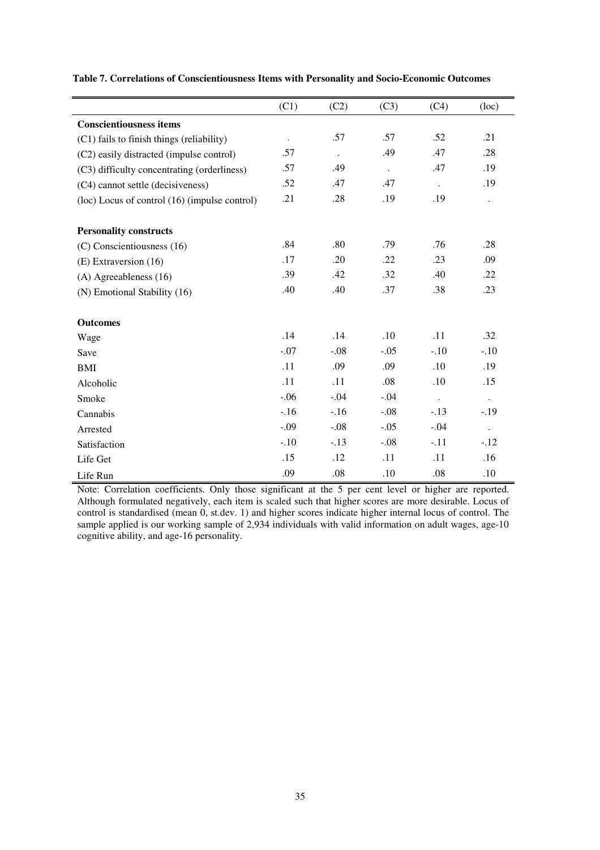|                                               | (C1)      | (C2)      | (C3)                 | (C4)      | (loc)                |
|-----------------------------------------------|-----------|-----------|----------------------|-----------|----------------------|
| <b>Conscientiousness items</b>                |           |           |                      |           |                      |
| (C1) fails to finish things (reliability)     | $\bullet$ | .57       | .57                  | .52       | .21                  |
| (C2) easily distracted (impulse control)      | .57       | $\bullet$ | .49                  | .47       | .28                  |
| (C3) difficulty concentrating (orderliness)   | .57       | .49       | $\ddot{\phantom{0}}$ | .47       | .19                  |
| (C4) cannot settle (decisiveness)             | .52       | .47       | .47                  | $\bullet$ | .19                  |
| (loc) Locus of control (16) (impulse control) | .21       | .28       | .19                  | .19       | $\ddot{\phantom{0}}$ |
|                                               |           |           |                      |           |                      |
| <b>Personality constructs</b>                 | .84       | .80       | .79                  | .76       | .28                  |
| (C) Conscientiousness (16)                    |           |           |                      |           |                      |
| (E) Extraversion (16)                         | .17       | .20       | .22                  | .23       | .09                  |
| $(A)$ Agreeableness $(16)$                    | .39       | .42       | .32                  | .40       | .22                  |
| (N) Emotional Stability (16)                  | .40       | .40       | .37                  | .38       | .23                  |
| <b>Outcomes</b>                               |           |           |                      |           |                      |
| Wage                                          | .14       | .14       | .10                  | .11       | .32                  |
| Save                                          | $-.07$    | $-.08$    | $-.05$               | $-.10$    | $-.10$               |
| BMI                                           | .11       | .09       | .09                  | .10       | .19                  |
| Alcoholic                                     | .11       | .11       | .08                  | .10       | .15                  |
| Smoke                                         | $-.06$    | $-.04$    | $-.04$               | $\Box$    | $\bullet$            |
| Cannabis                                      | $-.16$    | $-.16$    | $-.08$               | $-13$     | $-.19$               |
| Arrested                                      | $-.09$    | $-.08$    | $-.05$               | $-.04$    | $\ddot{\phantom{0}}$ |
| Satisfaction                                  | $-.10$    | $-.13$    | $-.08$               | $-.11$    | $-12$                |
| Life Get                                      | .15       | .12       | .11                  | .11       | .16                  |
| Life Run                                      | .09       | .08       | .10                  | .08       | .10                  |

**Table 7. Correlations of Conscientiousness Items with Personality and Socio-Economic Outcomes** 

Note: Correlation coefficients. Only those significant at the 5 per cent level or higher are reported. Although formulated negatively, each item is scaled such that higher scores are more desirable. Locus of control is standardised (mean 0, st.dev. 1) and higher scores indicate higher internal locus of control. The sample applied is our working sample of 2,934 individuals with valid information on adult wages, age-10 cognitive ability, and age-16 personality.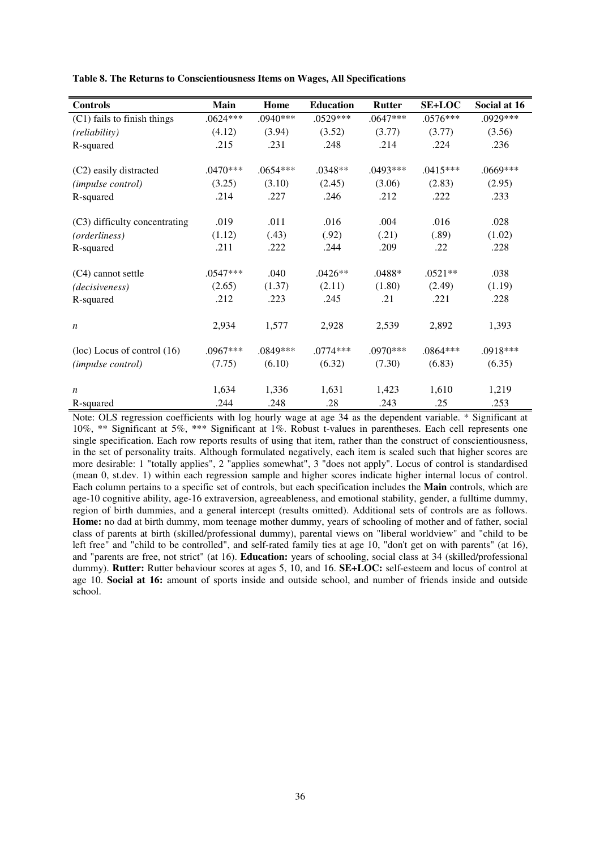| <b>Controls</b>                 | Main       | Home       | <b>Education</b> | <b>Rutter</b> | <b>SE+LOC</b> | Social at 16 |
|---------------------------------|------------|------------|------------------|---------------|---------------|--------------|
| (C1) fails to finish things     | $.0624***$ | .0940***   | .0529***         | $.0647***$    | $.0576***$    | .0929***     |
| (reliability)                   | (4.12)     | (3.94)     | (3.52)           | (3.77)        | (3.77)        | (3.56)       |
| R-squared                       | .215       | .231       | .248             | .214          | .224          | .236         |
| (C2) easily distracted          | $.0470***$ | $.0654***$ | $.0348**$        | $.0493***$    | $.0415***$    | .0669***     |
| (impulse control)               | (3.25)     | (3.10)     | (2.45)           | (3.06)        | (2.83)        | (2.95)       |
| R-squared                       | .214       | .227       | .246             | .212          | .222          | .233         |
| (C3) difficulty concentrating   | .019       | .011       | .016             | .004          | .016          | .028         |
| (orderliness)                   | (1.12)     | (.43)      | (.92)            | (.21)         | (.89)         | (1.02)       |
| R-squared                       | .211       | .222       | .244             | .209          | .22           | .228         |
| (C4) cannot settle              | $.0547***$ | .040       | $.0426**$        | .0488*        | $.0521**$     | .038         |
| (decisiveness)                  | (2.65)     | (1.37)     | (2.11)           | (1.80)        | (2.49)        | (1.19)       |
| R-squared                       | .212       | .223       | .245             | .21           | .221          | .228         |
| $\boldsymbol{n}$                | 2,934      | 1,577      | 2,928            | 2,539         | 2,892         | 1,393        |
| $(loc)$ Locus of control $(16)$ | .0967***   | .0849***   | $.0774***$       | $.0970***$    | $.0864***$    | .0918***     |
| (impulse control)               | (7.75)     | (6.10)     | (6.32)           | (7.30)        | (6.83)        | (6.35)       |
| $\boldsymbol{n}$                | 1,634      | 1,336      | 1,631            | 1,423         | 1,610         | 1,219        |
| R-squared                       | .244       | .248       | .28              | .243          | .25           | .253         |

**Table 8. The Returns to Conscientiousness Items on Wages, All Specifications** 

Note: OLS regression coefficients with log hourly wage at age 34 as the dependent variable. \* Significant at 10%, \*\* Significant at 5%, \*\*\* Significant at 1%. Robust t-values in parentheses. Each cell represents one single specification. Each row reports results of using that item, rather than the construct of conscientiousness, in the set of personality traits. Although formulated negatively, each item is scaled such that higher scores are more desirable: 1 "totally applies", 2 "applies somewhat", 3 "does not apply". Locus of control is standardised (mean 0, st.dev. 1) within each regression sample and higher scores indicate higher internal locus of control. Each column pertains to a specific set of controls, but each specification includes the **Main** controls, which are age-10 cognitive ability, age-16 extraversion, agreeableness, and emotional stability, gender, a fulltime dummy, region of birth dummies, and a general intercept (results omitted). Additional sets of controls are as follows. **Home:** no dad at birth dummy, mom teenage mother dummy, years of schooling of mother and of father, social class of parents at birth (skilled/professional dummy), parental views on "liberal worldview" and "child to be left free" and "child to be controlled", and self-rated family ties at age 10, "don't get on with parents" (at 16), and "parents are free, not strict" (at 16). **Education:** years of schooling, social class at 34 (skilled/professional dummy). **Rutter:** Rutter behaviour scores at ages 5, 10, and 16. **SE+LOC:** self-esteem and locus of control at age 10. **Social at 16:** amount of sports inside and outside school, and number of friends inside and outside school.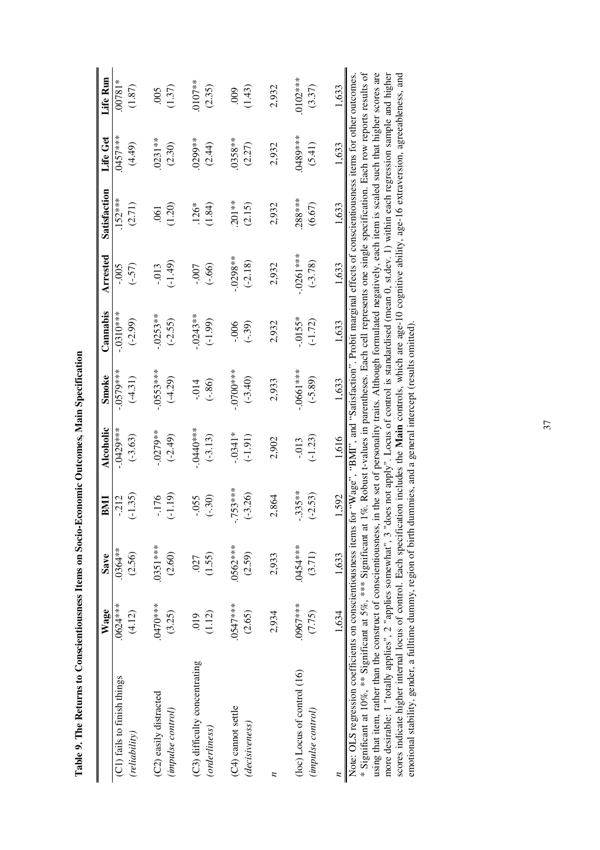| i                        |
|--------------------------|
| 1<br>ļ                   |
|                          |
|                          |
|                          |
|                          |
| $\overline{\phantom{a}}$ |
|                          |
|                          |
| ļ<br>ī                   |
| Ī                        |
|                          |
| <b>ALCOHOL</b>           |
| I                        |
|                          |
|                          |
|                          |
|                          |
| l                        |
|                          |
|                          |
| I<br>ׇ֚֓֡                |
| ֚֚֚֡֡֡֡֡֡                |
|                          |
| É<br>١                   |

|                                                                                                                                                                           | Wage      | <b>Save</b> | BMI       | Alcoholic  | Smoke       | Cannabis   | Arrested    | Satisfaction                                                                                                  | Life Get | Life Run |
|---------------------------------------------------------------------------------------------------------------------------------------------------------------------------|-----------|-------------|-----------|------------|-------------|------------|-------------|---------------------------------------------------------------------------------------------------------------|----------|----------|
| (C1) fails to finish things                                                                                                                                               | 0624****  | $0364**$    | $-212$    | $-0429***$ | $-0579***$  | $-0310***$ | $-0.005$    | $152***$                                                                                                      | 0457***  | 00781*   |
| (reliability)                                                                                                                                                             | (4.12)    | (2.56)      | $(-1.35)$ | $(-3.63)$  | $(-4.31)$   | $(-2.99)$  | (.57)       | (2.71)                                                                                                        | (4.49)   | (1.87)   |
|                                                                                                                                                                           |           |             |           |            |             |            |             |                                                                                                               |          |          |
| (C2) easily distracted                                                                                                                                                    | .0470***  | $0351***$   | $-176$    | $-0279**$  | $-0553***$  | $-0253**$  | $-0.013$    | $\overline{0}$                                                                                                | $0231**$ | 005      |
| (impulse control)                                                                                                                                                         | (3.25)    | (2.60)      | $(-1.19)$ | $(-2.49)$  | $(-4.29)$   | $(-2.55)$  | $(-1.49)$   | (1.20)                                                                                                        | (2.30)   | (1.37)   |
|                                                                                                                                                                           |           |             |           |            |             |            |             |                                                                                                               |          |          |
| (C3) difficulty concentrating                                                                                                                                             | .019      | .027        | $-0.055$  | $-0440**$  | $-0.14$     | $-0243**$  | $-0.007$    | $.126*$                                                                                                       | 0299**   | $0107**$ |
| (orderliness)                                                                                                                                                             | (1.12)    | (1.55)      | $(-30)$   | $(-3.13)$  | (.86)       | $(-1.99)$  | (.66)       | (1.84)                                                                                                        | (2.44)   | (2.35)   |
|                                                                                                                                                                           |           |             |           |            |             |            |             |                                                                                                               |          |          |
| (C4) cannot settle                                                                                                                                                        | .0547***  | .0562****   | $-753***$ | $-0341*$   | $-0700***$  | $-0.06$    | $-0298***$  | $201**$                                                                                                       | 0358**   | 600      |
| (decisiveness)                                                                                                                                                            | (2.65)    | (2.59)      | $-3.26$   | $( -1.91)$ | $(-3.40)$   | $(-39)$    | $(-2.18)$   | (2.15)                                                                                                        | (2.27)   | (1.43)   |
|                                                                                                                                                                           |           |             |           |            |             |            |             |                                                                                                               |          |          |
| z                                                                                                                                                                         | 2,934     | 2,933       | 2,864     | 2,902      | 2,933       | 2,932      | 2,932       | 2,932                                                                                                         | 2,932    | 2,932    |
|                                                                                                                                                                           |           |             |           |            |             |            |             |                                                                                                               |          |          |
| (loc) Locus of control (16)                                                                                                                                               | .0967**** | .0454 ***   | $-335**$  | $-0.013$   | $-.0661***$ | $-0.0155*$ | $-.0261***$ | $288***$                                                                                                      | 0489***  | 0102***  |
| (impulse control)                                                                                                                                                         | (7.75)    | (3.71)      | $(-2.53)$ | $(-1.23)$  | $(-5.89)$   | $(-1.72)$  | $(-3.78)$   | (6.67)                                                                                                        | (5.41)   | (3.37)   |
|                                                                                                                                                                           |           |             |           |            |             |            |             |                                                                                                               |          |          |
|                                                                                                                                                                           | 1,634     | 1,633       | 1,592     | 1,616      | 1,633       | 1,633      | 1,633       | 1,633                                                                                                         | 1,633    | 1,633    |
| Note: OLS regression coefficients on conscientiousness items for "Wage", "BMI", and "Satisfaction". Probit marginal effects of conscientiousness items for other outcomes |           |             |           |            |             |            |             |                                                                                                               |          |          |
| * Significant at 10%, ** Significant at 5%, *** Significant at 1                                                                                                          |           |             |           |            |             |            |             | %. Robust t-values in parentheses. Each cell represents one single specification. Each row reports results of |          |          |

more desirable: 1 "totally applies", 2 "applies somewhat", 3 "does not apply". Locus of control is standardised (mean 0, st.dev. 1) within each regression sample and higher scores indicate higher internal locus of control. using that item, rather than the construct of conscientiousness, in the set of personality traits. Although formulated negatively, each item is scaled such that higher scores are using that item, rather than the construct of conscientiousness, in the set of personality traits. Although formulated negatively, each item is scaled such that higher scores are more desirable: 1 "totally applies", 2 "applies somewhat", 3 "does not apply". Locus of control is standardised (mean 0, st.dev. 1) within each regression sample and higher scores indicate higher internal locus of control. Each specification includes the **Main** controls, which are age-10 cognitive ability, age-16 extraversion, agreeableness, and emotional stability, gender, a fulltime dummy, region of birth dummies, and a general intercept (results omitted).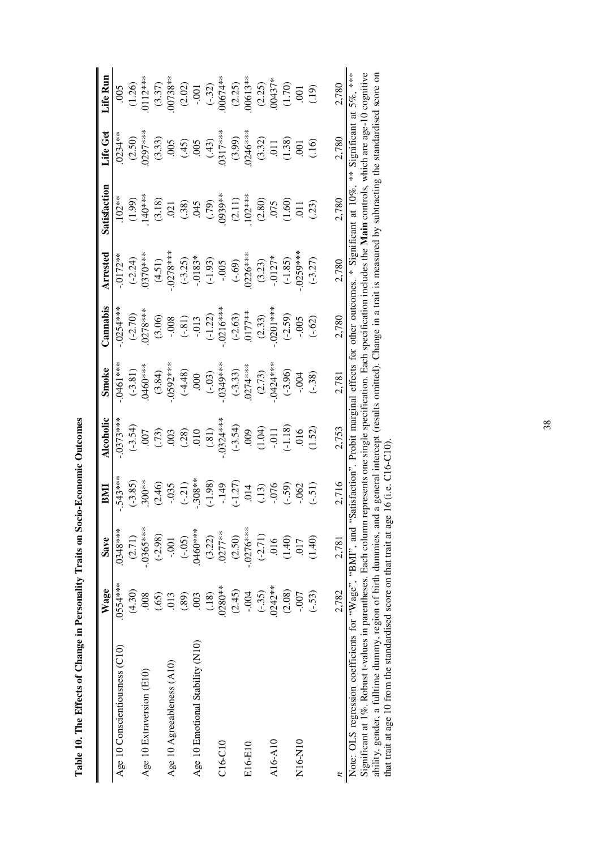|                                                          | Wage      | Save       | EMI                 | Alcoholic                                                                              | Smoke                                           | Cannabis                                                   | Arrested                            | Satisfaction                                                   | Life Get                                                                         | Life Run            |
|----------------------------------------------------------|-----------|------------|---------------------|----------------------------------------------------------------------------------------|-------------------------------------------------|------------------------------------------------------------|-------------------------------------|----------------------------------------------------------------|----------------------------------------------------------------------------------|---------------------|
| Age 10 Conscientiousness (C10)                           | 0554****  | 0348***    | $.543***$           | $.0373***$                                                                             | $.0461***$                                      | $.0254***$                                                 | $-0172**$                           | $102***$                                                       | $0234**$                                                                         | 005                 |
|                                                          | (4.30)    | (2.71)     | $(-3.85)$           |                                                                                        | $(-3.81)$                                       | $(-2.70)$                                                  | $(-2.24)$                           | (1.99)                                                         | (2.50)                                                                           | (1.26)              |
| Age 10 Extraversion (E10)                                | .008      | $-0365***$ |                     |                                                                                        | 0460****                                        | $.0278***$                                                 | $0370***$                           | 140****                                                        | $.0297***$                                                                       | 112***              |
|                                                          | (65)      | $(-2.98)$  | $.300***$<br>(2.46) |                                                                                        | $(3.84)$<br>$-0592***$                          | (3.06)                                                     | (4.51)                              |                                                                |                                                                                  |                     |
| Age 10 Agreeableness (A10)                               | 013       | $-0.001$   | $-0.035$            | $(-3.54)$<br>$(007)$<br>$(003)$<br>$(003)$<br>$(001)$<br>$(003)$<br>$(001)$<br>$(003)$ |                                                 |                                                            | $.0278***$                          | $(3.18)$<br>$0.21$<br>$0.38$<br>$0.45$<br>$(0.79)$<br>$(0.79)$ | $(3.33)$<br>$(0.65)$<br>$(0.65)$<br>$(0.65)$<br>$(0.65)$<br>$(0.65)$<br>$(0.65)$ | $(3.37)$<br>00738** |
|                                                          | (0.8)     | $(-.05)$   | $(-21)$<br>308**    |                                                                                        |                                                 |                                                            |                                     |                                                                |                                                                                  |                     |
| Age 10 Emotional Stability (N10)                         | 003       | .0460***   |                     |                                                                                        | $(-4.48)$<br>000<br>000<br>$(-0.03)$<br>0349*** | $-.008$<br>$(-.81)$<br>$(-.013)$<br>$(-1.22)$<br>$(-1.22)$ | $(-3.25)$<br>$-0.183*$              |                                                                |                                                                                  | (2.02)              |
|                                                          | (18)      | (3.22)     | $(-1.98)$           |                                                                                        |                                                 |                                                            | $( -1.93)$                          |                                                                |                                                                                  |                     |
| $C16-C10$                                                | $.0280**$ | $.0277**$  | $-149$              |                                                                                        |                                                 |                                                            |                                     |                                                                |                                                                                  | $(-32)$<br>00674**  |
|                                                          | (2.45)    | (2.50)     | $(-1.27)$           |                                                                                        |                                                 |                                                            | $-0.005$<br>$(-.69)$<br>$(0.226***$ |                                                                | $(3.99)$<br>0246***                                                              |                     |
| E16-E10                                                  | $-0.004$  | $-0276***$ |                     |                                                                                        | $(-3.33)$<br>.0274***                           | $(-2.63)$<br>0177**                                        |                                     | $(2.11)$<br>102***                                             |                                                                                  | $(2.25)$<br>00613** |
|                                                          | $(-35)$   | $(-2.71)$  | $\frac{14}{13}$     | $(3.54)$<br>$(0.00)$<br>$(1.04)$<br>$(1.01)$                                           | $(2.73)$<br>$(0424***$                          | $(2.33)$<br>$(0.301***$                                    |                                     |                                                                |                                                                                  | $(2.25)$<br>00437*  |
| A16-A10                                                  | $.0242**$ | .016       |                     |                                                                                        |                                                 |                                                            | $(3.23)$<br>-0127*                  |                                                                |                                                                                  |                     |
|                                                          | (2.08)    | (1.40)     | (.59)               | $(-1.18)$                                                                              |                                                 | $(-2.59)$                                                  | $(-1.85)$                           | $\begin{array}{c} (2.80) \\ .075 \\ (1.60) \end{array}$        | $(3.32)$<br>$0.11$<br>$(1.38)$<br>$(1.30)$                                       |                     |
| N16-N10                                                  | $-0.007$  | 017        | .062                | 016                                                                                    | $(-3.96)$<br>-.004                              | $-0.005$                                                   | $0259***$                           | $\overline{011}$                                               |                                                                                  | $(1.70)$<br>$(001)$ |
|                                                          | $(-53)$   | (1.40)     | (.51)               | (1.52)                                                                                 | $(-38)$                                         | $(-.62)$                                                   | $(-3.27)$                           | (.23)                                                          | (.16)                                                                            |                     |
|                                                          |           |            |                     |                                                                                        |                                                 |                                                            |                                     |                                                                |                                                                                  |                     |
|                                                          | 2,782     | 2,781      | 2,716               | 2,753                                                                                  | 2,781                                           | 2,780                                                      | 2,780                               | 2,780                                                          | 2,780                                                                            | 2,780               |
| Note: OLS regression coefficients for "Wage", "BMI", and |           |            | Satisfaction'       |                                                                                        |                                                 | Probit marginal effects for other outcomes.                |                                     | Significant at 10%                                             | Significant at                                                                   | 5%, ***             |

Table 10. The Effects of Change in Personality Traits on Socio-Economic Outcomes **Table 10. The Effects of Change in Personality Traits on Socio-Economic Outcomes**  Significant at 1%. Robust t-values in parentheses. Each column represents one single specification. Each specification includes the Main controls, which are age-10 cognitive ability, gender, a fulltime dummy, region of birth dummies, and a general intercept (results omited). Change in a trait is measured by subtracting the standardised score on<br>that trait at age 10 from the standardised score Significant at 1%. Robust t-values in parentheses. Each column represents one single specification. Each specification includes the **Main** controls, which are age-10 cognitive ability, gender, a fulltime dummy, region of birth dummies, and a general intercept (results omitted). Change in a trait is measured by subtracting the standardised score on that trait at age 10 from the standardised score on that trait at age 16 (i.e. C16-C10).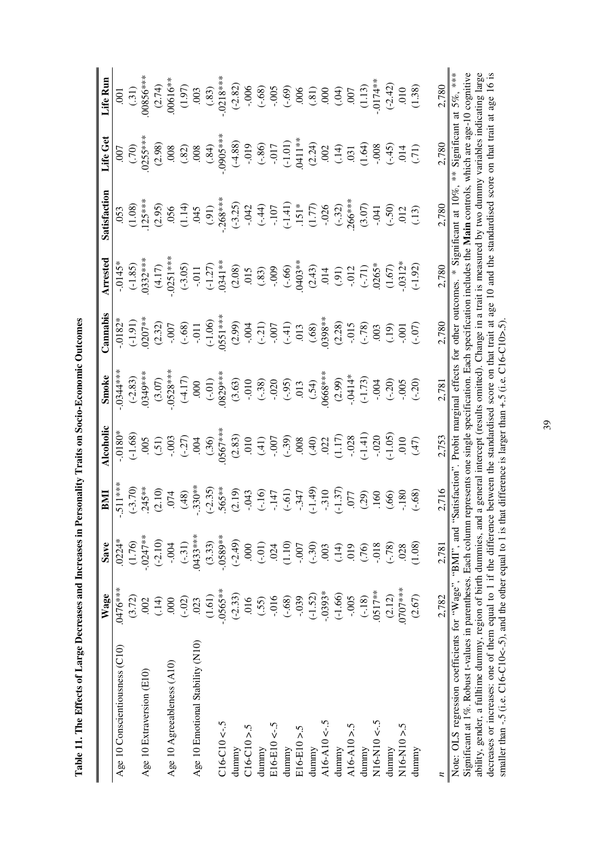| $\overline{\phantom{a}}$                                |
|---------------------------------------------------------|
| I                                                       |
| l                                                       |
| ı<br>l                                                  |
| ĺ<br>I                                                  |
| l                                                       |
| i<br>Í<br>I                                             |
| )<br>֢ׅ֦֧֦֧֦֦֧֚֚֚֚֚֚֚֚֚֚֚֚֚֚֚֚֚֚֚֚֚֬֡֡֡֡֓֡֡֡֓֡֓֓֡֓֓֡֓֓֡ |
| $\frac{6}{1}$<br>ׇ֚֓֡<br>ׇ֚֕֡                           |
| i<br>'<br>١                                             |
| ۱<br>ı<br>ï<br>I<br>١                                   |

|                                                                                                                                                                                                                                                                                                                                                          | Wage       | Save       | EMI                                                                                                                                                                                                  | Alcoholic                                                                                                                                                                                                                                                                                                    | Smoke                                                                                                                                                                             | Cannabis                                                                                        | Arrested                                                                                                                                                                                                                                                                                     | Satisfaction                                                                                                                                                                                           | Life Get                                                                                                                                                                                                                     | Life Run                                                                                                                                                                                                                                                                        |
|----------------------------------------------------------------------------------------------------------------------------------------------------------------------------------------------------------------------------------------------------------------------------------------------------------------------------------------------------------|------------|------------|------------------------------------------------------------------------------------------------------------------------------------------------------------------------------------------------------|--------------------------------------------------------------------------------------------------------------------------------------------------------------------------------------------------------------------------------------------------------------------------------------------------------------|-----------------------------------------------------------------------------------------------------------------------------------------------------------------------------------|-------------------------------------------------------------------------------------------------|----------------------------------------------------------------------------------------------------------------------------------------------------------------------------------------------------------------------------------------------------------------------------------------------|--------------------------------------------------------------------------------------------------------------------------------------------------------------------------------------------------------|------------------------------------------------------------------------------------------------------------------------------------------------------------------------------------------------------------------------------|---------------------------------------------------------------------------------------------------------------------------------------------------------------------------------------------------------------------------------------------------------------------------------|
| Age 10 Conscientiousness (C10)                                                                                                                                                                                                                                                                                                                           | $0476***$  | $.0224*$   | $.511***$                                                                                                                                                                                            | $.0180*$                                                                                                                                                                                                                                                                                                     | $.0344**$                                                                                                                                                                         | $.0182*$                                                                                        | $-0.0145*$                                                                                                                                                                                                                                                                                   |                                                                                                                                                                                                        |                                                                                                                                                                                                                              |                                                                                                                                                                                                                                                                                 |
|                                                                                                                                                                                                                                                                                                                                                          | (3.72)     | (1.76)     |                                                                                                                                                                                                      | $(-1.68)$                                                                                                                                                                                                                                                                                                    |                                                                                                                                                                                   | (1.91)                                                                                          |                                                                                                                                                                                                                                                                                              | $\frac{053}{(1.08)}$                                                                                                                                                                                   | $(007)$<br>(.70)<br>(0255***                                                                                                                                                                                                 | $(0.31)$<br>$(0.31)$<br>$(0.856***$                                                                                                                                                                                                                                             |
| Age 10 Extraversion (E10)                                                                                                                                                                                                                                                                                                                                | .002       | $0247**$   | $(-3.70)$<br>245**                                                                                                                                                                                   |                                                                                                                                                                                                                                                                                                              | $(-2.83)$<br>0349***                                                                                                                                                              | $0207**$                                                                                        | $(-1.85)$<br>0332***                                                                                                                                                                                                                                                                         | $125***$                                                                                                                                                                                               |                                                                                                                                                                                                                              |                                                                                                                                                                                                                                                                                 |
|                                                                                                                                                                                                                                                                                                                                                          | (.14)      | $(-2.10)$  |                                                                                                                                                                                                      |                                                                                                                                                                                                                                                                                                              |                                                                                                                                                                                   | (2.32)                                                                                          |                                                                                                                                                                                                                                                                                              |                                                                                                                                                                                                        | (2.98)                                                                                                                                                                                                                       | $(2.74)$<br>.00616**                                                                                                                                                                                                                                                            |
| Age 10 Agreeableness (A10)                                                                                                                                                                                                                                                                                                                               | 000        | $-0.004$   | $(2.10)$<br>$.074$                                                                                                                                                                                   |                                                                                                                                                                                                                                                                                                              | $(3.07)$<br>$-0528***$                                                                                                                                                            |                                                                                                 |                                                                                                                                                                                                                                                                                              |                                                                                                                                                                                                        | $.008$                                                                                                                                                                                                                       |                                                                                                                                                                                                                                                                                 |
|                                                                                                                                                                                                                                                                                                                                                          | $(-.02)$   | $(-31)$    |                                                                                                                                                                                                      |                                                                                                                                                                                                                                                                                                              |                                                                                                                                                                                   | $-0.007$<br>$(-.68)$<br>$-0.11$<br>$(-1.06)$<br>$(-1.06)$<br>$(-1.06)$                          | (4.17)<br>$-0.251$ <sup>**</sup><br>$-0.11$<br>$-0.127$<br>$-0.1341$ <sup>**</sup><br>$-0.059$<br>$-0.059$<br>$-0.059$<br>$-0.059$<br>$-0.059$<br>$-0.059$<br>$-0.059$<br>$-0.059$<br>$-0.059$<br>$-0.059$<br>$-0.059$<br>$-0.059$<br>$-0.059$<br>$-0.059$<br>$-0.059$<br>$-0.059$<br>$-0.0$ | $(3.95)\n(3.95)\n(3.95)\n(3.95)\n(3.95)\n(3.95)\n(3.95)\n(3.95)\n(3.95)\n(3.95)\n(3.95)\n(3.95)\n(3.95)\n(4.95)\n(5.95)\n(6.95)\n(7.95)\n(8.95)\n(9.95)\n(1.95)\n(1.95)\n(1.95)\n(1.95)\n(1.95)\n(1.9$ | $(32)$<br>$(36)$<br>$(36)$<br>$(4.88)$<br>$(-1.01)$<br>$(-1.01)$<br>$(-1.01)$<br>$(-1.01)$<br>$(-1.01)$<br>$(-1.01)$<br>$(-1.01)$<br>$(-1.01)$<br>$(-1.01)$<br>$(-1.01)$<br>$(-1.01)$<br>$(-1.01)$<br>$(-1.01)$<br>$(-1.01)$ |                                                                                                                                                                                                                                                                                 |
| Age 10 Emotional Stability (N10)                                                                                                                                                                                                                                                                                                                         | .023       | $.0433***$ |                                                                                                                                                                                                      |                                                                                                                                                                                                                                                                                                              |                                                                                                                                                                                   |                                                                                                 |                                                                                                                                                                                                                                                                                              |                                                                                                                                                                                                        |                                                                                                                                                                                                                              |                                                                                                                                                                                                                                                                                 |
|                                                                                                                                                                                                                                                                                                                                                          | (1.61)     | (3.33)     |                                                                                                                                                                                                      |                                                                                                                                                                                                                                                                                                              |                                                                                                                                                                                   |                                                                                                 |                                                                                                                                                                                                                                                                                              |                                                                                                                                                                                                        |                                                                                                                                                                                                                              |                                                                                                                                                                                                                                                                                 |
| $C16-C10 < -5$                                                                                                                                                                                                                                                                                                                                           | $-.0565**$ | $-0.589**$ | $(48)$<br>$(35)$<br>$(35)$<br>$(35)$<br>$(35)$<br>$(35)$<br>$(35)$<br>$(35)$<br>$(35)$<br>$(35)$<br>$(35)$<br>$(35)$<br>$(35)$<br>$(35)$<br>$(35)$<br>$(35)$<br>$(35)$<br>$(35)$<br>$(35)$<br>$(35)$ |                                                                                                                                                                                                                                                                                                              | $( -4.17)$<br>$(000$<br>$(-01)$<br>$(-01)$<br>$(0829**)$                                                                                                                          |                                                                                                 |                                                                                                                                                                                                                                                                                              |                                                                                                                                                                                                        |                                                                                                                                                                                                                              |                                                                                                                                                                                                                                                                                 |
| dunnny                                                                                                                                                                                                                                                                                                                                                   | $(-2.33)$  | $(-2.49)$  |                                                                                                                                                                                                      |                                                                                                                                                                                                                                                                                                              |                                                                                                                                                                                   |                                                                                                 |                                                                                                                                                                                                                                                                                              |                                                                                                                                                                                                        |                                                                                                                                                                                                                              |                                                                                                                                                                                                                                                                                 |
| $C16-C10 > 5$                                                                                                                                                                                                                                                                                                                                            | 016        | 000        |                                                                                                                                                                                                      |                                                                                                                                                                                                                                                                                                              |                                                                                                                                                                                   |                                                                                                 |                                                                                                                                                                                                                                                                                              |                                                                                                                                                                                                        |                                                                                                                                                                                                                              |                                                                                                                                                                                                                                                                                 |
| dunnny                                                                                                                                                                                                                                                                                                                                                   | (55)       | $(-.01)$   |                                                                                                                                                                                                      |                                                                                                                                                                                                                                                                                                              |                                                                                                                                                                                   |                                                                                                 |                                                                                                                                                                                                                                                                                              |                                                                                                                                                                                                        |                                                                                                                                                                                                                              |                                                                                                                                                                                                                                                                                 |
| $E16-E10 < -5$                                                                                                                                                                                                                                                                                                                                           | $-016$     | .024       |                                                                                                                                                                                                      |                                                                                                                                                                                                                                                                                                              |                                                                                                                                                                                   |                                                                                                 |                                                                                                                                                                                                                                                                                              |                                                                                                                                                                                                        |                                                                                                                                                                                                                              |                                                                                                                                                                                                                                                                                 |
| dunnny                                                                                                                                                                                                                                                                                                                                                   | $(-.68)$   | (1.10)     |                                                                                                                                                                                                      |                                                                                                                                                                                                                                                                                                              |                                                                                                                                                                                   |                                                                                                 |                                                                                                                                                                                                                                                                                              |                                                                                                                                                                                                        |                                                                                                                                                                                                                              |                                                                                                                                                                                                                                                                                 |
| $E16-E10 > 5$                                                                                                                                                                                                                                                                                                                                            | $-0.39$    | $-00$ .    |                                                                                                                                                                                                      |                                                                                                                                                                                                                                                                                                              |                                                                                                                                                                                   |                                                                                                 |                                                                                                                                                                                                                                                                                              |                                                                                                                                                                                                        |                                                                                                                                                                                                                              |                                                                                                                                                                                                                                                                                 |
| dunnny                                                                                                                                                                                                                                                                                                                                                   | $(-1.52)$  | $(-.30)$   |                                                                                                                                                                                                      |                                                                                                                                                                                                                                                                                                              |                                                                                                                                                                                   | $(2.99)$<br>$(-.21)$<br>$(-.31)$<br>$(-.41)$<br>$(-.41)$<br>$(0.68)$<br>$(0.68)$<br>$(0.338**)$ |                                                                                                                                                                                                                                                                                              |                                                                                                                                                                                                        |                                                                                                                                                                                                                              |                                                                                                                                                                                                                                                                                 |
| A16-A10 $\leftarrow$ -.5                                                                                                                                                                                                                                                                                                                                 | $-0.393*$  | .003       |                                                                                                                                                                                                      |                                                                                                                                                                                                                                                                                                              |                                                                                                                                                                                   |                                                                                                 |                                                                                                                                                                                                                                                                                              |                                                                                                                                                                                                        |                                                                                                                                                                                                                              |                                                                                                                                                                                                                                                                                 |
| dunnny                                                                                                                                                                                                                                                                                                                                                   | $(-1.66)$  | (.14)      |                                                                                                                                                                                                      |                                                                                                                                                                                                                                                                                                              |                                                                                                                                                                                   |                                                                                                 |                                                                                                                                                                                                                                                                                              |                                                                                                                                                                                                        |                                                                                                                                                                                                                              |                                                                                                                                                                                                                                                                                 |
| $A16 - A10 > 5$                                                                                                                                                                                                                                                                                                                                          | $-005$     | 019        |                                                                                                                                                                                                      |                                                                                                                                                                                                                                                                                                              |                                                                                                                                                                                   |                                                                                                 |                                                                                                                                                                                                                                                                                              |                                                                                                                                                                                                        |                                                                                                                                                                                                                              |                                                                                                                                                                                                                                                                                 |
| dunnny                                                                                                                                                                                                                                                                                                                                                   | $(-.18)$   | (.76)      |                                                                                                                                                                                                      | $\begin{array}{l} (2.83)\\ (2.91)\\ (3.91)\\ (4.1)\\ (5.91)\\ (6.91)\\ (7.91)\\ (8.91)\\ (9.91)\\ (1.1)\\ (1.1)\\ (1.1)\\ (1.1)\\ (1.1)\\ (1.1)\\ (1.1)\\ (1.1)\\ (1.1)\\ (1.1)\\ (1.1)\\ (1.1)\\ (1.1)\\ (1.1)\\ (1.1)\\ (1.1)\\ (1.1)\\ (1.1)\\ (1.1)\\ (1.1)\\ (1.1)\\ (1.1)\\ (1.1)\\ (1.1)\\ (1.1)\\ ($ | $(3.63)$<br>$(-.38)$<br>$(-.920)$<br>$(-.95)$<br>$(-.95)$<br>$(-.95)$<br>$(-.95)$<br>$(-.95)$<br>$(-.95)$<br>$(-.95)$<br>$(-.95)$<br>$(-.95)$<br>$(-.95)$<br>$(-.95)$<br>$(-.95)$ | $-0.015$<br>$(-78)$<br>$(0.03)$<br>$(0.01)$<br>$(-0.07)$                                        |                                                                                                                                                                                                                                                                                              |                                                                                                                                                                                                        |                                                                                                                                                                                                                              |                                                                                                                                                                                                                                                                                 |
| N16-N10<-5                                                                                                                                                                                                                                                                                                                                               | 0517**     | $-0.018$   |                                                                                                                                                                                                      |                                                                                                                                                                                                                                                                                                              |                                                                                                                                                                                   |                                                                                                 |                                                                                                                                                                                                                                                                                              |                                                                                                                                                                                                        |                                                                                                                                                                                                                              |                                                                                                                                                                                                                                                                                 |
| dunnny                                                                                                                                                                                                                                                                                                                                                   | (2.12)     | $(-.78)$   |                                                                                                                                                                                                      |                                                                                                                                                                                                                                                                                                              |                                                                                                                                                                                   |                                                                                                 |                                                                                                                                                                                                                                                                                              |                                                                                                                                                                                                        |                                                                                                                                                                                                                              |                                                                                                                                                                                                                                                                                 |
| $N16-N10 > 5$                                                                                                                                                                                                                                                                                                                                            | 0707****   | .028       |                                                                                                                                                                                                      |                                                                                                                                                                                                                                                                                                              |                                                                                                                                                                                   |                                                                                                 |                                                                                                                                                                                                                                                                                              |                                                                                                                                                                                                        |                                                                                                                                                                                                                              |                                                                                                                                                                                                                                                                                 |
| dunnny                                                                                                                                                                                                                                                                                                                                                   | (2.67)     | (1.08)     | $(-.68)$                                                                                                                                                                                             | (47)                                                                                                                                                                                                                                                                                                         |                                                                                                                                                                                   |                                                                                                 |                                                                                                                                                                                                                                                                                              | (.13)                                                                                                                                                                                                  |                                                                                                                                                                                                                              | (1.97)<br>(1.97)<br>(3.82)<br>(3.82)<br>(-3.82)<br>(-3.82)<br>(-3.92)<br>(-3.92)<br>(-3.92)<br>(-3.92)<br>(-3.92)<br>(-3.92)<br>(-3.92)<br>(-4.92)<br>(-4.92)<br>(-4.92)<br>(-4.92)<br>(-4.92)<br>(-4.92)<br>(-4.92)<br>(-4.92)<br>(-4.92)<br>(-4.92)<br>(-4.92)<br>(-4.92)<br> |
| z                                                                                                                                                                                                                                                                                                                                                        | 2,782      | 2,781      | 2,716                                                                                                                                                                                                | 2,753                                                                                                                                                                                                                                                                                                        | 2,781                                                                                                                                                                             | 2,780                                                                                           | 2,780                                                                                                                                                                                                                                                                                        | 2,780                                                                                                                                                                                                  | 2,780                                                                                                                                                                                                                        | 2,780                                                                                                                                                                                                                                                                           |
| Note: OLS regression coefficients for "Wage", "BMI", and "                                                                                                                                                                                                                                                                                               |            |            |                                                                                                                                                                                                      |                                                                                                                                                                                                                                                                                                              |                                                                                                                                                                                   |                                                                                                 |                                                                                                                                                                                                                                                                                              | Satisfaction". Probit marginal effects for other outcomes. * Significant at $10\%$ ,                                                                                                                   | $\frac{*}{*}$                                                                                                                                                                                                                | Significant at 5%, ***                                                                                                                                                                                                                                                          |
| Significant at 1%. Robust t-values in parentheses. Each column represents one single specification. Each specification includes the Main controls, which are age-10 cognitive                                                                                                                                                                            |            |            |                                                                                                                                                                                                      |                                                                                                                                                                                                                                                                                                              |                                                                                                                                                                                   |                                                                                                 |                                                                                                                                                                                                                                                                                              |                                                                                                                                                                                                        |                                                                                                                                                                                                                              |                                                                                                                                                                                                                                                                                 |
| ability, gender, a fulltime dummy, region of birth dummies, and a general intercept (results omitted). Change in a trait is measured by two dummy variables indicating large<br>decreases or increases: one of them equal to 1 if the difference between the standardised score on that the age 10 and the standardised score on that trait at age 16 is |            |            |                                                                                                                                                                                                      |                                                                                                                                                                                                                                                                                                              |                                                                                                                                                                                   |                                                                                                 |                                                                                                                                                                                                                                                                                              |                                                                                                                                                                                                        |                                                                                                                                                                                                                              |                                                                                                                                                                                                                                                                                 |
| smaller than -.5 (i.e. $C16-C10<-0.5$ ), and the other equal to 1 is that difference is larger than +.5 (i.e. $C16-C10>0.5$ )                                                                                                                                                                                                                            |            |            |                                                                                                                                                                                                      |                                                                                                                                                                                                                                                                                                              |                                                                                                                                                                                   |                                                                                                 |                                                                                                                                                                                                                                                                                              |                                                                                                                                                                                                        |                                                                                                                                                                                                                              |                                                                                                                                                                                                                                                                                 |

39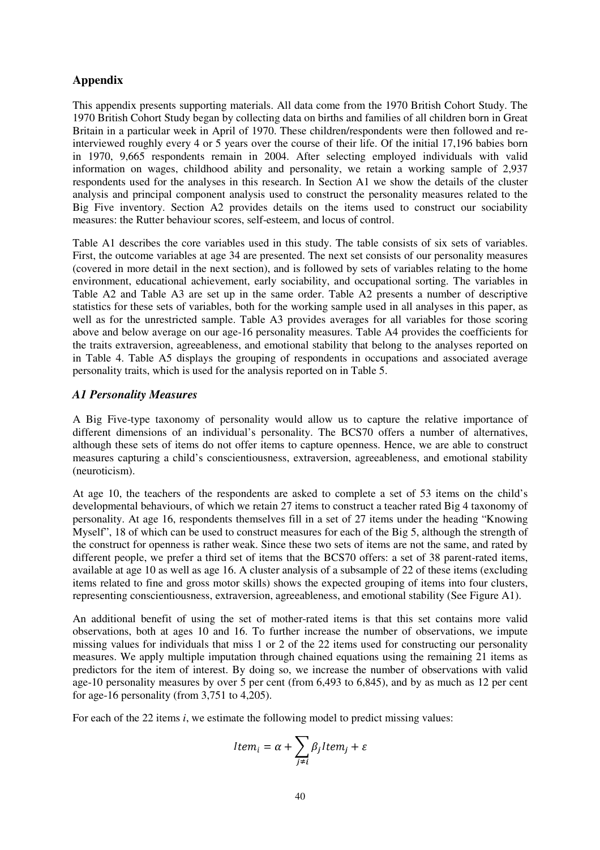#### **Appendix**

This appendix presents supporting materials. All data come from the 1970 British Cohort Study. The 1970 British Cohort Study began by collecting data on births and families of all children born in Great Britain in a particular week in April of 1970. These children/respondents were then followed and reinterviewed roughly every 4 or 5 years over the course of their life. Of the initial 17,196 babies born in 1970, 9,665 respondents remain in 2004. After selecting employed individuals with valid information on wages, childhood ability and personality, we retain a working sample of 2,937 respondents used for the analyses in this research. In Section A1 we show the details of the cluster analysis and principal component analysis used to construct the personality measures related to the Big Five inventory. Section A2 provides details on the items used to construct our sociability measures: the Rutter behaviour scores, self-esteem, and locus of control.

Table A1 describes the core variables used in this study. The table consists of six sets of variables. First, the outcome variables at age 34 are presented. The next set consists of our personality measures (covered in more detail in the next section), and is followed by sets of variables relating to the home environment, educational achievement, early sociability, and occupational sorting. The variables in Table A2 and Table A3 are set up in the same order. Table A2 presents a number of descriptive statistics for these sets of variables, both for the working sample used in all analyses in this paper, as well as for the unrestricted sample. Table A3 provides averages for all variables for those scoring above and below average on our age-16 personality measures. Table A4 provides the coefficients for the traits extraversion, agreeableness, and emotional stability that belong to the analyses reported on in Table 4. Table A5 displays the grouping of respondents in occupations and associated average personality traits, which is used for the analysis reported on in Table 5.

#### *A1 Personality Measures*

A Big Five-type taxonomy of personality would allow us to capture the relative importance of different dimensions of an individual's personality. The BCS70 offers a number of alternatives, although these sets of items do not offer items to capture openness. Hence, we are able to construct measures capturing a child's conscientiousness, extraversion, agreeableness, and emotional stability (neuroticism).

At age 10, the teachers of the respondents are asked to complete a set of 53 items on the child's developmental behaviours, of which we retain 27 items to construct a teacher rated Big 4 taxonomy of personality. At age 16, respondents themselves fill in a set of 27 items under the heading "Knowing Myself", 18 of which can be used to construct measures for each of the Big 5, although the strength of the construct for openness is rather weak. Since these two sets of items are not the same, and rated by different people, we prefer a third set of items that the BCS70 offers: a set of 38 parent-rated items, available at age 10 as well as age 16. A cluster analysis of a subsample of 22 of these items (excluding items related to fine and gross motor skills) shows the expected grouping of items into four clusters, representing conscientiousness, extraversion, agreeableness, and emotional stability (See Figure A1).

An additional benefit of using the set of mother-rated items is that this set contains more valid observations, both at ages 10 and 16. To further increase the number of observations, we impute missing values for individuals that miss 1 or 2 of the 22 items used for constructing our personality measures. We apply multiple imputation through chained equations using the remaining 21 items as predictors for the item of interest. By doing so, we increase the number of observations with valid age-10 personality measures by over 5 per cent (from 6,493 to 6,845), and by as much as 12 per cent for age-16 personality (from 3,751 to 4,205).

For each of the 22 items *i*, we estimate the following model to predict missing values:

$$
Item_i = \alpha + \sum_{j \neq i} \beta_j Item_j + \varepsilon
$$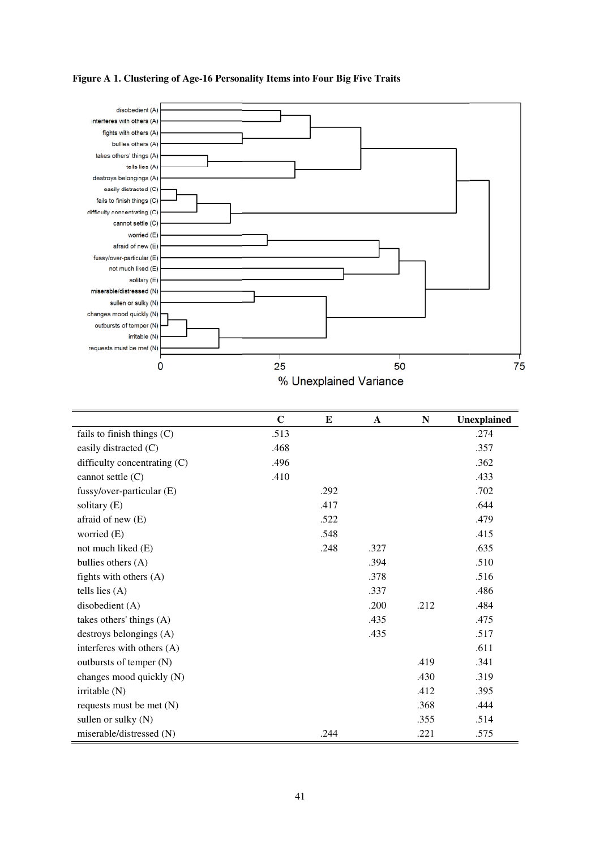

#### **Figure A 1. Clustering of Age-16 Personality Items into Four Big Five Traits**

|                              | $\mathbf C$ | E    | $\mathbf{A}$ | N    | <b>Unexplained</b> |
|------------------------------|-------------|------|--------------|------|--------------------|
| fails to finish things $(C)$ | .513        |      |              |      | .274               |
| easily distracted (C)        | .468        |      |              |      | .357               |
| difficulty concentrating (C) | .496        |      |              |      | .362               |
| cannot settle (C)            | .410        |      |              |      | .433               |
| fussy/over-particular (E)    |             | .292 |              |      | .702               |
| solitary $(E)$               |             | .417 |              |      | .644               |
| afraid of new (E)            |             | .522 |              |      | .479               |
| worried (E)                  |             | .548 |              |      | .415               |
| not much liked (E)           |             | .248 | .327         |      | .635               |
| bullies others (A)           |             |      | .394         |      | .510               |
| fights with others $(A)$     |             |      | .378         |      | .516               |
| tells lies $(A)$             |             |      | .337         |      | .486               |
| disobedient (A)              |             |      | .200         | .212 | .484               |
| takes others' things (A)     |             |      | .435         |      | .475               |
| destroys belongings (A)      |             |      | .435         |      | .517               |
| interferes with others (A)   |             |      |              |      | .611               |
| outbursts of temper (N)      |             |      |              | .419 | .341               |
| changes mood quickly (N)     |             |      |              | .430 | .319               |
| irritable $(N)$              |             |      |              | .412 | .395               |
| requests must be met $(N)$   |             |      |              | .368 | .444               |
| sullen or sulky $(N)$        |             |      |              | .355 | .514               |
| miserable/distressed (N)     |             | .244 |              | .221 | .575               |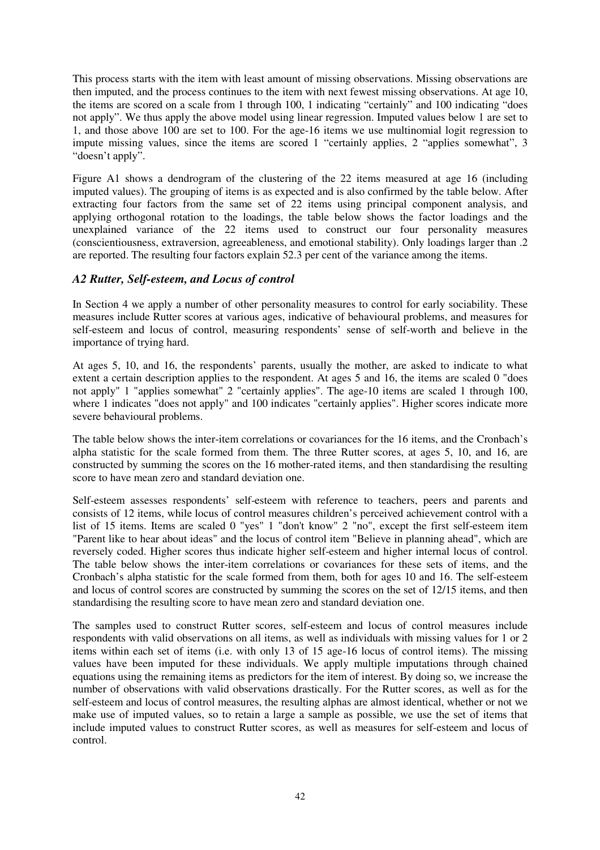This process starts with the item with least amount of missing observations. Missing observations are then imputed, and the process continues to the item with next fewest missing observations. At age 10, the items are scored on a scale from 1 through 100, 1 indicating "certainly" and 100 indicating "does not apply". We thus apply the above model using linear regression. Imputed values below 1 are set to 1, and those above 100 are set to 100. For the age-16 items we use multinomial logit regression to impute missing values, since the items are scored 1 "certainly applies, 2 "applies somewhat", 3 "doesn't apply".

Figure A1 shows a dendrogram of the clustering of the 22 items measured at age 16 (including imputed values). The grouping of items is as expected and is also confirmed by the table below. After extracting four factors from the same set of 22 items using principal component analysis, and applying orthogonal rotation to the loadings, the table below shows the factor loadings and the unexplained variance of the 22 items used to construct our four personality measures (conscientiousness, extraversion, agreeableness, and emotional stability). Only loadings larger than .2 are reported. The resulting four factors explain 52.3 per cent of the variance among the items.

#### *A2 Rutter, Self-esteem, and Locus of control*

In Section 4 we apply a number of other personality measures to control for early sociability. These measures include Rutter scores at various ages, indicative of behavioural problems, and measures for self-esteem and locus of control, measuring respondents' sense of self-worth and believe in the importance of trying hard.

At ages 5, 10, and 16, the respondents' parents, usually the mother, are asked to indicate to what extent a certain description applies to the respondent. At ages 5 and 16, the items are scaled 0 "does not apply" 1 "applies somewhat" 2 "certainly applies". The age-10 items are scaled 1 through 100, where 1 indicates "does not apply" and 100 indicates "certainly applies". Higher scores indicate more severe behavioural problems.

The table below shows the inter-item correlations or covariances for the 16 items, and the Cronbach's alpha statistic for the scale formed from them. The three Rutter scores, at ages 5, 10, and 16, are constructed by summing the scores on the 16 mother-rated items, and then standardising the resulting score to have mean zero and standard deviation one.

Self-esteem assesses respondents' self-esteem with reference to teachers, peers and parents and consists of 12 items, while locus of control measures children's perceived achievement control with a list of 15 items. Items are scaled 0 "yes" 1 "don't know" 2 "no", except the first self-esteem item "Parent like to hear about ideas" and the locus of control item "Believe in planning ahead", which are reversely coded. Higher scores thus indicate higher self-esteem and higher internal locus of control. The table below shows the inter-item correlations or covariances for these sets of items, and the Cronbach's alpha statistic for the scale formed from them, both for ages 10 and 16. The self-esteem and locus of control scores are constructed by summing the scores on the set of 12/15 items, and then standardising the resulting score to have mean zero and standard deviation one.

The samples used to construct Rutter scores, self-esteem and locus of control measures include respondents with valid observations on all items, as well as individuals with missing values for 1 or 2 items within each set of items (i.e. with only 13 of 15 age-16 locus of control items). The missing values have been imputed for these individuals. We apply multiple imputations through chained equations using the remaining items as predictors for the item of interest. By doing so, we increase the number of observations with valid observations drastically. For the Rutter scores, as well as for the self-esteem and locus of control measures, the resulting alphas are almost identical, whether or not we make use of imputed values, so to retain a large a sample as possible, we use the set of items that include imputed values to construct Rutter scores, as well as measures for self-esteem and locus of control.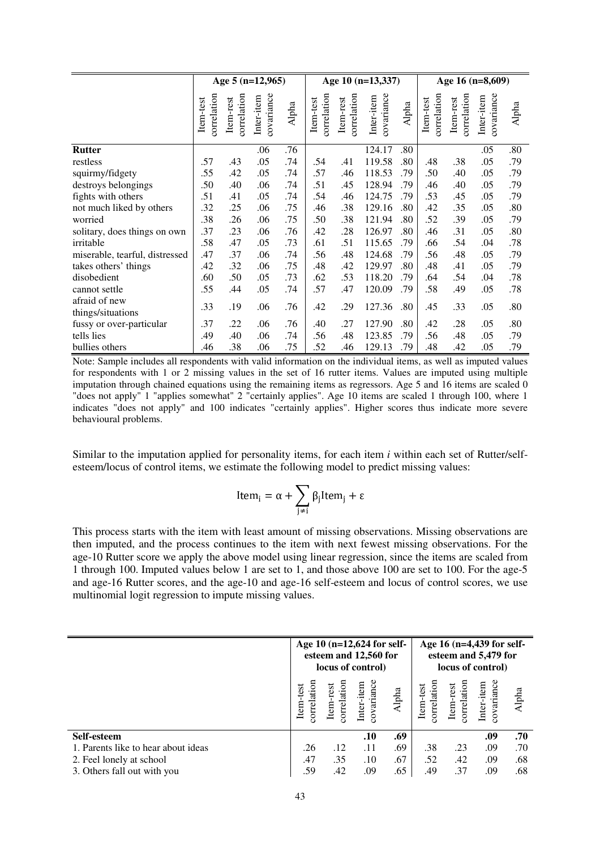|                                |                          |                          | Age 5 $(n=12,965)$       |       |                          |                          | Age 10 (n=13,337)        |       |                          |                          | Age 16 (n=8,609)         |       |
|--------------------------------|--------------------------|--------------------------|--------------------------|-------|--------------------------|--------------------------|--------------------------|-------|--------------------------|--------------------------|--------------------------|-------|
|                                | correlation<br>Item-test | correlation<br>Item-rest | covariance<br>Inter-item | Alpha | correlation<br>Item-test | correlation<br>Item-rest | covariance<br>Inter-item | Alpha | correlation<br>Item-test | correlation<br>Item-rest | covariance<br>Inter-item | Alpha |
| <b>Rutter</b>                  |                          |                          | .06                      | .76   |                          |                          | 124.17                   | .80   |                          |                          | .05                      | .80   |
| restless                       | .57                      | .43                      | .05                      | .74   | .54                      | .41                      | 119.58                   | .80   | .48                      | .38                      | .05                      | .79   |
| squirmy/fidgety                | .55                      | .42                      | .05                      | .74   | .57                      | .46                      | 118.53                   | .79   | .50                      | .40                      | .05                      | .79   |
| destroys belongings            | .50                      | .40                      | .06                      | .74   | .51                      | .45                      | 128.94                   | .79   | .46                      | .40                      | .05                      | .79   |
| fights with others             | .51                      | .41                      | .05                      | .74   | .54                      | .46                      | 124.75                   | .79   | .53                      | .45                      | .05                      | .79   |
| not much liked by others       | .32                      | .25                      | .06                      | .75   | .46                      | .38                      | 129.16                   | .80   | .42                      | .35                      | .05                      | .80   |
| worried                        | .38                      | .26                      | .06                      | .75   | .50                      | .38                      | 121.94                   | .80   | .52                      | .39                      | .05                      | .79   |
| solitary, does things on own   | .37                      | .23                      | .06                      | .76   | .42                      | .28                      | 126.97                   | .80   | .46                      | .31                      | .05                      | .80   |
| irritable                      | .58                      | .47                      | .05                      | .73   | .61                      | .51                      | 115.65                   | .79   | .66                      | .54                      | .04                      | .78   |
| miserable, tearful, distressed | .47                      | .37                      | .06                      | .74   | .56                      | .48                      | 124.68                   | .79   | .56                      | .48                      | .05                      | .79   |
| takes others' things           | .42                      | .32                      | .06                      | .75   | .48                      | .42                      | 129.97                   | .80   | .48                      | .41                      | .05                      | .79   |
| disobedient                    | .60                      | .50                      | .05                      | .73   | .62                      | .53                      | 118.20                   | .79   | .64                      | .54                      | .04                      | .78   |
| cannot settle                  | .55                      | .44                      | .05                      | .74   | .57                      | .47                      | 120.09                   | .79   | .58                      | .49                      | .05                      | .78   |
| afraid of new                  | .33                      | .19                      | .06                      | .76   | .42                      | .29                      | 127.36                   | .80   | .45                      | .33                      | .05                      | .80   |
| things/situations              |                          |                          |                          |       |                          |                          |                          |       |                          |                          |                          |       |
| fussy or over-particular       | .37                      | .22                      | .06                      | .76   | .40                      | .27                      | 127.90                   | .80   | .42                      | .28                      | .05                      | .80   |
| tells lies                     | .49                      | .40                      | .06                      | .74   | .56                      | .48                      | 123.85                   | .79   | .56                      | .48                      | .05                      | .79   |
| bullies others                 | .46                      | .38                      | .06                      | .75   | .52                      | .46                      | 129.13                   | .79   | .48                      | .42                      | .05                      | .79   |

Note: Sample includes all respondents with valid information on the individual items, as well as imputed values for respondents with 1 or 2 missing values in the set of 16 rutter items. Values are imputed using multiple imputation through chained equations using the remaining items as regressors. Age 5 and 16 items are scaled 0 "does not apply" 1 "applies somewhat" 2 "certainly applies". Age 10 items are scaled 1 through 100, where 1 indicates "does not apply" and 100 indicates "certainly applies". Higher scores thus indicate more severe behavioural problems.

Similar to the imputation applied for personality items, for each item *i* within each set of Rutter/selfesteem/locus of control items, we estimate the following model to predict missing values:

$$
Item_i = \alpha + \sum_{j \neq i} \beta_j Item_j + \epsilon
$$

This process starts with the item with least amount of missing observations. Missing observations are then imputed, and the process continues to the item with next fewest missing observations. For the age-10 Rutter score we apply the above model using linear regression, since the items are scaled from 1 through 100. Imputed values below 1 are set to 1, and those above 100 are set to 100. For the age-5 and age-16 Rutter scores, and the age-10 and age-16 self-esteem and locus of control scores, we use multinomial logit regression to impute missing values.

|                                     |                          |                          | Age 10 (n=12,624 for self-<br>esteem and 12,560 for<br>locus of control) |       |                          |                          | Age 16 (n=4,439 for self-<br>esteem and 5,479 for<br>locus of control) |       |
|-------------------------------------|--------------------------|--------------------------|--------------------------------------------------------------------------|-------|--------------------------|--------------------------|------------------------------------------------------------------------|-------|
|                                     | correlation<br>Item-test | correlation<br>Item-rest | covariance<br>Inter-item                                                 | Alpha | correlation<br>Item-test | correlation<br>Item-rest | covariance<br>Inter-item                                               | Alpha |
| Self-esteem                         |                          |                          | .10                                                                      | .69   |                          |                          | .09                                                                    | .70   |
| 1. Parents like to hear about ideas | .26                      | .12                      | .11                                                                      | .69   | .38                      | .23                      | .09                                                                    | .70   |
| 2. Feel lonely at school            | .47                      | .35                      | .10                                                                      | .67   | .52                      | .42                      | .09                                                                    | .68   |
| 3. Others fall out with you         | .59                      | .42                      | .09                                                                      | .65   | .49                      | .37                      | .09                                                                    | .68   |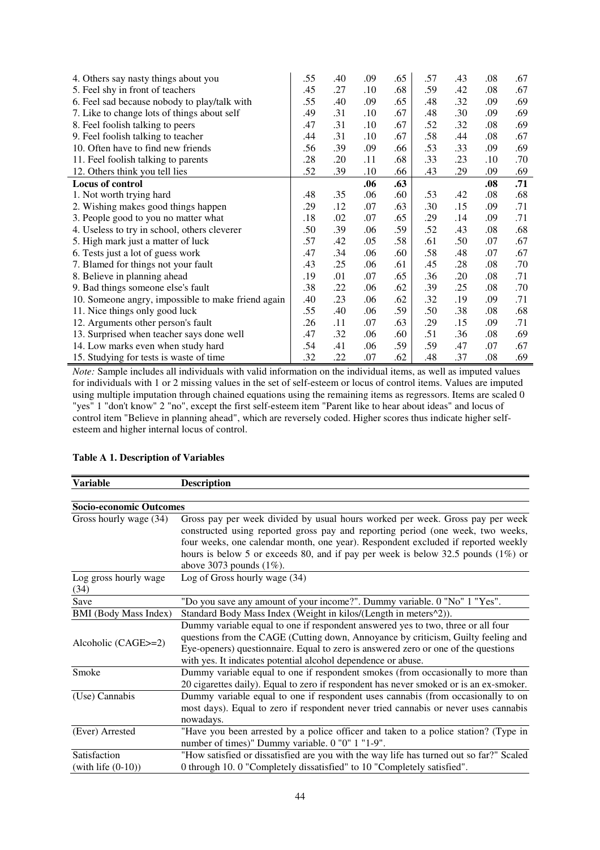| 4. Others say nasty things about you               | .55 | .40 | .09     | .65 | .57 | .43 | .08 | .67 |
|----------------------------------------------------|-----|-----|---------|-----|-----|-----|-----|-----|
| 5. Feel shy in front of teachers                   | .45 | .27 | .10     | .68 | .59 | .42 | .08 | .67 |
| 6. Feel sad because nobody to play/talk with       | .55 | .40 | .09     | .65 | .48 | .32 | .09 | .69 |
| 7. Like to change lots of things about self        | .49 | .31 | $.10\,$ | .67 | .48 | .30 | .09 | .69 |
| 8. Feel foolish talking to peers                   | .47 | .31 | $.10\,$ | .67 | .52 | .32 | .08 | .69 |
| 9. Feel foolish talking to teacher                 | .44 | .31 | .10     | .67 | .58 | .44 | .08 | .67 |
| 10. Often have to find new friends                 | .56 | .39 | .09     | .66 | .53 | .33 | .09 | .69 |
| 11. Feel foolish talking to parents                | .28 | .20 | .11     | .68 | .33 | .23 | .10 | .70 |
| 12. Others think you tell lies                     | .52 | .39 | .10     | .66 | .43 | .29 | .09 | .69 |
| Locus of control                                   |     |     | .06     | .63 |     |     | .08 | .71 |
| 1. Not worth trying hard                           | .48 | .35 | .06     | .60 | .53 | .42 | .08 | .68 |
| 2. Wishing makes good things happen                | .29 | .12 | .07     | .63 | .30 | .15 | .09 | .71 |
| 3. People good to you no matter what               | .18 | .02 | .07     | .65 | .29 | .14 | .09 | .71 |
| 4. Useless to try in school, others cleverer       | .50 | .39 | .06     | .59 | .52 | .43 | .08 | .68 |
| 5. High mark just a matter of luck                 | .57 | .42 | .05     | .58 | .61 | .50 | .07 | .67 |
| 6. Tests just a lot of guess work                  | .47 | .34 | .06     | .60 | .58 | .48 | .07 | .67 |
| 7. Blamed for things not your fault                | .43 | .25 | .06     | .61 | .45 | .28 | .08 | .70 |
| 8. Believe in planning ahead                       | .19 | .01 | .07     | .65 | .36 | .20 | .08 | .71 |
| 9. Bad things someone else's fault                 | .38 | .22 | .06     | .62 | .39 | .25 | .08 | .70 |
| 10. Someone angry, impossible to make friend again | .40 | .23 | .06     | .62 | .32 | .19 | .09 | .71 |
| 11. Nice things only good luck                     | .55 | .40 | .06     | .59 | .50 | .38 | .08 | .68 |
| 12. Arguments other person's fault                 | .26 | .11 | .07     | .63 | .29 | .15 | .09 | .71 |
| 13. Surprised when teacher says done well          | .47 | .32 | .06     | .60 | .51 | .36 | .08 | .69 |
| 14. Low marks even when study hard                 | .54 | .41 | .06     | .59 | .59 | .47 | .07 | .67 |
| 15. Studying for tests is waste of time            | .32 | .22 | .07     | .62 | .48 | .37 | .08 | .69 |

*Note:* Sample includes all individuals with valid information on the individual items, as well as imputed values for individuals with 1 or 2 missing values in the set of self-esteem or locus of control items. Values are imputed using multiple imputation through chained equations using the remaining items as regressors. Items are scaled 0 "yes" 1 "don't know" 2 "no", except the first self-esteem item "Parent like to hear about ideas" and locus of control item "Believe in planning ahead", which are reversely coded. Higher scores thus indicate higher selfesteem and higher internal locus of control.

#### **Table A 1. Description of Variables**

| Variable                              | <b>Description</b>                                                                                                                                                                                                                                                                                                                                                          |
|---------------------------------------|-----------------------------------------------------------------------------------------------------------------------------------------------------------------------------------------------------------------------------------------------------------------------------------------------------------------------------------------------------------------------------|
|                                       |                                                                                                                                                                                                                                                                                                                                                                             |
| Socio-economic Outcomes               |                                                                                                                                                                                                                                                                                                                                                                             |
| Gross hourly wage (34)                | Gross pay per week divided by usual hours worked per week. Gross pay per week<br>constructed using reported gross pay and reporting period (one week, two weeks,<br>four weeks, one calendar month, one year). Respondent excluded if reported weekly<br>hours is below 5 or exceeds 80, and if pay per week is below 32.5 pounds $(1\%)$ or<br>above 3073 pounds $(1\%)$ . |
| Log gross hourly wage<br>(34)         | Log of Gross hourly wage (34)                                                                                                                                                                                                                                                                                                                                               |
| Save                                  | "Do you save any amount of your income?". Dummy variable. 0 "No" 1 "Yes".                                                                                                                                                                                                                                                                                                   |
| <b>BMI</b> (Body Mass Index)          | Standard Body Mass Index (Weight in kilos/(Length in meters <sup>^2</sup> )).                                                                                                                                                                                                                                                                                               |
| Alcoholic (CAGE>=2)                   | Dummy variable equal to one if respondent answered yes to two, three or all four<br>questions from the CAGE (Cutting down, Annoyance by criticism, Guilty feeling and<br>Eye-openers) questionnaire. Equal to zero is answered zero or one of the questions<br>with yes. It indicates potential alcohol dependence or abuse.                                                |
| Smoke                                 | Dummy variable equal to one if respondent smokes (from occasionally to more than<br>20 cigarettes daily). Equal to zero if respondent has never smoked or is an ex-smoker.                                                                                                                                                                                                  |
| (Use) Cannabis                        | Dummy variable equal to one if respondent uses cannabis (from occasionally to on<br>most days). Equal to zero if respondent never tried cannabis or never uses cannabis<br>nowadays.                                                                                                                                                                                        |
| (Ever) Arrested                       | "Have you been arrested by a police officer and taken to a police station? (Type in<br>number of times)" Dummy variable. 0 "0" 1 "1-9".                                                                                                                                                                                                                                     |
| Satisfaction<br>(with life $(0-10)$ ) | "How satisfied or dissatisfied are you with the way life has turned out so far?" Scaled<br>0 through 10.0 "Completely dissatisfied" to 10 "Completely satisfied".                                                                                                                                                                                                           |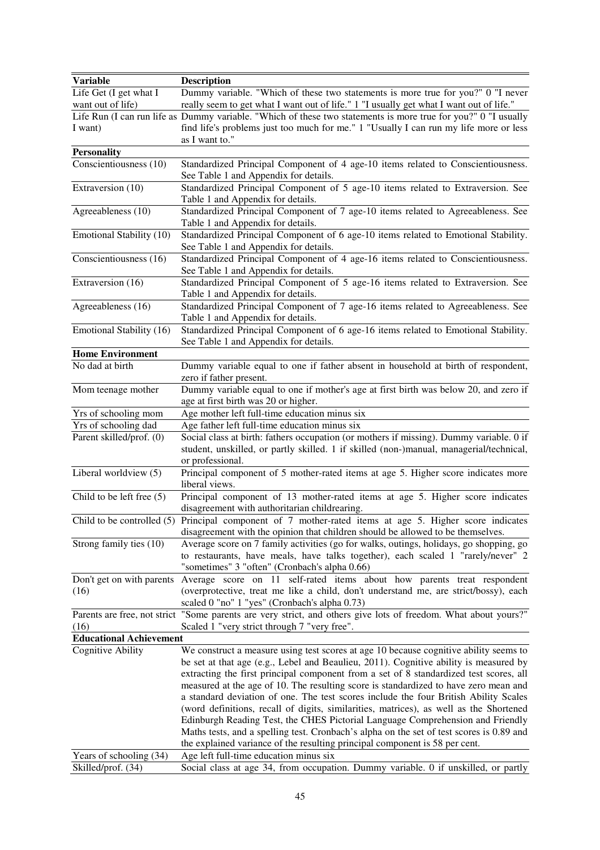| <b>Variable</b>                             | <b>Description</b>                                                                                                                                                                                                          |
|---------------------------------------------|-----------------------------------------------------------------------------------------------------------------------------------------------------------------------------------------------------------------------------|
| Life Get (I get what I<br>want out of life) | Dummy variable. "Which of these two statements is more true for you?" 0 "I never<br>really seem to get what I want out of life." 1 "I usually get what I want out of life."                                                 |
|                                             | Life Run (I can run life as Dummy variable. "Which of these two statements is more true for you?" 0 "I usually                                                                                                              |
| I want)                                     | find life's problems just too much for me." 1 "Usually I can run my life more or less<br>as I want to."                                                                                                                     |
| <b>Personality</b>                          |                                                                                                                                                                                                                             |
| Conscientiousness (10)                      | Standardized Principal Component of 4 age-10 items related to Conscientiousness.                                                                                                                                            |
|                                             | See Table 1 and Appendix for details.                                                                                                                                                                                       |
| Extraversion (10)                           | Standardized Principal Component of 5 age-10 items related to Extraversion. See                                                                                                                                             |
|                                             | Table 1 and Appendix for details.                                                                                                                                                                                           |
| Agreeableness $(10)$                        | Standardized Principal Component of 7 age-10 items related to Agreeableness. See<br>Table 1 and Appendix for details.                                                                                                       |
| Emotional Stability (10)                    | Standardized Principal Component of 6 age-10 items related to Emotional Stability.                                                                                                                                          |
|                                             | See Table 1 and Appendix for details.                                                                                                                                                                                       |
| Conscientiousness (16)                      | Standardized Principal Component of 4 age-16 items related to Conscientiousness.<br>See Table 1 and Appendix for details.                                                                                                   |
| Extraversion (16)                           | Standardized Principal Component of 5 age-16 items related to Extraversion. See                                                                                                                                             |
|                                             | Table 1 and Appendix for details.                                                                                                                                                                                           |
| Agreeableness (16)                          | Standardized Principal Component of 7 age-16 items related to Agreeableness. See                                                                                                                                            |
|                                             | Table 1 and Appendix for details.                                                                                                                                                                                           |
| Emotional Stability (16)                    | Standardized Principal Component of 6 age-16 items related to Emotional Stability.<br>See Table 1 and Appendix for details.                                                                                                 |
| <b>Home Environment</b>                     |                                                                                                                                                                                                                             |
| No dad at birth                             | Dummy variable equal to one if father absent in household at birth of respondent,                                                                                                                                           |
|                                             | zero if father present.                                                                                                                                                                                                     |
| Mom teenage mother                          | Dummy variable equal to one if mother's age at first birth was below 20, and zero if<br>age at first birth was 20 or higher.                                                                                                |
| Yrs of schooling mom                        | Age mother left full-time education minus six                                                                                                                                                                               |
| Yrs of schooling dad                        | Age father left full-time education minus six                                                                                                                                                                               |
| Parent skilled/prof. (0)                    | Social class at birth: fathers occupation (or mothers if missing). Dummy variable. 0 if                                                                                                                                     |
|                                             | student, unskilled, or partly skilled. 1 if skilled (non-)manual, managerial/technical,<br>or professional.                                                                                                                 |
| Liberal worldview (5)                       | Principal component of 5 mother-rated items at age 5. Higher score indicates more<br>liberal views.                                                                                                                         |
| Child to be left free (5)                   | Principal component of 13 mother-rated items at age 5. Higher score indicates<br>disagreement with authoritarian childrearing.                                                                                              |
|                                             | Child to be controlled (5) Principal component of 7 mother-rated items at age 5. Higher score indicates<br>disagreement with the opinion that children should be allowed to be themselves.                                  |
| Strong family ties (10)                     | Average score on 7 family activities (go for walks, outings, holidays, go shopping, go<br>to restaurants, have meals, have talks together), each scaled 1 "rarely/never" 2<br>"sometimes" 3 "often" (Cronbach's alpha 0.66) |
| Don't get on with parents<br>(16)           | Average score on 11 self-rated items about how parents treat respondent<br>(overprotective, treat me like a child, don't understand me, are strict/bossy), each<br>scaled 0 "no" 1 "yes" (Cronbach's alpha 0.73)            |
|                                             | Parents are free, not strict "Some parents are very strict, and others give lots of freedom. What about yours?"                                                                                                             |
| (16)                                        | Scaled 1 "very strict through 7 "very free".                                                                                                                                                                                |
| <b>Educational Achievement</b>              |                                                                                                                                                                                                                             |
| <b>Cognitive Ability</b>                    | We construct a measure using test scores at age 10 because cognitive ability seems to                                                                                                                                       |
|                                             | be set at that age (e.g., Lebel and Beaulieu, 2011). Cognitive ability is measured by                                                                                                                                       |
|                                             | extracting the first principal component from a set of 8 standardized test scores, all                                                                                                                                      |
|                                             | measured at the age of 10. The resulting score is standardized to have zero mean and                                                                                                                                        |
|                                             | a standard deviation of one. The test scores include the four British Ability Scales                                                                                                                                        |
|                                             | (word definitions, recall of digits, similarities, matrices), as well as the Shortened                                                                                                                                      |
|                                             | Edinburgh Reading Test, the CHES Pictorial Language Comprehension and Friendly                                                                                                                                              |
|                                             | Maths tests, and a spelling test. Cronbach's alpha on the set of test scores is 0.89 and                                                                                                                                    |
|                                             | the explained variance of the resulting principal component is 58 per cent.                                                                                                                                                 |
| Years of schooling (34)                     | Age left full-time education minus six                                                                                                                                                                                      |
| Skilled/prof. (34)                          | Social class at age 34, from occupation. Dummy variable. 0 if unskilled, or partly                                                                                                                                          |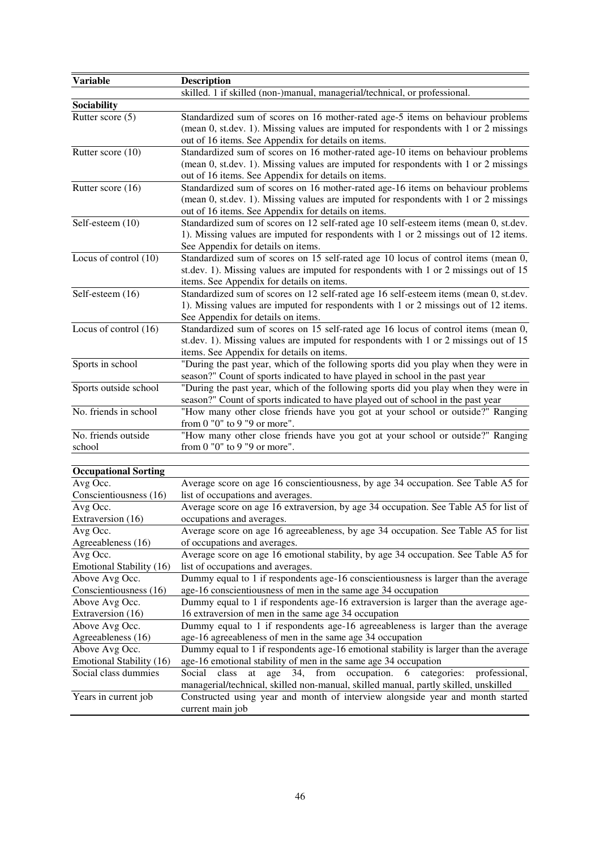| <b>Variable</b>                          | <b>Description</b>                                                                                                                                                                                                              |
|------------------------------------------|---------------------------------------------------------------------------------------------------------------------------------------------------------------------------------------------------------------------------------|
|                                          | skilled. 1 if skilled (non-)manual, managerial/technical, or professional.                                                                                                                                                      |
| Sociability                              |                                                                                                                                                                                                                                 |
| Rutter score (5)                         | Standardized sum of scores on 16 mother-rated age-5 items on behaviour problems<br>(mean 0, st.dev. 1). Missing values are imputed for respondents with 1 or 2 missings<br>out of 16 items. See Appendix for details on items.  |
| Rutter score (10)                        | Standardized sum of scores on 16 mother-rated age-10 items on behaviour problems<br>(mean 0, st.dev. 1). Missing values are imputed for respondents with 1 or 2 missings<br>out of 16 items. See Appendix for details on items. |
| Rutter score (16)                        | Standardized sum of scores on 16 mother-rated age-16 items on behaviour problems<br>(mean 0, st.dev. 1). Missing values are imputed for respondents with 1 or 2 missings<br>out of 16 items. See Appendix for details on items. |
| Self-esteem (10)                         | Standardized sum of scores on 12 self-rated age 10 self-esteem items (mean 0, st.dev.<br>1). Missing values are imputed for respondents with 1 or 2 missings out of 12 items.<br>See Appendix for details on items.             |
| Locus of control (10)                    | Standardized sum of scores on 15 self-rated age 10 locus of control items (mean 0,<br>st.dev. 1). Missing values are imputed for respondents with 1 or 2 missings out of 15<br>items. See Appendix for details on items.        |
| Self-esteem (16)                         | Standardized sum of scores on 12 self-rated age 16 self-esteem items (mean 0, st.dev.<br>1). Missing values are imputed for respondents with 1 or 2 missings out of 12 items.<br>See Appendix for details on items.             |
| Locus of control (16)                    | Standardized sum of scores on 15 self-rated age 16 locus of control items (mean 0,<br>st.dev. 1). Missing values are imputed for respondents with 1 or 2 missings out of 15<br>items. See Appendix for details on items.        |
| Sports in school                         | "During the past year, which of the following sports did you play when they were in<br>season?" Count of sports indicated to have played in school in the past year                                                             |
| Sports outside school                    | "During the past year, which of the following sports did you play when they were in<br>season?" Count of sports indicated to have played out of school in the past year                                                         |
| No. friends in school                    | "How many other close friends have you got at your school or outside?" Ranging<br>from $0$ " $0$ " to $9$ " $9$ or more".                                                                                                       |
| No. friends outside<br>school            | "How many other close friends have you got at your school or outside?" Ranging<br>from 0 "0" to 9 "9 or more".                                                                                                                  |
| <b>Occupational Sorting</b>              |                                                                                                                                                                                                                                 |
| Avg Occ.                                 | Average score on age 16 conscientiousness, by age 34 occupation. See Table A5 for                                                                                                                                               |
| Conscientiousness (16)                   | list of occupations and averages.                                                                                                                                                                                               |
| Avg Occ.<br>Extraversion (16)            | Average score on age 16 extraversion, by age 34 occupation. See Table A5 for list of<br>occupations and averages.                                                                                                               |
| Avg Occ.<br>Agreeableness (16)           | Average score on age 16 agreeableness, by age 34 occupation. See Table A5 for list<br>of occupations and averages.                                                                                                              |
| Avg Occ.<br>Emotional Stability (16)     | Average score on age 16 emotional stability, by age 34 occupation. See Table A5 for<br>list of occupations and averages.                                                                                                        |
| Above Avg Occ.<br>Conscientiousness (16) | Dummy equal to 1 if respondents age-16 conscientiousness is larger than the average<br>age-16 conscientiousness of men in the same age 34 occupation                                                                            |

| Conscientiousness (16) | age-16 conscientiousness of men in the same age 34 occupation                       |
|------------------------|-------------------------------------------------------------------------------------|
| Above Avg Occ.         | Dummy equal to 1 if respondents age-16 extraversion is larger than the average age- |
| Extraversion (16)      | 16 extraversion of men in the same age 34 occupation                                |
| Above Avg Occ.         | Dummy equal to 1 if respondents age-16 agreeableness is larger than the average     |
| Agreeableness (16)     | age-16 agreeableness of men in the same age 34 occupation                           |

| Above Avg Occ. | Dummy equal to 1 if respondents age-16 emotional stability is larger than the average      |
|----------------|--------------------------------------------------------------------------------------------|
|                | Emotional Stability $(16)$ age-16 emotional stability of men in the same age 34 occupation |

| Social class dummies |                  |  |  | Social class at age 34, from occupation. 6 categories: professional,                |  |  |
|----------------------|------------------|--|--|-------------------------------------------------------------------------------------|--|--|
|                      |                  |  |  | managerial/technical, skilled non-manual, skilled manual, partly skilled, unskilled |  |  |
| Years in current job |                  |  |  | Constructed using year and month of interview alongside year and month started      |  |  |
|                      | current main job |  |  |                                                                                     |  |  |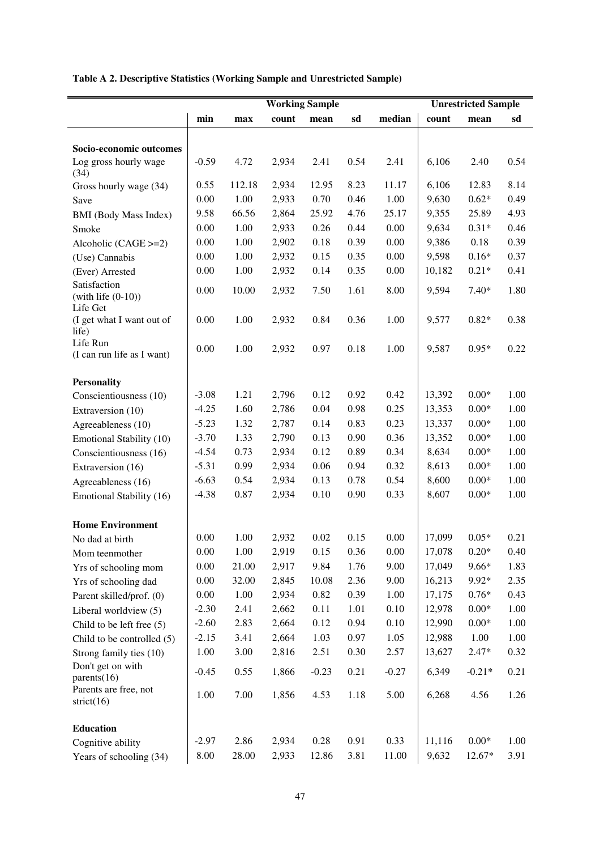## **Table A 2. Descriptive Statistics (Working Sample and Unrestricted Sample)**

|                                                  |         |        |       | <b>Working Sample</b> |      |         |        | <b>Unrestricted Sample</b> |      |
|--------------------------------------------------|---------|--------|-------|-----------------------|------|---------|--------|----------------------------|------|
|                                                  | min     | max    | count | mean                  | sd   | median  | count  | mean                       | sd   |
|                                                  |         |        |       |                       |      |         |        |                            |      |
| Socio-economic outcomes                          |         |        |       |                       |      |         |        |                            |      |
| Log gross hourly wage<br>(34)                    | $-0.59$ | 4.72   | 2,934 | 2.41                  | 0.54 | 2.41    | 6,106  | 2.40                       | 0.54 |
| Gross hourly wage (34)                           | 0.55    | 112.18 | 2,934 | 12.95                 | 8.23 | 11.17   | 6,106  | 12.83                      | 8.14 |
| Save                                             | 0.00    | 1.00   | 2,933 | 0.70                  | 0.46 | 1.00    | 9,630  | $0.62*$                    | 0.49 |
| <b>BMI</b> (Body Mass Index)                     | 9.58    | 66.56  | 2,864 | 25.92                 | 4.76 | 25.17   | 9,355  | 25.89                      | 4.93 |
| Smoke                                            | 0.00    | 1.00   | 2,933 | 0.26                  | 0.44 | 0.00    | 9,634  | $0.31*$                    | 0.46 |
| Alcoholic $(CAGE >= 2)$                          | 0.00    | 1.00   | 2,902 | 0.18                  | 0.39 | 0.00    | 9,386  | 0.18                       | 0.39 |
| (Use) Cannabis                                   | 0.00    | 1.00   | 2,932 | 0.15                  | 0.35 | 0.00    | 9,598  | $0.16*$                    | 0.37 |
| (Ever) Arrested                                  | 0.00    | 1.00   | 2,932 | 0.14                  | 0.35 | 0.00    | 10,182 | $0.21*$                    | 0.41 |
| Satisfaction<br>$(with life (0-10))$<br>Life Get | 0.00    | 10.00  | 2,932 | 7.50                  | 1.61 | 8.00    | 9,594  | $7.40*$                    | 1.80 |
| (I get what I want out of<br>life)               | 0.00    | 1.00   | 2,932 | 0.84                  | 0.36 | 1.00    | 9,577  | $0.82*$                    | 0.38 |
| Life Run<br>(I can run life as I want)           | 0.00    | 1.00   | 2,932 | 0.97                  | 0.18 | 1.00    | 9,587  | $0.95*$                    | 0.22 |
| <b>Personality</b>                               |         |        |       |                       |      |         |        |                            |      |
| Conscientiousness (10)                           | $-3.08$ | 1.21   | 2,796 | 0.12                  | 0.92 | 0.42    | 13,392 | $0.00*$                    | 1.00 |
| Extraversion (10)                                | $-4.25$ | 1.60   | 2,786 | 0.04                  | 0.98 | 0.25    | 13,353 | $0.00*$                    | 1.00 |
| Agreeableness (10)                               | $-5.23$ | 1.32   | 2,787 | 0.14                  | 0.83 | 0.23    | 13,337 | $0.00*$                    | 1.00 |
| Emotional Stability (10)                         | $-3.70$ | 1.33   | 2,790 | 0.13                  | 0.90 | 0.36    | 13,352 | $0.00*$                    | 1.00 |
| Conscientiousness (16)                           | $-4.54$ | 0.73   | 2,934 | 0.12                  | 0.89 | 0.34    | 8,634  | $0.00*$                    | 1.00 |
| Extraversion (16)                                | $-5.31$ | 0.99   | 2,934 | 0.06                  | 0.94 | 0.32    | 8,613  | $0.00*$                    | 1.00 |
| Agreeableness (16)                               | $-6.63$ | 0.54   | 2,934 | 0.13                  | 0.78 | 0.54    | 8,600  | $0.00*$                    | 1.00 |
| Emotional Stability (16)                         | $-4.38$ | 0.87   | 2,934 | 0.10                  | 0.90 | 0.33    | 8,607  | $0.00*$                    | 1.00 |
| <b>Home Environment</b>                          |         |        |       |                       |      |         |        |                            |      |
| No dad at birth                                  | 0.00    | 1.00   | 2,932 | 0.02                  | 0.15 | 0.00    | 17,099 | $0.05*$                    | 0.21 |
| Mom teenmother                                   | 0.00    | 1.00   | 2,919 | 0.15                  | 0.36 | 0.00    | 17,078 | $0.20*$                    | 0.40 |
| Yrs of schooling mom                             | 0.00    | 21.00  | 2,917 | 9.84                  | 1.76 | 9.00    | 17,049 | $9.66*$                    | 1.83 |
| Yrs of schooling dad                             | 0.00    | 32.00  | 2,845 | 10.08                 | 2.36 | 9.00    | 16,213 | 9.92*                      | 2.35 |
| Parent skilled/prof. (0)                         | 0.00    | 1.00   | 2,934 | 0.82                  | 0.39 | 1.00    | 17,175 | $0.76*$                    | 0.43 |
| Liberal worldview (5)                            | $-2.30$ | 2.41   | 2,662 | 0.11                  | 1.01 | 0.10    | 12,978 | $0.00*$                    | 1.00 |
| Child to be left free (5)                        | $-2.60$ | 2.83   | 2,664 | 0.12                  | 0.94 | 0.10    | 12,990 | $0.00*$                    | 1.00 |
| Child to be controlled (5)                       | $-2.15$ | 3.41   | 2,664 | 1.03                  | 0.97 | 1.05    | 12,988 | 1.00                       | 1.00 |
| Strong family ties (10)                          | 1.00    | 3.00   | 2,816 | 2.51                  | 0.30 | 2.57    | 13,627 | $2.47*$                    | 0.32 |
| Don't get on with<br>parents $(16)$              | $-0.45$ | 0.55   | 1,866 | $-0.23$               | 0.21 | $-0.27$ | 6,349  | $-0.21*$                   | 0.21 |
| Parents are free, not<br>strict $(16)$           | 1.00    | 7.00   | 1,856 | 4.53                  | 1.18 | 5.00    | 6,268  | 4.56                       | 1.26 |
| <b>Education</b>                                 |         |        |       |                       |      |         |        |                            |      |
| Cognitive ability                                | $-2.97$ | 2.86   | 2,934 | 0.28                  | 0.91 | 0.33    | 11,116 | $0.00\mathrm{*}$           | 1.00 |
| Years of schooling (34)                          | 8.00    | 28.00  | 2,933 | 12.86                 | 3.81 | 11.00   | 9,632  | 12.67*                     | 3.91 |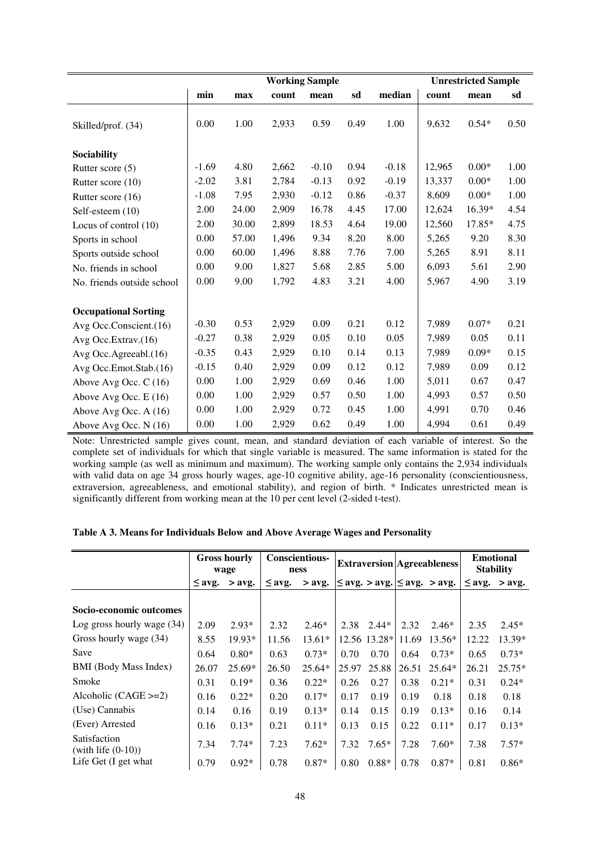|                             |         |       |       | <b>Working Sample</b> |      |         |        | <b>Unrestricted Sample</b> |      |
|-----------------------------|---------|-------|-------|-----------------------|------|---------|--------|----------------------------|------|
|                             | min     | max   | count | mean                  | sd   | median  | count  | mean                       | sd   |
| Skilled/prof. (34)          | 0.00    | 1.00  | 2,933 | 0.59                  | 0.49 | 1.00    | 9,632  | $0.54*$                    | 0.50 |
| Sociability                 |         |       |       |                       |      |         |        |                            |      |
| Rutter score (5)            | $-1.69$ | 4.80  | 2,662 | $-0.10$               | 0.94 | $-0.18$ | 12,965 | $0.00*$                    | 1.00 |
| Rutter score (10)           | $-2.02$ | 3.81  | 2,784 | $-0.13$               | 0.92 | $-0.19$ | 13,337 | $0.00*$                    | 1.00 |
| Rutter score (16)           | $-1.08$ | 7.95  | 2,930 | $-0.12$               | 0.86 | $-0.37$ | 8,609  | $0.00*$                    | 1.00 |
| Self-esteem (10)            | 2.00    | 24.00 | 2,909 | 16.78                 | 4.45 | 17.00   | 12,624 | 16.39*                     | 4.54 |
| Locus of control (10)       | 2.00    | 30.00 | 2,899 | 18.53                 | 4.64 | 19.00   | 12,560 | 17.85*                     | 4.75 |
| Sports in school            | 0.00    | 57.00 | 1,496 | 9.34                  | 8.20 | 8.00    | 5,265  | 9.20                       | 8.30 |
| Sports outside school       | 0.00    | 60.00 | 1,496 | 8.88                  | 7.76 | 7.00    | 5,265  | 8.91                       | 8.11 |
| No. friends in school       | 0.00    | 9.00  | 1,827 | 5.68                  | 2.85 | 5.00    | 6,093  | 5.61                       | 2.90 |
| No. friends outside school  | 0.00    | 9.00  | 1,792 | 4.83                  | 3.21 | 4.00    | 5,967  | 4.90                       | 3.19 |
| <b>Occupational Sorting</b> |         |       |       |                       |      |         |        |                            |      |
| Avg Occ.Conscient.(16)      | $-0.30$ | 0.53  | 2,929 | 0.09                  | 0.21 | 0.12    | 7,989  | $0.07*$                    | 0.21 |
| Avg Occ. Extrav. (16)       | $-0.27$ | 0.38  | 2,929 | 0.05                  | 0.10 | 0.05    | 7,989  | 0.05                       | 0.11 |
| Avg Occ.Agreeabl.(16)       | $-0.35$ | 0.43  | 2,929 | 0.10                  | 0.14 | 0.13    | 7,989  | $0.09*$                    | 0.15 |
| Avg Occ.Emot.Stab.(16)      | $-0.15$ | 0.40  | 2,929 | 0.09                  | 0.12 | 0.12    | 7,989  | 0.09                       | 0.12 |
| Above Avg Occ. C (16)       | 0.00    | 1.00  | 2,929 | 0.69                  | 0.46 | 1.00    | 5,011  | 0.67                       | 0.47 |
| Above Avg Occ. E (16)       | 0.00    | 1.00  | 2,929 | 0.57                  | 0.50 | 1.00    | 4,993  | 0.57                       | 0.50 |
| Above Avg Occ. A (16)       | 0.00    | 1.00  | 2,929 | 0.72                  | 0.45 | 1.00    | 4,991  | 0.70                       | 0.46 |
| Above Avg Occ. N (16)       | 0.00    | 1.00  | 2,929 | 0.62                  | 0.49 | 1.00    | 4,994  | 0.61                       | 0.49 |

Note: Unrestricted sample gives count, mean, and standard deviation of each variable of interest. So the complete set of individuals for which that single variable is measured. The same information is stated for the working sample (as well as minimum and maximum). The working sample only contains the 2,934 individuals with valid data on age 34 gross hourly wages, age-10 cognitive ability, age-16 personality (conscientiousness, extraversion, agreeableness, and emotional stability), and region of birth. \* Indicates unrestricted mean is significantly different from working mean at the 10 per cent level (2-sided t-test).

| Table A 3. Means for Individuals Below and Above Average Wages and Personality |  |
|--------------------------------------------------------------------------------|--|
|--------------------------------------------------------------------------------|--|

|                                       |             | <b>Gross hourly</b><br>wage |             | <b>Conscientious-</b><br>ness |       |              |       | <b>Extraversion Agreeableness</b>         |             | <b>Emotional</b><br><b>Stability</b> |
|---------------------------------------|-------------|-----------------------------|-------------|-------------------------------|-------|--------------|-------|-------------------------------------------|-------------|--------------------------------------|
|                                       | $\leq$ avg. | $>$ avg.                    | $\leq$ avg. | $>$ avg.                      |       |              |       | $\leq$ avg. $>$ avg. $\leq$ avg. $>$ avg. | $\leq$ avg. | $>$ avg.                             |
|                                       |             |                             |             |                               |       |              |       |                                           |             |                                      |
| Socio-economic outcomes               |             |                             |             |                               |       |              |       |                                           |             |                                      |
| Log gross hourly wage $(34)$          | 2.09        | $2.93*$                     | 2.32        | $2.46*$                       | 2.38  | $2.44*$      | 2.32  | $2.46*$                                   | 2.35        | $2.45*$                              |
| Gross hourly wage (34)                | 8.55        | 19.93*                      | 11.56       | $13.61*$                      |       | 12.56 13.28* | 11.69 | $13.56*$                                  | 12.22       | 13.39*                               |
| Save                                  | 0.64        | $0.80*$                     | 0.63        | $0.73*$                       | 0.70  | 0.70         | 0.64  | $0.73*$                                   | 0.65        | $0.73*$                              |
| <b>BMI</b> (Body Mass Index)          | 26.07       | $25.69*$                    | 26.50       | $25.64*$                      | 25.97 | 25.88        | 26.51 | $25.64*$                                  | 26.21       | $25.75*$                             |
| Smoke                                 | 0.31        | $0.19*$                     | 0.36        | $0.22*$                       | 0.26  | 0.27         | 0.38  | $0.21*$                                   | 0.31        | $0.24*$                              |
| Alcoholic $(CAGE >= 2)$               | 0.16        | $0.22*$                     | 0.20        | $0.17*$                       | 0.17  | 0.19         | 0.19  | 0.18                                      | 0.18        | 0.18                                 |
| (Use) Cannabis                        | 0.14        | 0.16                        | 0.19        | $0.13*$                       | 0.14  | 0.15         | 0.19  | $0.13*$                                   | 0.16        | 0.14                                 |
| (Ever) Arrested                       | 0.16        | $0.13*$                     | 0.21        | $0.11*$                       | 0.13  | 0.15         | 0.22  | $0.11*$                                   | 0.17        | $0.13*$                              |
| Satisfaction<br>(with life $(0-10)$ ) | 7.34        | $7.74*$                     | 7.23        | $7.62*$                       | 7.32  | $7.65*$      | 7.28  | $7.60*$                                   | 7.38        | $7.57*$                              |
| Life Get (I get what                  | 0.79        | $0.92*$                     | 0.78        | $0.87*$                       | 0.80  | $0.88*$      | 0.78  | $0.87*$                                   | 0.81        | $0.86*$                              |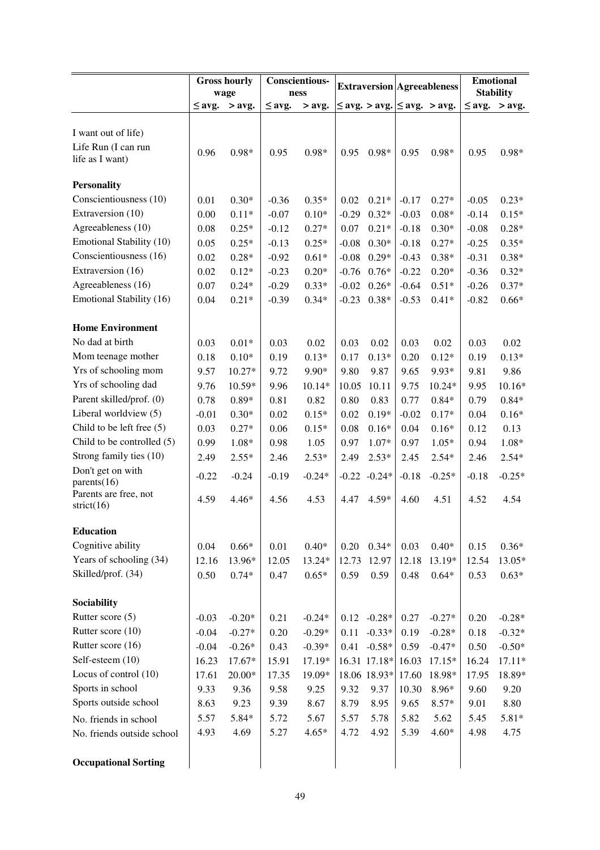|                              |             | <b>Gross hourly</b> |             | <b>Conscientious-</b> |         |                                           |         |                                   |         | <b>Emotional</b>   |
|------------------------------|-------------|---------------------|-------------|-----------------------|---------|-------------------------------------------|---------|-----------------------------------|---------|--------------------|
|                              |             | wage                |             | ness                  |         |                                           |         | <b>Extraversion Agreeableness</b> |         | <b>Stability</b>   |
|                              | $\leq$ avg. | $>$ avg.            | $\leq$ avg. | $>$ avg.              |         | $\leq$ avg. $>$ avg. $\leq$ avg. $>$ avg. |         |                                   |         | $\leq$ avg. > avg. |
|                              |             |                     |             |                       |         |                                           |         |                                   |         |                    |
| I want out of life)          |             |                     |             |                       |         |                                           |         |                                   |         |                    |
| Life Run (I can run          | 0.96        | $0.98*$             | 0.95        | $0.98*$               | 0.95    | $0.98*$                                   | 0.95    | $0.98*$                           | 0.95    | $0.98*$            |
| life as I want)              |             |                     |             |                       |         |                                           |         |                                   |         |                    |
| <b>Personality</b>           |             |                     |             |                       |         |                                           |         |                                   |         |                    |
| Conscientiousness (10)       | 0.01        | $0.30*$             | $-0.36$     | $0.35*$               | 0.02    | $0.21*$                                   | $-0.17$ | $0.27*$                           | $-0.05$ | $0.23*$            |
| Extraversion (10)            | 0.00        | $0.11*$             | $-0.07$     | $0.10*$               | $-0.29$ | $0.32*$                                   | $-0.03$ | $0.08*$                           | $-0.14$ | $0.15*$            |
| Agreeableness (10)           | 0.08        | $0.25*$             | $-0.12$     | $0.27*$               | 0.07    | $0.21*$                                   | $-0.18$ | $0.30*$                           | $-0.08$ | $0.28*$            |
| Emotional Stability (10)     | 0.05        | $0.25*$             | $-0.13$     | $0.25*$               | $-0.08$ | $0.30*$                                   | $-0.18$ | $0.27*$                           | $-0.25$ | $0.35*$            |
| Conscientiousness (16)       | 0.02        | $0.28*$             | $-0.92$     | $0.61*$               | $-0.08$ | $0.29*$                                   | $-0.43$ | $0.38*$                           | $-0.31$ | $0.38*$            |
| Extraversion (16)            | 0.02        | $0.12*$             | $-0.23$     | $0.20*$               | $-0.76$ | $0.76*$                                   | $-0.22$ | $0.20*$                           | $-0.36$ | $0.32*$            |
| Agreeableness (16)           | 0.07        | $0.24*$             | $-0.29$     | $0.33*$               | $-0.02$ | $0.26*$                                   | $-0.64$ | $0.51*$                           | $-0.26$ | $0.37*$            |
| Emotional Stability (16)     | 0.04        | $0.21*$             | $-0.39$     | $0.34*$               | $-0.23$ | $0.38*$                                   | $-0.53$ | $0.41*$                           | $-0.82$ | $0.66*$            |
|                              |             |                     |             |                       |         |                                           |         |                                   |         |                    |
| <b>Home Environment</b>      |             |                     |             |                       |         |                                           |         |                                   |         |                    |
| No dad at birth              | 0.03        | $0.01*$             | 0.03        | 0.02                  | 0.03    | 0.02                                      | 0.03    | 0.02                              | 0.03    | 0.02               |
| Mom teenage mother           | 0.18        | $0.10*$             | 0.19        | $0.13*$               | 0.17    | $0.13*$                                   | 0.20    | $0.12*$                           | 0.19    | $0.13*$            |
| Yrs of schooling mom         | 9.57        | $10.27*$            | 9.72        | 9.90*                 | 9.80    | 9.87                                      | 9.65    | 9.93*                             | 9.81    | 9.86               |
| Yrs of schooling dad         | 9.76        | 10.59*              | 9.96        | 10.14*                | 10.05   | 10.11                                     | 9.75    | $10.24*$                          | 9.95    | $10.16*$           |
| Parent skilled/prof. (0)     | 0.78        | $0.89*$             | 0.81        | 0.82                  | 0.80    | 0.83                                      | 0.77    | $0.84*$                           | 0.79    | $0.84*$            |
| Liberal worldview (5)        | $-0.01$     | $0.30*$             | 0.02        | $0.15*$               | 0.02    | $0.19*$                                   | $-0.02$ | $0.17*$                           | 0.04    | $0.16*$            |
| Child to be left free $(5)$  | 0.03        | $0.27*$             | 0.06        | $0.15*$               | 0.08    | $0.16*$                                   | 0.04    | $0.16*$                           | 0.12    | 0.13               |
| Child to be controlled $(5)$ | 0.99        | $1.08*$             | 0.98        | 1.05                  | 0.97    | 1.07*                                     | 0.97    | $1.05*$                           | 0.94    | $1.08*$            |
| Strong family ties (10)      | 2.49        | $2.55*$             | 2.46        | $2.53*$               | 2.49    | $2.53*$                                   | 2.45    | $2.54*$                           | 2.46    | $2.54*$            |
| Don't get on with            | $-0.22$     | $-0.24$             | $-0.19$     | $-0.24*$              |         | $-0.22 -0.24*$                            | $-0.18$ | $-0.25*$                          | $-0.18$ | $-0.25*$           |
| parents $(16)$               |             |                     |             |                       |         |                                           |         |                                   |         |                    |
| Parents are free, not        | 4.59        | $4.46*$             | 4.56        | 4.53                  | 4.47    | $4.59*$                                   | 4.60    | 4.51                              | 4.52    | 4.54               |
| strict $(16)$                |             |                     |             |                       |         |                                           |         |                                   |         |                    |
| <b>Education</b>             |             |                     |             |                       |         |                                           |         |                                   |         |                    |
| Cognitive ability            | 0.04        | $0.66*$             | 0.01        | $0.40*$               | 0.20    | $0.34*$                                   | 0.03    | $0.40*$                           | 0.15    | $0.36*$            |
| Years of schooling (34)      | 12.16       | 13.96*              | 12.05       | 13.24*                | 12.73   | 12.97                                     | 12.18   | 13.19*                            | 12.54   | 13.05*             |
| Skilled/prof. (34)           | 0.50        | $0.74*$             | 0.47        | $0.65*$               | 0.59    | 0.59                                      | 0.48    | $0.64*$                           | 0.53    | $0.63*$            |
|                              |             |                     |             |                       |         |                                           |         |                                   |         |                    |
| Sociability                  |             |                     |             |                       |         |                                           |         |                                   |         |                    |
| Rutter score (5)             | $-0.03$     | $-0.20*$            | 0.21        | $-0.24*$              | 0.12    | $-0.28*$                                  | 0.27    | $-0.27*$                          | 0.20    | $-0.28*$           |
| Rutter score (10)            | $-0.04$     | $-0.27*$            | 0.20        | $-0.29*$              | 0.11    | $-0.33*$                                  | 0.19    | $-0.28*$                          | 0.18    | $-0.32*$           |
| Rutter score (16)            | $-0.04$     | $-0.26*$            | 0.43        | $-0.39*$              | 0.41    | $-0.58*$                                  | 0.59    | $-0.47*$                          | 0.50    | $-0.50*$           |
| Self-esteem (10)             | 16.23       | 17.67*              | 15.91       | 17.19*                |         | 16.31 17.18*                              | 16.03   | $17.15*$                          | 16.24   | $17.11*$           |
| Locus of control (10)        | 17.61       | $20.00*$            | 17.35       | 19.09*                |         | 18.06 18.93*                              | 17.60   | 18.98*                            | 17.95   | 18.89*             |
| Sports in school             | 9.33        | 9.36                | 9.58        | 9.25                  | 9.32    | 9.37                                      | 10.30   | 8.96*                             | 9.60    | 9.20               |
| Sports outside school        | 8.63        | 9.23                | 9.39        | 8.67                  | 8.79    | 8.95                                      | 9.65    | $8.57*$                           | 9.01    | 8.80               |
| No. friends in school        | 5.57        | 5.84*               | 5.72        | 5.67                  | 5.57    | 5.78                                      | 5.82    | 5.62                              | 5.45    | $5.81*$            |
| No. friends outside school   | 4.93        | 4.69                | 5.27        | $4.65*$               | 4.72    | 4.92                                      | 5.39    | $4.60*$                           | 4.98    | 4.75               |
|                              |             |                     |             |                       |         |                                           |         |                                   |         |                    |
| <b>Occupational Sorting</b>  |             |                     |             |                       |         |                                           |         |                                   |         |                    |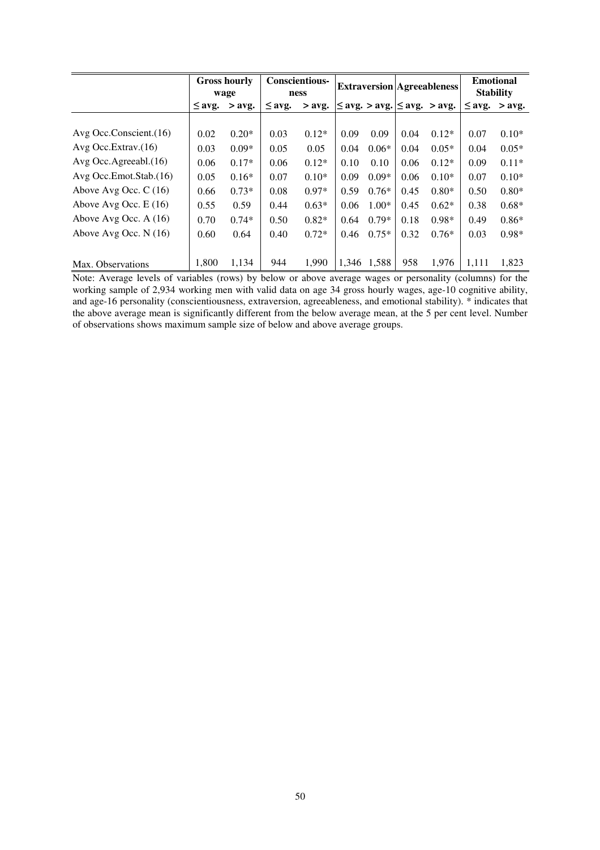|                               |             | <b>Gross hourly</b><br>wage |             | <b>Conscientious-</b><br>ness |       |         |      | <b>Extraversion Agreeableness</b>     | <b>Emotional</b><br><b>Stability</b> |          |
|-------------------------------|-------------|-----------------------------|-------------|-------------------------------|-------|---------|------|---------------------------------------|--------------------------------------|----------|
|                               | $\leq$ avg. | $>$ avg.                    | $\leq$ avg. | $>$ avg.                      |       |         |      | $\leq$ avg. > avg. $\leq$ avg. > avg. | $\leq$ avg.                          | $>$ avg. |
|                               |             |                             |             |                               |       |         |      |                                       |                                      |          |
| Avg Occ.Conscient.(16)        | 0.02        | $0.20*$                     | 0.03        | $0.12*$                       | 0.09  | 0.09    | 0.04 | $0.12*$                               | 0.07                                 | $0.10*$  |
| Avg Occ. Extrav. $(16)$       | 0.03        | $0.09*$                     | 0.05        | 0.05                          | 0.04  | $0.06*$ | 0.04 | $0.05*$                               | 0.04                                 | $0.05*$  |
| Avg Occ. Agreeabl. $(16)$     | 0.06        | $0.17*$                     | 0.06        | $0.12*$                       | 0.10  | 0.10    | 0.06 | $0.12*$                               | 0.09                                 | $0.11*$  |
| $Avg$ Occ. Emot. Stab. $(16)$ | 0.05        | $0.16*$                     | 0.07        | $0.10*$                       | 0.09  | $0.09*$ | 0.06 | $0.10*$                               | 0.07                                 | $0.10*$  |
| Above Avg Occ. $C(16)$        | 0.66        | $0.73*$                     | 0.08        | $0.97*$                       | 0.59  | $0.76*$ | 0.45 | $0.80*$                               | 0.50                                 | $0.80*$  |
| Above Avg Occ. $E(16)$        | 0.55        | 0.59                        | 0.44        | $0.63*$                       | 0.06  | $1.00*$ | 0.45 | $0.62*$                               | 0.38                                 | $0.68*$  |
| Above Avg Occ. $A(16)$        | 0.70        | $0.74*$                     | 0.50        | $0.82*$                       | 0.64  | $0.79*$ | 0.18 | $0.98*$                               | 0.49                                 | $0.86*$  |
| Above Avg Occ. $N(16)$        | 0.60        | 0.64                        | 0.40        | $0.72*$                       | 0.46  | $0.75*$ | 0.32 | $0.76*$                               | 0.03                                 | $0.98*$  |
|                               |             |                             |             |                               |       |         |      |                                       |                                      |          |
| Max. Observations             | 1,800       | 1,134                       | 944         | 1,990                         | 1,346 | 1,588   | 958  | 1,976                                 | 1.111                                | 1.823    |

Note: Average levels of variables (rows) by below or above average wages or personality (columns) for the working sample of 2,934 working men with valid data on age 34 gross hourly wages, age-10 cognitive ability, and age-16 personality (conscientiousness, extraversion, agreeableness, and emotional stability). \* indicates that the above average mean is significantly different from the below average mean, at the 5 per cent level. Number of observations shows maximum sample size of below and above average groups.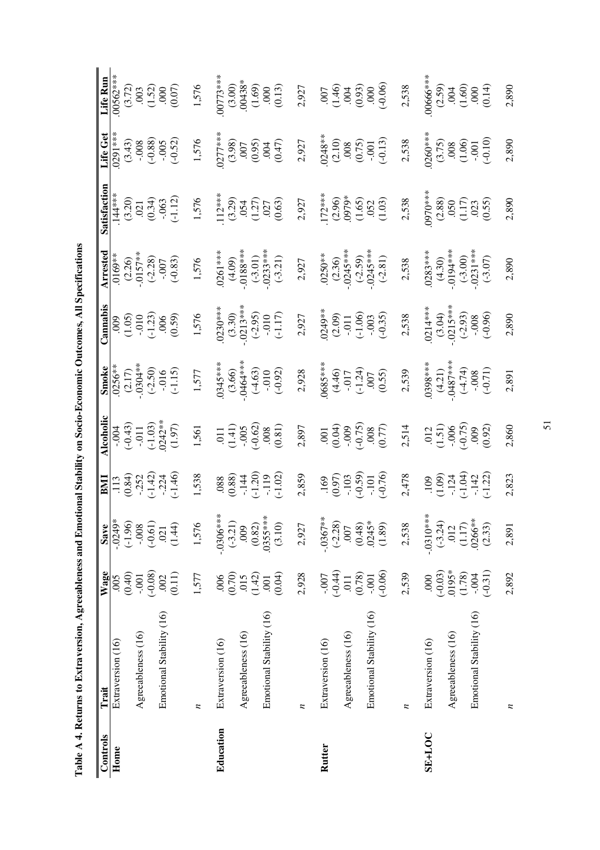| $\overline{a}$ |
|----------------|
|                |
|                |
|                |
|                |
|                |
|                |
|                |
|                |
|                |
|                |
|                |
|                |
|                |
|                |
|                |
| I              |
|                |
|                |
|                |
|                |
|                |
|                |
|                |
|                |
| :              |
|                |
|                |
|                |
|                |
|                |
|                |
|                |
|                |
|                |
|                |
|                |
|                |
|                |
|                |
|                |
|                |
|                |
|                |
|                |
|                |
|                |
| J              |
|                |
|                |
|                |
|                |
|                |
|                |
|                |
|                |
|                |
|                |
| i Links.<br>ļ  |
|                |
|                |
| 3              |
| l<br>l         |
|                |
| ¢              |
| KELL<br>٢      |
|                |
| ŕ              |
| able A         |
|                |
|                |
|                |
| Í<br>═         |
|                |

| Table A 4. Returns to Extraversion, Agreeableness and Emotional Stability on Socio-Economic Outcomes, All Specifications |                          |                  |            |                     |                                                                  |                                 |                                                          |                      |                                                         |                                                                 |                                   |
|--------------------------------------------------------------------------------------------------------------------------|--------------------------|------------------|------------|---------------------|------------------------------------------------------------------|---------------------------------|----------------------------------------------------------|----------------------|---------------------------------------------------------|-----------------------------------------------------------------|-----------------------------------|
| Controls                                                                                                                 | Trait                    | Wage             | Save       | <b>ENII</b>         | Alcoholic                                                        | Smoke                           | Cannabis                                                 | Arrested             | Satisfaction                                            | Life Get                                                        | Life Run                          |
| Home                                                                                                                     | Extraversion (16)        | .005             | $-0249*$   | .113                | $-004$                                                           | $.0256**$                       | 600                                                      | $0169***$            | $144***$                                                | $0291***$                                                       | $00562***$                        |
|                                                                                                                          |                          | (0.40)           | $(-1.96)$  | (0.84)              | $(-0.43)$                                                        | (2.17)                          | $(1.05)$<br>$-0.10$<br>$(-1.23)$                         | (2.26)               | (3.20)                                                  | (3.43)                                                          | (3.72)                            |
|                                                                                                                          | Agreeableness (16)       | $-0.001$         | $-0.008$   | $-0.252$            | $-0.011$                                                         | $-0.304**$                      |                                                          | $-.0157**$           |                                                         | $-0.008$                                                        | .003                              |
|                                                                                                                          |                          | $(-0.08)$        | $(-0.61)$  | $(-1.42)$           | $(-1.03)$                                                        | $(-2.50)$                       |                                                          | $(-2.28)$            | (0.34)                                                  | $(-0.88)$                                                       | (1.52)                            |
|                                                                                                                          | Emotional Stability (16) | .002             | .021       | $-224$              | $0242**$                                                         | $-0.016$                        | 006                                                      | $-0.007$             | $-063$                                                  | $-0.005$                                                        | 000                               |
|                                                                                                                          |                          | (0.11)           | (1.44)     | $(-1.46)$           | (1.97)                                                           | $(-1.15)$                       | (0.59)                                                   | $(-0.83)$            | $(-1.12)$                                               | $(-0.52)$                                                       | (0.07)                            |
|                                                                                                                          | z                        | 1,577            | 1,576      | 1,538               | 1,561                                                            | 1,577                           | 1,576                                                    | 1,576                | 1,576                                                   | 1,576                                                           | 1,576                             |
| Education                                                                                                                | Extraversion (16)        | .006             | $-0306***$ |                     | $\overline{011}$                                                 | 0345****                        | $0230***$                                                | $.0261***$           | $112***$                                                | $0277***$                                                       | $00773***$                        |
|                                                                                                                          |                          | (0.70)           | $(-3.21)$  | $(880)$<br>$(0.80)$ | $(1.41)$                                                         |                                 |                                                          | (4.09)               | (3.29)                                                  | (3.98)                                                          | (3.00)                            |
|                                                                                                                          | Agreeableness (16)       | 015              | .009       | $-144$              | $-0.005$                                                         | $(3.66)$<br>-.0464***           | $(3.30)$<br>$-0213***$                                   | $-0.188***$          |                                                         | .007                                                            | $*88*$                            |
|                                                                                                                          |                          | (1.42)           | (0.82)     | $(-1.20)$           | $(-0.62)$                                                        |                                 |                                                          | $(-3.01)$            |                                                         | (0.95)                                                          |                                   |
|                                                                                                                          | Emotional Stability (16) | $\overline{001}$ | $0355***$  | $-119$              |                                                                  | $(-4.63)$                       |                                                          |                      |                                                         |                                                                 |                                   |
|                                                                                                                          |                          | (0.04)           | (3.10)     | $(-1.02)$           | (0.81)                                                           | $(-0.92)$                       | $(-2.95)$<br>$(-0.10$<br>$(-1.17)$                       | $-0233***$           | $(1.27)$<br>$(1.27)$<br>$(0.63)$                        | (0.47)                                                          | $(1.69)$<br>$0.00$<br>$(0.13)$    |
|                                                                                                                          | z                        | 2,928            | 2,927      | 2,859               | 2,897                                                            | 2,928                           | 2,927                                                    | 2,927                | 2,927                                                   | 2,927                                                           | 2,927                             |
|                                                                                                                          |                          |                  |            |                     |                                                                  |                                 |                                                          |                      |                                                         |                                                                 |                                   |
| Rutter                                                                                                                   | Extraversion (16)        | $-0.007$         | $-.0367**$ | .169                | $\overline{0}$                                                   | $0685***$                       | .0249**                                                  | $.0250**$            | $.172***$<br>(2.96)<br>(979*                            | $0248**$                                                        | .007                              |
|                                                                                                                          |                          | $(-0.44)$        | $(-2.28)$  | (0.97)              | (0.04)                                                           | (4.46)                          | $(2.09)$<br>$-0.11$<br>$(-1.06)$<br>$-0.03$<br>$(-0.35)$ | $(2.36)$<br>-0245*** |                                                         | (2.10)                                                          | $(1.46)$<br>004                   |
|                                                                                                                          | Agreeableness (16)       | $\overline{011}$ | .007       | $-.103$             | $-0.009$                                                         | $-0.17$                         |                                                          |                      |                                                         | .008                                                            |                                   |
|                                                                                                                          |                          | (0.78)           | (0.48)     | $(-0.59)$           | $(-0.75)$                                                        |                                 |                                                          | $(-2.59)$            |                                                         |                                                                 |                                   |
|                                                                                                                          | Emotional Stability (16) | $-0.001$         | $.0245*$   | $-101$              |                                                                  |                                 |                                                          | $.0245***$           |                                                         |                                                                 |                                   |
|                                                                                                                          |                          | $(-0.06)$        | (1.89)     | $(-0.76)$           | (0.77)                                                           | $\frac{(-1.24)}{007}$<br>(0.55) |                                                          | $(-2.81)$            | $\frac{(1.65)}{052}$ (1.03)                             | $(0.75)$<br>$-0.01$<br>$(-0.13)$                                | $(0.93)$<br>$(0.00)$<br>$(-0.06)$ |
|                                                                                                                          | z                        | 2,539            | 2,538      | 2,478               | 2,514                                                            | 2,539                           | 2,538                                                    | 2,538                | 2,538                                                   | 2,538                                                           | 2,538                             |
| <b>SE+LOC</b>                                                                                                            | Extraversion (16)        | .000             | $-0310***$ | <b>109</b>          |                                                                  | $0.398***$                      | $0214***$                                                | $.0283***$           | 0970***                                                 | $0260***$                                                       | 00666****                         |
|                                                                                                                          |                          | $(-0.03)$        | $(-3.24)$  | (1.09)              | $\begin{array}{c} .012 \\ .0151 \\ -.006 \\ -.0.75) \end{array}$ | (4.21)                          | (3.04)                                                   | (4.30)               |                                                         |                                                                 | (2.59)                            |
|                                                                                                                          | Agreeableness (16)       | .0195*           | .012       | $-124$              |                                                                  | $.0487***$                      | $-0.0215***$                                             | $.0194***$           | $\begin{array}{c} (2.88) \\ 0.50 \\ (1.17) \end{array}$ |                                                                 |                                   |
|                                                                                                                          |                          | (1.78)           | (1.17)     | $(-1.04)$           |                                                                  | $(-4.74)$                       | $(-2.93)$                                                | $(-3.00)$            |                                                         |                                                                 |                                   |
|                                                                                                                          | Emotional Stability (16) | $-0.004$         | .0266**    | $-142$              | 000                                                              | $-0.08$                         | $-0.008$                                                 | $.0231***$           | (0.55)                                                  | $\begin{array}{c} (3.75) \\ 008 \\ (1.06) \\ -0.01 \end{array}$ |                                   |
|                                                                                                                          |                          | $(-0.31)$        | (2.33)     | $(-1.22)$           | (0.92)                                                           | $(-0.71)$                       | $(-0.96)$                                                | $(-3.07)$            |                                                         | $(-0.10)$                                                       | (0.14)                            |
|                                                                                                                          | n                        | 2,892            | 2,891      | 2,823               | 2,860                                                            | 2,891                           | 2,890                                                    | 2,890                | 2,890                                                   | 2,890                                                           | 2,890                             |

51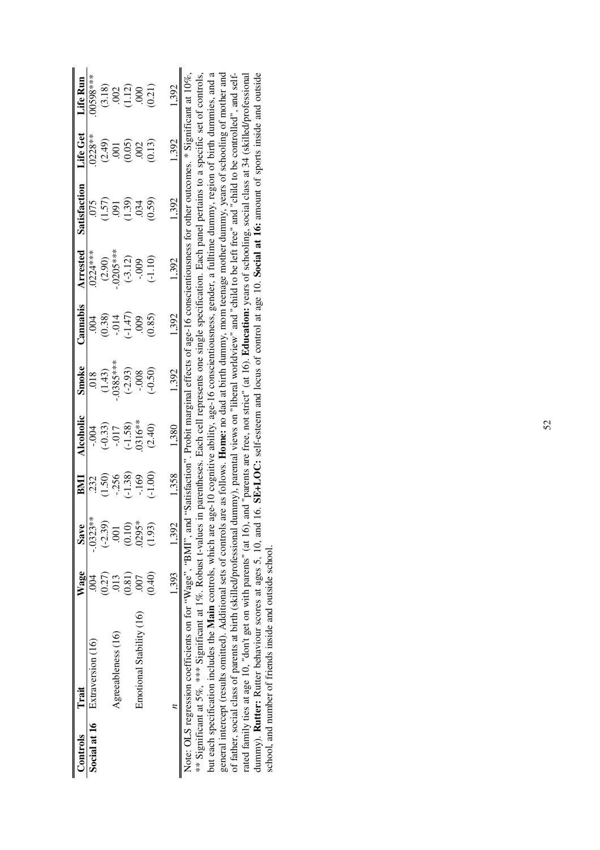| Controls | Trait                                                                                                                                                                                                                                                                                                                                                                                                                                                                                                                                                                                                                                                                                                                                                                                                                                                                                                                                                                                                                   | <b>Wage</b>               | <b>Save</b>             | EMI       | Alcoholic | Smoke      | Cannabis  | Arrested   | Satisfaction                                                                                                                                                                                                                                                                                                                                   | Life Get       | Life Run |
|----------|-------------------------------------------------------------------------------------------------------------------------------------------------------------------------------------------------------------------------------------------------------------------------------------------------------------------------------------------------------------------------------------------------------------------------------------------------------------------------------------------------------------------------------------------------------------------------------------------------------------------------------------------------------------------------------------------------------------------------------------------------------------------------------------------------------------------------------------------------------------------------------------------------------------------------------------------------------------------------------------------------------------------------|---------------------------|-------------------------|-----------|-----------|------------|-----------|------------|------------------------------------------------------------------------------------------------------------------------------------------------------------------------------------------------------------------------------------------------------------------------------------------------------------------------------------------------|----------------|----------|
|          | Social at 16 Extraversion (16)                                                                                                                                                                                                                                                                                                                                                                                                                                                                                                                                                                                                                                                                                                                                                                                                                                                                                                                                                                                          | $\widetilde{\mathrm{SO}}$ | $-0323**$               | 232       | $-004$    | .018       | .004      | 0224***    | 075                                                                                                                                                                                                                                                                                                                                            | $0228**$       | 10598*** |
|          |                                                                                                                                                                                                                                                                                                                                                                                                                                                                                                                                                                                                                                                                                                                                                                                                                                                                                                                                                                                                                         | (0.27)                    | $(-2.39)$               | (1.50)    | $(-0.33)$ | (1.43)     | (0.38)    | (2.90)     | (1.57)                                                                                                                                                                                                                                                                                                                                         | (2.49)         | (3.18)   |
|          | Agreeableness (16)                                                                                                                                                                                                                                                                                                                                                                                                                                                                                                                                                                                                                                                                                                                                                                                                                                                                                                                                                                                                      | .013                      | $\overline{\mathrm{S}}$ | $-256$    | $-0.017$  | $-0385***$ | $-0.014$  | $-0205***$ | <b>[60</b>                                                                                                                                                                                                                                                                                                                                     | $\overline{0}$ | .002     |
|          |                                                                                                                                                                                                                                                                                                                                                                                                                                                                                                                                                                                                                                                                                                                                                                                                                                                                                                                                                                                                                         | (0.81)                    | (0.10)                  | $(-1.38)$ | $(-1.58)$ | $(-2.93)$  | $(-1.47)$ | $(-3.12)$  | (1.39)                                                                                                                                                                                                                                                                                                                                         | (0.05)         | (1.12)   |
|          | Emotional Stability (16)                                                                                                                                                                                                                                                                                                                                                                                                                                                                                                                                                                                                                                                                                                                                                                                                                                                                                                                                                                                                | <b>007</b>                | $.0295*$                | $-169$    | 0316**    | $-0.008$   | 600       | $-0.009$   | 034                                                                                                                                                                                                                                                                                                                                            | .002           | 000      |
|          |                                                                                                                                                                                                                                                                                                                                                                                                                                                                                                                                                                                                                                                                                                                                                                                                                                                                                                                                                                                                                         | (0.40)                    | (1.93)                  | $(-1.00)$ | (2.40)    | $(-0.50)$  | (0.85)    | $(-1.10)$  | (0.59)                                                                                                                                                                                                                                                                                                                                         | (0.13)         | (0.21)   |
|          |                                                                                                                                                                                                                                                                                                                                                                                                                                                                                                                                                                                                                                                                                                                                                                                                                                                                                                                                                                                                                         |                           | 1,393 1,392             | 1,358     | 1,380     | 1,392      | 1,392     | 1,392      | 1,392                                                                                                                                                                                                                                                                                                                                          | 1,392          | 1,392    |
|          | but each specification includes the Main controls, which are age-10 cognitive ability, age-16 conscientiousness, gender, a fulltime dummy, region of birth dummies, and a<br>of father, social class of parents at birth (skilled/professional dummy), parental views on "liberal worldview" and "child to be left free" and "child to be controlled", and self-<br>rated family ties at age 10, "don't get on with parents" (at 16), and "parents are free, not strict" (at 16). Education: years of schooling, social class at 34 (skilled/professional<br>** Significant at 5%, *** Significant at 1%. Robust t-values in parentheses. Each cell represents one single specification. Each panel pertains to a specific set of controls,<br>Note: OLS regression coefficients on for " $Wage$ ", " $BMI$ ", and<br>dummy). <b>Rutter:</b> Rutter behaviour scores at ages 5, 10, and<br>general intercept (results omitted). Additional sets of controls<br>school, and number of friends inside and outside school. |                           |                         |           |           |            |           |            | 16. SE+LOC: self-esteem and locus of control at age 10. Social at 16: amount of sports inside and outside<br>are as follows. <b>Home:</b> no dad at birth dummy, mom teenage mother dummy, years of schooling of mother and<br>1 "Satisfaction". Probit marginal effects of age-16 conscientiousness for other outcomes. * Significant at 10%, |                |          |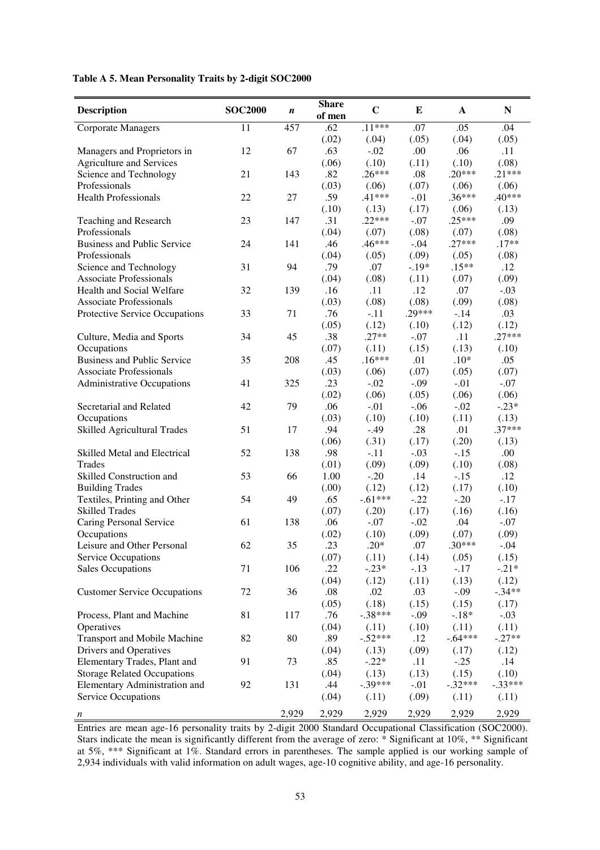#### **Table A 5. Mean Personality Traits by 2-digit SOC2000**

| <b>Description</b>                                     | <b>SOC2000</b> | $\boldsymbol{n}$ | <b>Share</b><br>of men | $\mathbf C$        | Е               | $\mathbf{A}$    | ${\bf N}$       |
|--------------------------------------------------------|----------------|------------------|------------------------|--------------------|-----------------|-----------------|-----------------|
| <b>Corporate Managers</b>                              | 11             | 457              | .62                    | $.11***$           | .07             | .05             | .04             |
|                                                        |                |                  | (.02)                  | (.04)              | (.05)           | (.04)           | (.05)           |
| Managers and Proprietors in                            | 12             | 67               | .63                    | $-.02$             | .00             | .06             | .11             |
| <b>Agriculture and Services</b>                        |                |                  | (.06)                  | (.10)              | (.11)           | (.10)           | (.08)           |
| Science and Technology                                 | 21             | 143              | .82                    | $.26***$           | .08             | $.20***$        | $.21***$        |
| Professionals                                          |                |                  | (.03)                  | (.06)              | (.07)           | (.06)           | (.06)           |
| <b>Health Professionals</b>                            | 22             | 27               | .59                    | $.41***$           | $-.01$          | $.36***$        | $.40***$        |
|                                                        |                |                  | (.10)                  | (.13)              | (.17)           | (.06)           | (.13)           |
| Teaching and Research                                  | 23             | 147              | .31                    | $.22***$           | $-.07$          | $.25***$        | .09             |
| Professionals                                          |                |                  | (.04)                  | (.07)              | (.08)           | (.07)           | (.08)           |
| <b>Business and Public Service</b>                     | 24             | 141              | .46                    | $.46***$           | $-.04$          | $.27***$        | $.17**$         |
| Professionals                                          |                |                  | (.04)                  | (.05)              | (.09)           | (.05)           | (.08)           |
| Science and Technology                                 | 31             | 94               | .79                    | .07                | $-.19*$         | $.15**$         | .12             |
| <b>Associate Professionals</b>                         |                |                  | (.04)                  | (.08)              | (.11)           | (.07)           | (.09)           |
| Health and Social Welfare                              | 32             | 139              | .16                    | .11                | .12             | .07             | $-.03$          |
| <b>Associate Professionals</b>                         |                |                  | (.03)                  | (.08)              | (.08)           | (.09)           | (.08)           |
| Protective Service Occupations                         | 33             | 71               | .76                    | $-.11$             | $.29***$        | $-.14$          | .03             |
|                                                        |                |                  | (.05)                  | (.12)              | (.10)           | (.12)           | (.12)           |
| Culture, Media and Sports                              | 34             | 45               | .38                    | $.27**$            | $-.07$          | .11             | $.27***$        |
| Occupations                                            |                |                  | (.07)                  | (.11)              | (.15)           | (.13)           | (.10)           |
| <b>Business and Public Service</b>                     | 35             | 208              | .45                    | $.16***$           | .01             | $.10*$          | .05             |
| <b>Associate Professionals</b>                         |                |                  | (.03)                  | (.06)              | (.07)           | (.05)           | (.07)           |
| <b>Administrative Occupations</b>                      | 41             | 325              | .23                    | $-.02$             | $-.09$          | $-.01$          | $-.07$          |
|                                                        |                |                  | (.02)                  | (.06)              | (.05)           | (.06)           | (.06)           |
| Secretarial and Related                                | 42             | 79               | .06                    | $-.01$             | $-.06$          | $-.02$          | $-.23*$         |
| Occupations                                            |                |                  | (.03)                  | (.10)              | (.10)           | (.11)           | (.13)           |
| Skilled Agricultural Trades                            | 51             | 17               | .94                    | $-.49$             | .28             | .01             | $.37***$        |
|                                                        |                |                  | (.06)                  | (.31)              | (.17)           | (.20)           | (.13)           |
| Skilled Metal and Electrical                           | 52             | 138              | .98                    | $-.11$             | $-.03$          | $-.15$          | .00.            |
| Trades                                                 |                |                  | (.01)                  | (.09)              | (.09)           | (.10)           | (.08)           |
| Skilled Construction and                               | 53             | 66               | 1.00                   | $-.20$             | .14             | $-.15$          | .12             |
| <b>Building Trades</b><br>Textiles, Printing and Other | 54             | 49               | (.00)<br>.65           | (.12)<br>$-.61***$ | (.12)<br>$-.22$ | (.17)<br>$-.20$ | (.10)<br>$-.17$ |
| <b>Skilled Trades</b>                                  |                |                  | (.07)                  | (.20)              | (.17)           | (.16)           | (.16)           |
| Caring Personal Service                                | 61             | 138              | .06                    | $-.07$             | $-.02$          | .04             | $-.07$          |
| Occupations                                            |                |                  | (.02)                  | (.10)              | (.09)           | (.07)           | (.09)           |
| Leisure and Other Personal                             | 62             | 35               | .23                    | $.20*$             | .07             | $.30***$        | $-0.04$         |
| Service Occupations                                    |                |                  | (.07)                  | (.11)              | (.14)           | (.05)           | (.15)           |
| <b>Sales Occupations</b>                               | 71             | 106              | .22                    | $-.23*$            | $-.13$          | $-.17$          | $-.21*$         |
|                                                        |                |                  | (.04)                  | (.12)              | (.11)           | (.13)           | (.12)           |
| <b>Customer Service Occupations</b>                    | 72             | 36               | .08                    | .02                | .03             | $-.09$          | $-.34**$        |
|                                                        |                |                  | (.05)                  | (.18)              | (.15)           | (.15)           | (.17)           |
| Process, Plant and Machine                             | 81             | 117              | .76                    | $-.38***$          | $-.09$          | $-.18*$         | $-.03$          |
| Operatives                                             |                |                  | (.04)                  | (.11)              | (.10)           | (.11)           | (.11)           |
| <b>Transport and Mobile Machine</b>                    | 82             | 80               | .89                    | $-.52***$          | .12             | $-.64***$       | $-.27**$        |
| Drivers and Operatives                                 |                |                  | (.04)                  | (.13)              | (.09)           | (.17)           | (.12)           |
| Elementary Trades, Plant and                           | 91             | 73               | .85                    | $-.22*$            | .11             | $-.25$          | .14             |
| <b>Storage Related Occupations</b>                     |                |                  | (.04)                  | (.13)              | (.13)           | (.15)           | (.10)           |
| Elementary Administration and                          | 92             | 131              | .44                    | $-.39***$          | $-.01$          | $-.32***$       | $-.33***$       |
| Service Occupations                                    |                |                  | (.04)                  | (.11)              | (.09)           | (.11)           | (.11)           |
| n                                                      |                | 2,929            | 2,929                  | 2,929              | 2,929           | 2,929           | 2,929           |

Entries are mean age-16 personality traits by 2-digit 2000 Standard Occupational Classification (SOC2000). Stars indicate the mean is significantly different from the average of zero: \* Significant at 10%, \*\* Significant at 5%, \*\*\* Significant at 1%. Standard errors in parentheses. The sample applied is our working sample of 2,934 individuals with valid information on adult wages, age-10 cognitive ability, and age-16 personality.